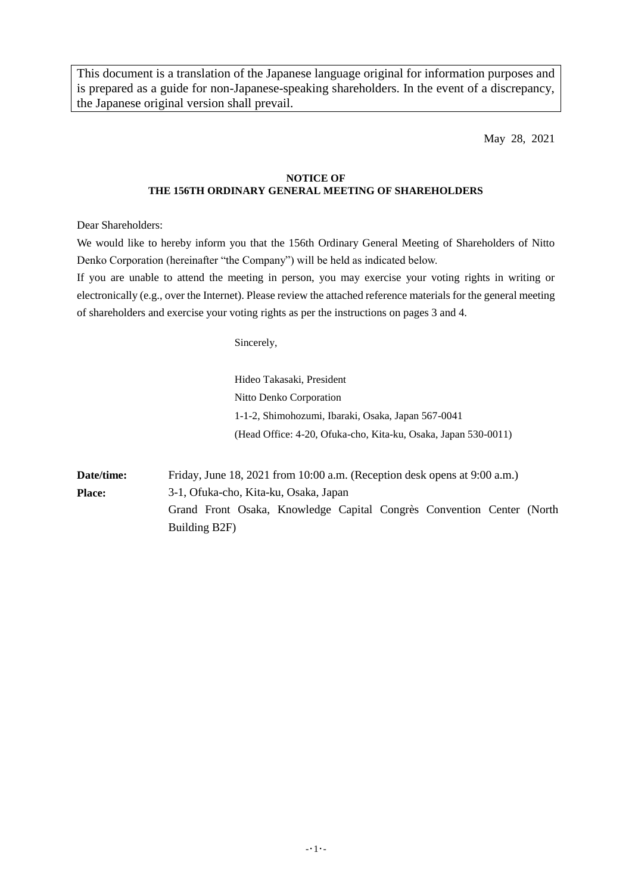This document is a translation of the Japanese language original for information purposes and is prepared as a guide for non-Japanese-speaking shareholders. In the event of a discrepancy, the Japanese original version shall prevail.

May 28, 2021

### **NOTICE OF THE 156TH ORDINARY GENERAL MEETING OF SHAREHOLDERS**

Dear Shareholders:

We would like to hereby inform you that the 156th Ordinary General Meeting of Shareholders of Nitto Denko Corporation (hereinafter "the Company") will be held as indicated below.

If you are unable to attend the meeting in person, you may exercise your voting rights in writing or electronically (e.g., over the Internet). Please review the attached reference materials for the general meeting of shareholders and exercise your voting rights as per the instructions on pages 3 and 4.

Sincerely,

Hideo Takasaki, President Nitto Denko Corporation 1-1-2, Shimohozumi, Ibaraki, Osaka, Japan 567-0041 (Head Office: 4-20, Ofuka-cho, Kita-ku, Osaka, Japan 530-0011)

**Date/time:** Friday, June 18, 2021 from 10:00 a.m. (Reception desk opens at 9:00 a.m.) **Place:** 3-1, Ofuka-cho, Kita-ku, Osaka, Japan Grand Front Osaka, Knowledge Capital Congrès Convention Center (North Building B2F)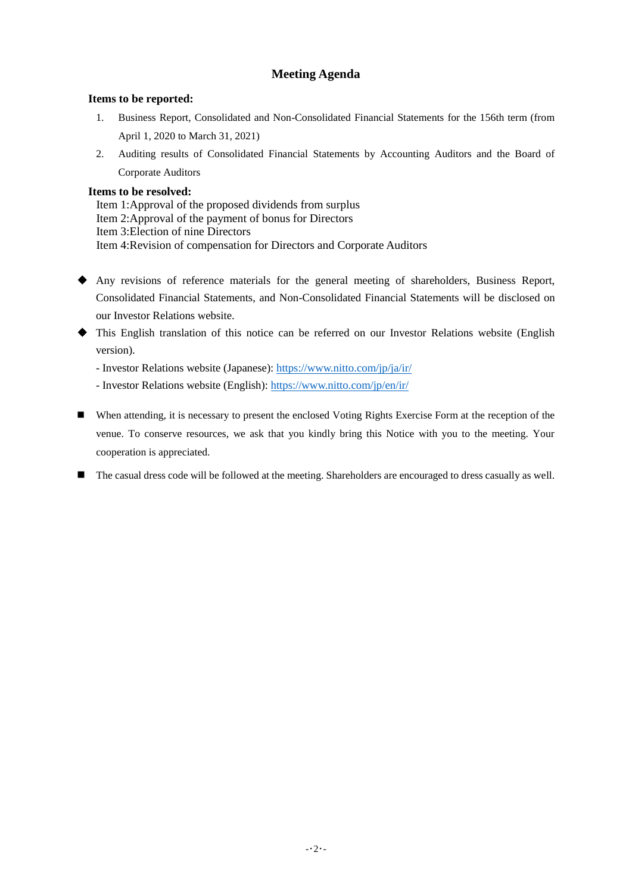# **Meeting Agenda**

# **Items to be reported:**

- 1. Business Report, Consolidated and Non-Consolidated Financial Statements for the 156th term (from April 1, 2020 to March 31, 2021)
- 2. Auditing results of Consolidated Financial Statements by Accounting Auditors and the Board of Corporate Auditors

# **Items to be resolved:**

Item 1: Approval of the proposed dividends from surplus Item 2: Approval of the payment of bonus for Directors Item 3: Election of nine Directors Item 4: Revision of compensation for Directors and Corporate Auditors

- Any revisions of reference materials for the general meeting of shareholders, Business Report, Consolidated Financial Statements, and Non-Consolidated Financial Statements will be disclosed on our Investor Relations website.
- This English translation of this notice can be referred on our Investor Relations website (English version).

- Investor Relations website (Japanese):<https://www.nitto.com/jp/ja/ir/>

- Investor Relations website (English): [https://www.nitto.com/jp/en/ir/](https://www.nitto.com/jp/en/ir)
- When attending, it is necessary to present the enclosed Voting Rights Exercise Form at the reception of the venue. To conserve resources, we ask that you kindly bring this Notice with you to the meeting. Your cooperation is appreciated.
- The casual dress code will be followed at the meeting. Shareholders are encouraged to dress casually as well.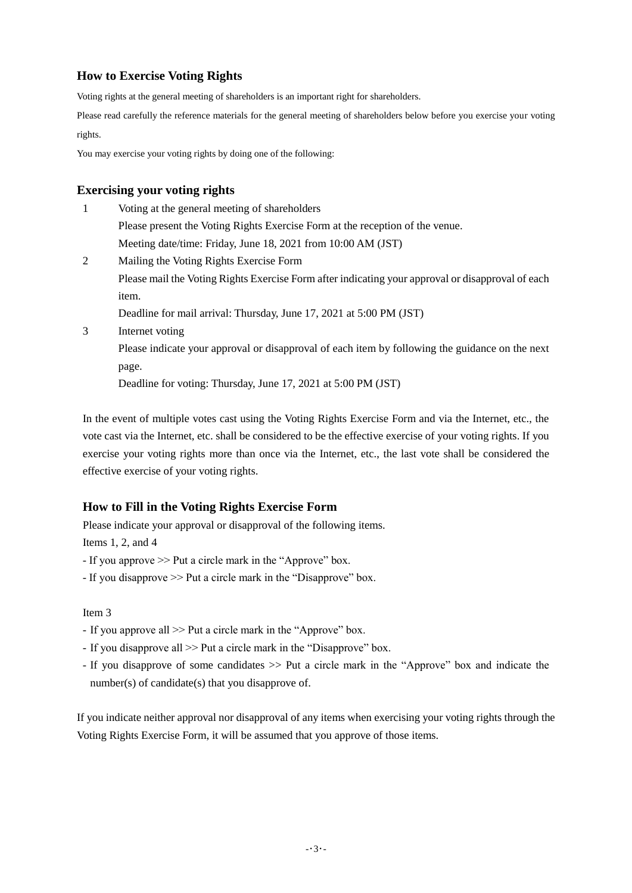# **How to Exercise Voting Rights**

Voting rights at the general meeting of shareholders is an important right for shareholders.

Please read carefully the reference materials for the general meeting of shareholders below before you exercise your voting rights.

You may exercise your voting rights by doing one of the following:

# **Exercising your voting rights**

| 1 | Voting at the general meeting of shareholders                                                     |
|---|---------------------------------------------------------------------------------------------------|
|   | Please present the Voting Rights Exercise Form at the reception of the venue.                     |
|   | Meeting date/time: Friday, June 18, 2021 from 10:00 AM (JST)                                      |
| 2 | Mailing the Voting Rights Exercise Form                                                           |
|   | Please mail the Voting Rights Exercise Form after indicating your approval or disapproval of each |
|   | item.                                                                                             |
|   | Deadline for mail arrival: Thursday, June 17, 2021 at 5:00 PM (JST)                               |
| 3 | Internet voting                                                                                   |
|   | Please indicate your approval or disapproval of each item by following the guidance on the next   |
|   | page.                                                                                             |
|   | Deadline for voting: Thursday, June 17, 2021 at 5:00 PM (JST)                                     |

In the event of multiple votes cast using the Voting Rights Exercise Form and via the Internet, etc., the vote cast via the Internet, etc. shall be considered to be the effective exercise of your voting rights. If you exercise your voting rights more than once via the Internet, etc., the last vote shall be considered the effective exercise of your voting rights.

# **How to Fill in the Voting Rights Exercise Form**

Please indicate your approval or disapproval of the following items.

Items 1, 2, and 4

- If you approve >> Put a circle mark in the "Approve" box.

- If you disapprove >> Put a circle mark in the "Disapprove" box.

## Item 3

- If you approve all >> Put a circle mark in the "Approve" box.
- If you disapprove all >> Put a circle mark in the "Disapprove" box.
- If you disapprove of some candidates >> Put a circle mark in the "Approve" box and indicate the number(s) of candidate(s) that you disapprove of.

If you indicate neither approval nor disapproval of any items when exercising your voting rights through the Voting Rights Exercise Form, it will be assumed that you approve of those items.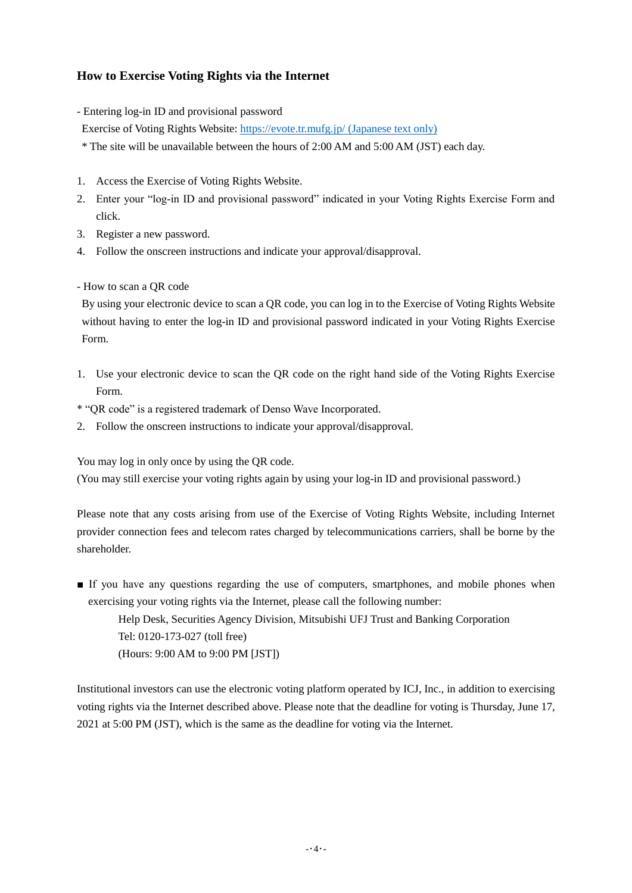# **How to Exercise Voting Rights via the Internet**

- Entering log-in ID and provisional password
- Exercise of Voting Rights Website:<https://evote.tr.mufg.jp/> (Japanese text only)
- \* The site will be unavailable between the hours of 2:00 AM and 5:00 AM (JST) each day.
- 1. Access the Exercise of Voting Rights Website.
- 2. Enter your "log-in ID and provisional password" indicated in your Voting Rights Exercise Form and click.
- 3. Register a new password.
- 4. Follow the onscreen instructions and indicate your approval/disapproval.
- How to scan a QR code

By using your electronic device to scan a QR code, you can log in to the Exercise of Voting Rights Website without having to enter the log-in ID and provisional password indicated in your Voting Rights Exercise Form.

- 1. Use your electronic device to scan the QR code on the right hand side of the Voting Rights Exercise Form.
- \* "QR code" is a registered trademark of Denso Wave Incorporated.
- 2. Follow the onscreen instructions to indicate your approval/disapproval.

You may log in only once by using the QR code.

(You may still exercise your voting rights again by using your log-in ID and provisional password.)

Please note that any costs arising from use of the Exercise of Voting Rights Website, including Internet provider connection fees and telecom rates charged by telecommunications carriers, shall be borne by the shareholder.

■ If you have any questions regarding the use of computers, smartphones, and mobile phones when exercising your voting rights via the Internet, please call the following number:

Help Desk, Securities Agency Division, Mitsubishi UFJ Trust and Banking Corporation Tel: 0120-173-027 (toll free) (Hours: 9:00 AM to 9:00 PM [JST])

Institutional investors can use the electronic voting platform operated by ICJ, Inc., in addition to exercising voting rights via the Internet described above. Please note that the deadline for voting is Thursday, June 17, 2021 at 5:00 PM (JST), which is the same as the deadline for voting via the Internet.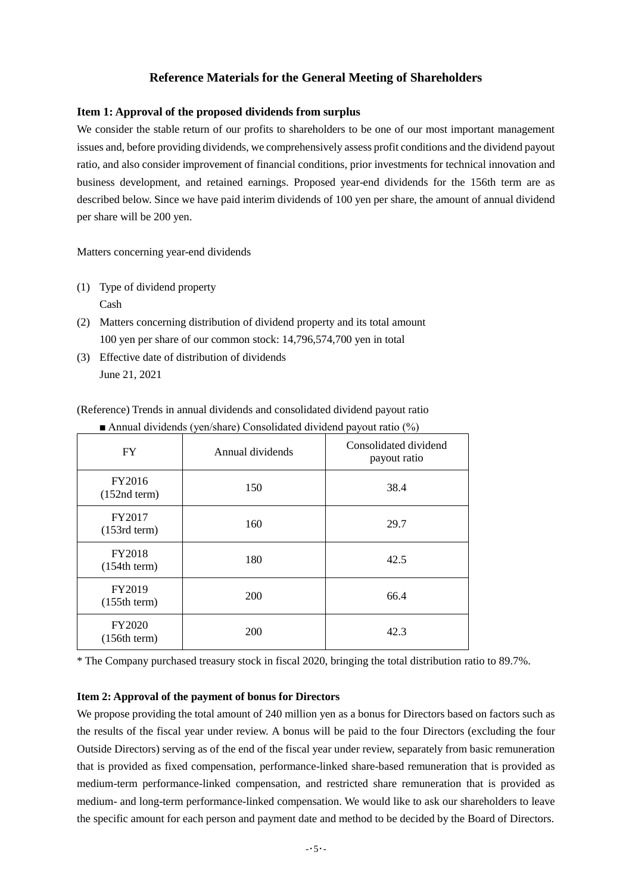# **Reference Materials for the General Meeting of Shareholders**

### **Item 1: Approval of the proposed dividends from surplus**

We consider the stable return of our profits to shareholders to be one of our most important management issues and, before providing dividends, we comprehensively assess profit conditions and the dividend payout ratio, and also consider improvement of financial conditions, prior investments for technical innovation and business development, and retained earnings. Proposed year-end dividends for the 156th term are as described below. Since we have paid interim dividends of 100 yen per share, the amount of annual dividend per share will be 200 yen.

Matters concerning year-end dividends

- (1) Type of dividend property Cash
- (2) Matters concerning distribution of dividend property and its total amount 100 yen per share of our common stock: 14,796,574,700 yen in total
- (3) Effective date of distribution of dividends June 21, 2021

(Reference) Trends in annual dividends and consolidated dividend payout ratio

| <b>FY</b>                     | Annual dividends | Consolidated dividend<br>payout ratio |
|-------------------------------|------------------|---------------------------------------|
| FY2016<br>$(152nd$ term)      | 150              | 38.4                                  |
| FY2017<br>$(153rd$ term)      | 160              | 29.7                                  |
| <b>FY2018</b><br>(154th term) | 180              | 42.5                                  |
| FY2019<br>(155th term)        | 200              | 66.4                                  |
| <b>FY2020</b><br>(156th term) | 200              | 42.3                                  |

■ Annual dividends (yen/share) Consolidated dividend payout ratio (%)

\* The Company purchased treasury stock in fiscal 2020, bringing the total distribution ratio to 89.7%.

### **Item 2: Approval of the payment of bonus for Directors**

We propose providing the total amount of 240 million yen as a bonus for Directors based on factors such as the results of the fiscal year under review. A bonus will be paid to the four Directors (excluding the four Outside Directors) serving as of the end of the fiscal year under review, separately from basic remuneration that is provided as fixed compensation, performance-linked share-based remuneration that is provided as medium-term performance-linked compensation, and restricted share remuneration that is provided as medium- and long-term performance-linked compensation. We would like to ask our shareholders to leave the specific amount for each person and payment date and method to be decided by the Board of Directors.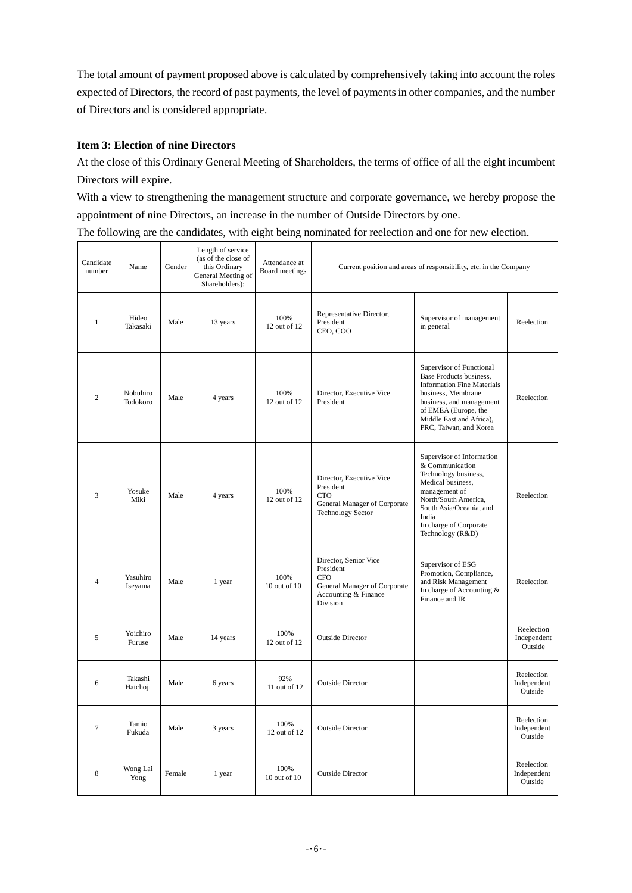The total amount of payment proposed above is calculated by comprehensively taking into account the roles expected of Directors, the record of past payments, the level of payments in other companies, and the number of Directors and is considered appropriate.

# **Item 3: Election of nine Directors**

At the close of this Ordinary General Meeting of Shareholders, the terms of office of all the eight incumbent Directors will expire.

With a view to strengthening the management structure and corporate governance, we hereby propose the appointment of nine Directors, an increase in the number of Outside Directors by one.

The following are the candidates, with eight being nominated for reelection and one for new election.

| Candidate<br>number | Name                 | Gender | Length of service<br>(as of the close of<br>this Ordinary<br>General Meeting of<br>Shareholders): | Attendance at<br>Board meetings | Current position and areas of responsibility, etc. in the Company                                                    |                                                                                                                                                                                                                          |                                      |
|---------------------|----------------------|--------|---------------------------------------------------------------------------------------------------|---------------------------------|----------------------------------------------------------------------------------------------------------------------|--------------------------------------------------------------------------------------------------------------------------------------------------------------------------------------------------------------------------|--------------------------------------|
| $\mathbf{1}$        | Hideo<br>Takasaki    | Male   | 13 years                                                                                          | 100%<br>12 out of 12            | Representative Director,<br>President<br>CEO, COO                                                                    | Supervisor of management<br>in general                                                                                                                                                                                   | Reelection                           |
| $\overline{c}$      | Nobuhiro<br>Todokoro | Male   | 4 years                                                                                           | 100%<br>12 out of 12            | Director, Executive Vice<br>President                                                                                | Supervisor of Functional<br>Base Products business,<br><b>Information Fine Materials</b><br>business, Membrane<br>business, and management<br>of EMEA (Europe, the<br>Middle East and Africa),<br>PRC, Taiwan, and Korea | Reelection                           |
| 3                   | Yosuke<br>Miki       | Male   | 4 years                                                                                           | 100%<br>12 out of 12            | Director, Executive Vice<br>President<br><b>CTO</b><br>General Manager of Corporate<br><b>Technology Sector</b>      | Supervisor of Information<br>& Communication<br>Technology business,<br>Medical business,<br>management of<br>North/South America,<br>South Asia/Oceania, and<br>India<br>In charge of Corporate<br>Technology (R&D)     | Reelection                           |
| $\overline{4}$      | Yasuhiro<br>Iseyama  | Male   | 1 year                                                                                            | 100%<br>$10$ out of $10$        | Director, Senior Vice<br>President<br><b>CFO</b><br>General Manager of Corporate<br>Accounting & Finance<br>Division | Supervisor of ESG<br>Promotion, Compliance,<br>and Risk Management<br>In charge of Accounting &<br>Finance and IR                                                                                                        | Reelection                           |
| 5                   | Yoichiro<br>Furuse   | Male   | 14 years                                                                                          | 100%<br>12 out of 12            | <b>Outside Director</b>                                                                                              |                                                                                                                                                                                                                          | Reelection<br>Independent<br>Outside |
| 6                   | Takashi<br>Hatchoji  | Male   | 6 years                                                                                           | 92%<br>11 out of 12             | <b>Outside Director</b>                                                                                              |                                                                                                                                                                                                                          | Reelection<br>Independent<br>Outside |
| $\tau$              | Tamio<br>Fukuda      | Male   | 3 years                                                                                           | 100%<br>12 out of 12            | <b>Outside Director</b>                                                                                              |                                                                                                                                                                                                                          | Reelection<br>Independent<br>Outside |
| 8                   | Wong Lai<br>Yong     | Female | 1 year                                                                                            | 100%<br>10 out of 10            | <b>Outside Director</b>                                                                                              |                                                                                                                                                                                                                          | Reelection<br>Independent<br>Outside |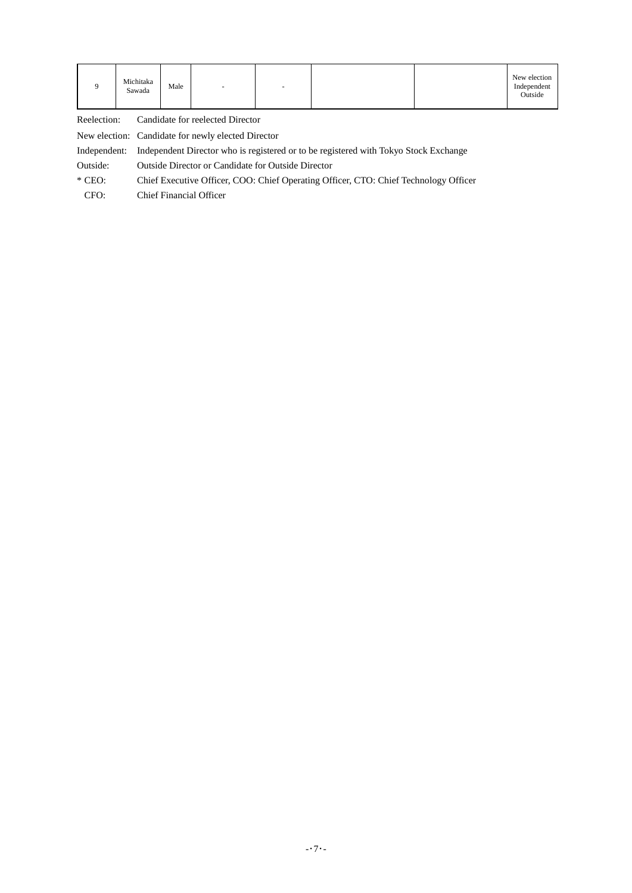|  | Michitaka<br>Male<br>Sawada | $\overline{\phantom{a}}$ |  |  |  | New election<br>Independent<br>Outside |
|--|-----------------------------|--------------------------|--|--|--|----------------------------------------|
|--|-----------------------------|--------------------------|--|--|--|----------------------------------------|

Reelection: Candidate for reelected Director

New election: Candidate for newly elected Director

Independent: Independent Director who is registered or to be registered with Tokyo Stock Exchange

Outside: Outside Director or Candidate for Outside Director

\* CEO: Chief Executive Officer, COO: Chief Operating Officer, CTO: Chief Technology Officer

CFO: Chief Financial Officer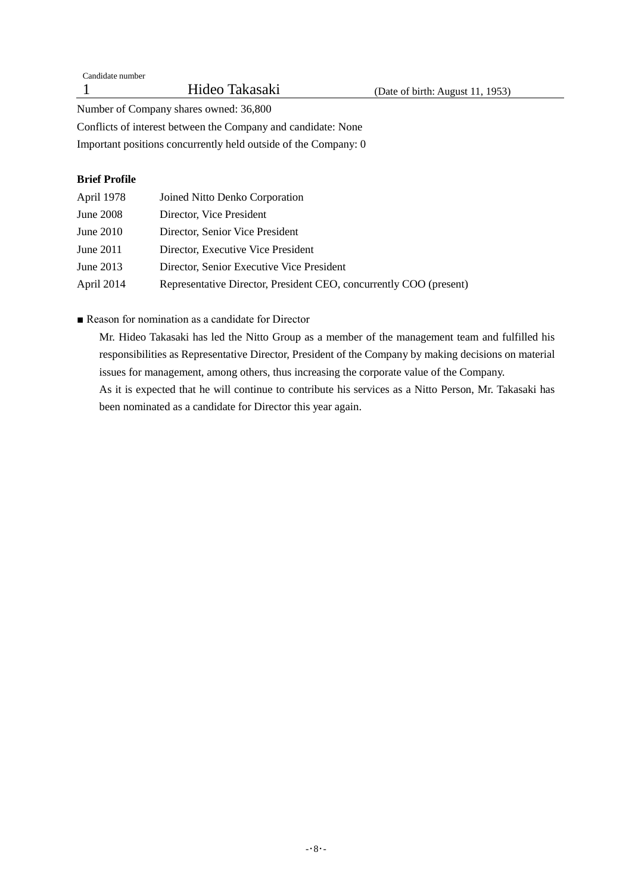Number of Company shares owned: 36,800

Conflicts of interest between the Company and candidate: None

Important positions concurrently held outside of the Company: 0

# **Brief Profile**

| April 1978       | Joined Nitto Denko Corporation                                     |
|------------------|--------------------------------------------------------------------|
| <b>June 2008</b> | Director, Vice President                                           |
| June $2010$      | Director, Senior Vice President                                    |
| June 2011        | Director, Executive Vice President                                 |
| June 2013        | Director, Senior Executive Vice President                          |
| April 2014       | Representative Director, President CEO, concurrently COO (present) |

■ Reason for nomination as a candidate for Director

Mr. Hideo Takasaki has led the Nitto Group as a member of the management team and fulfilled his responsibilities as Representative Director, President of the Company by making decisions on material issues for management, among others, thus increasing the corporate value of the Company.

As it is expected that he will continue to contribute his services as a Nitto Person, Mr. Takasaki has been nominated as a candidate for Director this year again.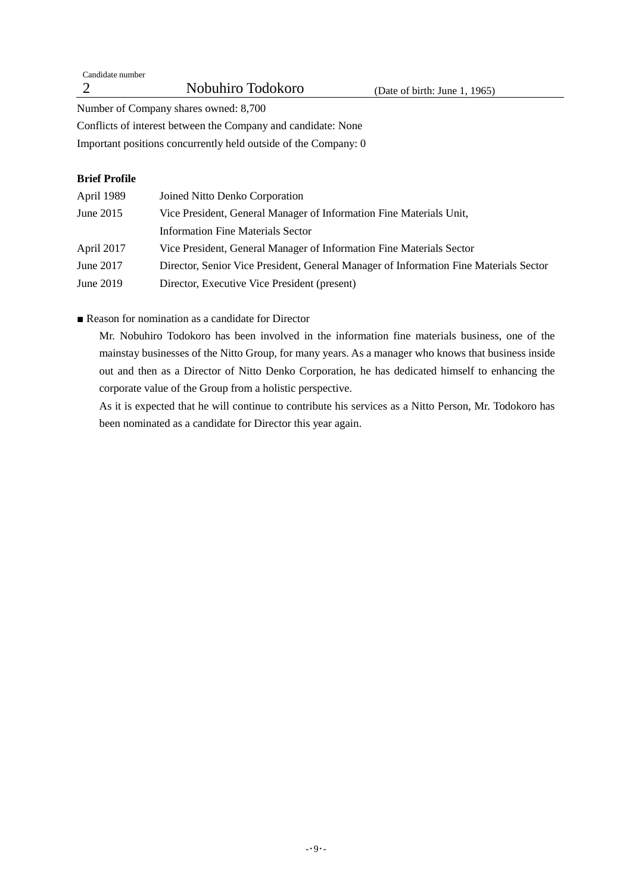Candidate number

Number of Company shares owned: 8,700

Conflicts of interest between the Company and candidate: None

Important positions concurrently held outside of the Company: 0

# **Brief Profile**

| April 1989  | Joined Nitto Denko Corporation                                                        |
|-------------|---------------------------------------------------------------------------------------|
| June $2015$ | Vice President, General Manager of Information Fine Materials Unit,                   |
|             | Information Fine Materials Sector                                                     |
| April 2017  | Vice President, General Manager of Information Fine Materials Sector                  |
| June 2017   | Director, Senior Vice President, General Manager of Information Fine Materials Sector |
| June 2019   | Director, Executive Vice President (present)                                          |

■ Reason for nomination as a candidate for Director

Mr. Nobuhiro Todokoro has been involved in the information fine materials business, one of the mainstay businesses of the Nitto Group, for many years. As a manager who knows that business inside out and then as a Director of Nitto Denko Corporation, he has dedicated himself to enhancing the corporate value of the Group from a holistic perspective.

As it is expected that he will continue to contribute his services as a Nitto Person, Mr. Todokoro has been nominated as a candidate for Director this year again.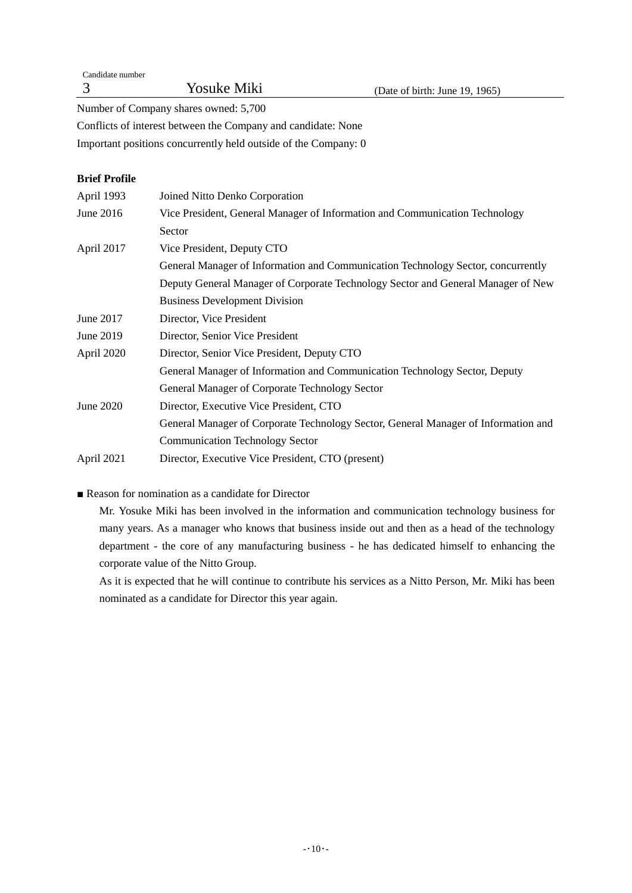| Candidate number |                    |
|------------------|--------------------|
|                  | <b>Yosuke Miki</b> |

Number of Company shares owned: 5,700

Conflicts of interest between the Company and candidate: None

Important positions concurrently held outside of the Company: 0

# **Brief Profile**

| April 1993 | Joined Nitto Denko Corporation                                                     |
|------------|------------------------------------------------------------------------------------|
| June 2016  | Vice President, General Manager of Information and Communication Technology        |
|            | Sector                                                                             |
| April 2017 | Vice President, Deputy CTO                                                         |
|            | General Manager of Information and Communication Technology Sector, concurrently   |
|            | Deputy General Manager of Corporate Technology Sector and General Manager of New   |
|            | <b>Business Development Division</b>                                               |
| June 2017  | Director, Vice President                                                           |
| June 2019  | Director, Senior Vice President                                                    |
| April 2020 | Director, Senior Vice President, Deputy CTO                                        |
|            | General Manager of Information and Communication Technology Sector, Deputy         |
|            | General Manager of Corporate Technology Sector                                     |
| June 2020  | Director, Executive Vice President, CTO                                            |
|            | General Manager of Corporate Technology Sector, General Manager of Information and |
|            | <b>Communication Technology Sector</b>                                             |
| April 2021 | Director, Executive Vice President, CTO (present)                                  |

■ Reason for nomination as a candidate for Director

Mr. Yosuke Miki has been involved in the information and communication technology business for many years. As a manager who knows that business inside out and then as a head of the technology department - the core of any manufacturing business - he has dedicated himself to enhancing the corporate value of the Nitto Group.

As it is expected that he will continue to contribute his services as a Nitto Person, Mr. Miki has been nominated as a candidate for Director this year again.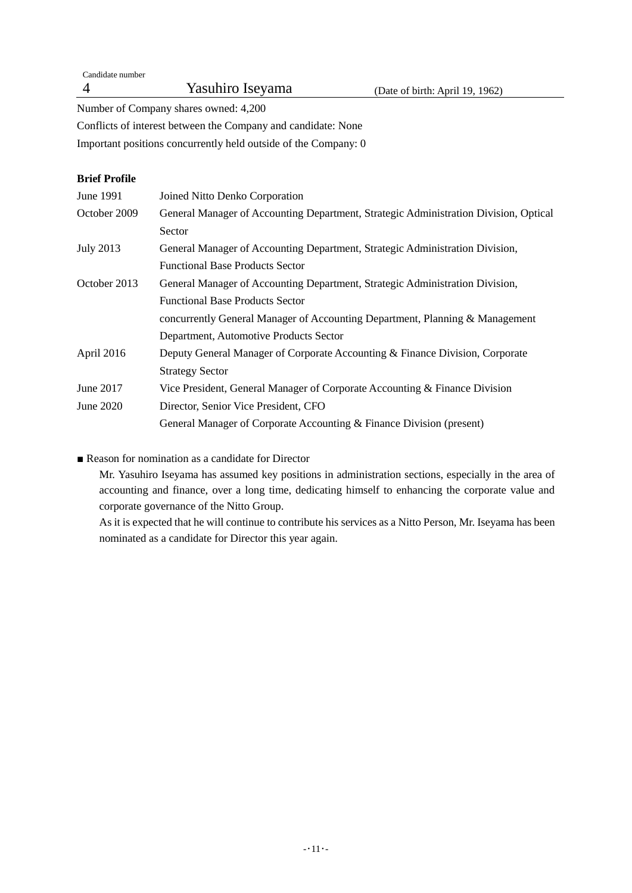Candidate number 4 Yasuhiro Iseyama (Date of birth: April 19, 1962)

Number of Company shares owned: 4,200

Conflicts of interest between the Company and candidate: None

Important positions concurrently held outside of the Company: 0

# **Brief Profile**

| June 1991        | Joined Nitto Denko Corporation                                                       |
|------------------|--------------------------------------------------------------------------------------|
| October 2009     | General Manager of Accounting Department, Strategic Administration Division, Optical |
|                  | Sector                                                                               |
| <b>July 2013</b> | General Manager of Accounting Department, Strategic Administration Division,         |
|                  | <b>Functional Base Products Sector</b>                                               |
| October 2013     | General Manager of Accounting Department, Strategic Administration Division,         |
|                  | <b>Functional Base Products Sector</b>                                               |
|                  | concurrently General Manager of Accounting Department, Planning & Management         |
|                  | Department, Automotive Products Sector                                               |
| April 2016       | Deputy General Manager of Corporate Accounting & Finance Division, Corporate         |
|                  | <b>Strategy Sector</b>                                                               |
| June 2017        | Vice President, General Manager of Corporate Accounting & Finance Division           |
| June 2020        | Director, Senior Vice President, CFO                                                 |
|                  | General Manager of Corporate Accounting & Finance Division (present)                 |

■ Reason for nomination as a candidate for Director

Mr. Yasuhiro Iseyama has assumed key positions in administration sections, especially in the area of accounting and finance, over a long time, dedicating himself to enhancing the corporate value and corporate governance of the Nitto Group.

As it is expected that he will continue to contribute his services as a Nitto Person, Mr. Iseyama has been nominated as a candidate for Director this year again.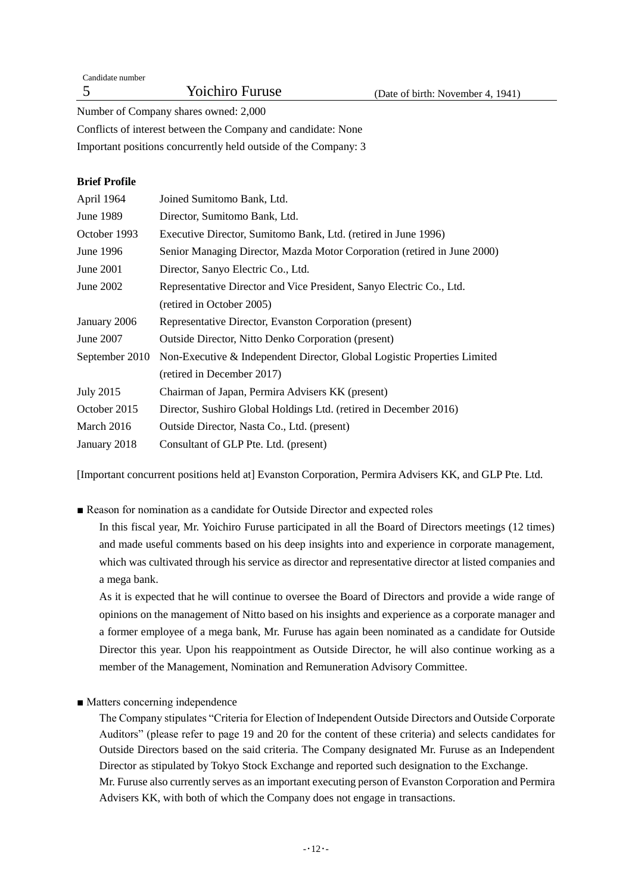| Candidate number |                        |                                   |
|------------------|------------------------|-----------------------------------|
|                  | <b>Yoichiro Furuse</b> | (Date of birth: November 4, 1941) |
|                  |                        |                                   |

Number of Company shares owned: 2,000

Conflicts of interest between the Company and candidate: None

Important positions concurrently held outside of the Company: 3

# **Brief Profile**

| April 1964       | Joined Sumitomo Bank, Ltd.                                               |
|------------------|--------------------------------------------------------------------------|
| June 1989        | Director, Sumitomo Bank, Ltd.                                            |
| October 1993     | Executive Director, Sumitomo Bank, Ltd. (retired in June 1996)           |
| June 1996        | Senior Managing Director, Mazda Motor Corporation (retired in June 2000) |
| June 2001        | Director, Sanyo Electric Co., Ltd.                                       |
| June 2002        | Representative Director and Vice President, Sanyo Electric Co., Ltd.     |
|                  | (retired in October 2005)                                                |
| January 2006     | Representative Director, Evanston Corporation (present)                  |
| June 2007        | <b>Outside Director, Nitto Denko Corporation (present)</b>               |
| September 2010   | Non-Executive & Independent Director, Global Logistic Properties Limited |
|                  | (retired in December 2017)                                               |
| <b>July 2015</b> | Chairman of Japan, Permira Advisers KK (present)                         |
| October 2015     | Director, Sushiro Global Holdings Ltd. (retired in December 2016)        |
| March 2016       | Outside Director, Nasta Co., Ltd. (present)                              |
| January 2018     | Consultant of GLP Pte. Ltd. (present)                                    |

[Important concurrent positions held at] Evanston Corporation, Permira Advisers KK, and GLP Pte. Ltd.

■ Reason for nomination as a candidate for Outside Director and expected roles

In this fiscal year, Mr. Yoichiro Furuse participated in all the Board of Directors meetings (12 times) and made useful comments based on his deep insights into and experience in corporate management, which was cultivated through his service as director and representative director at listed companies and a mega bank.

As it is expected that he will continue to oversee the Board of Directors and provide a wide range of opinions on the management of Nitto based on his insights and experience as a corporate manager and a former employee of a mega bank, Mr. Furuse has again been nominated as a candidate for Outside Director this year. Upon his reappointment as Outside Director, he will also continue working as a member of the Management, Nomination and Remuneration Advisory Committee.

■ Matters concerning independence

The Company stipulates "Criteria for Election of Independent Outside Directors and Outside Corporate Auditors" (please refer to page 19 and 20 for the content of these criteria) and selects candidates for Outside Directors based on the said criteria. The Company designated Mr. Furuse as an Independent Director as stipulated by Tokyo Stock Exchange and reported such designation to the Exchange. Mr. Furuse also currently serves as an important executing person of Evanston Corporation and Permira Advisers KK, with both of which the Company does not engage in transactions.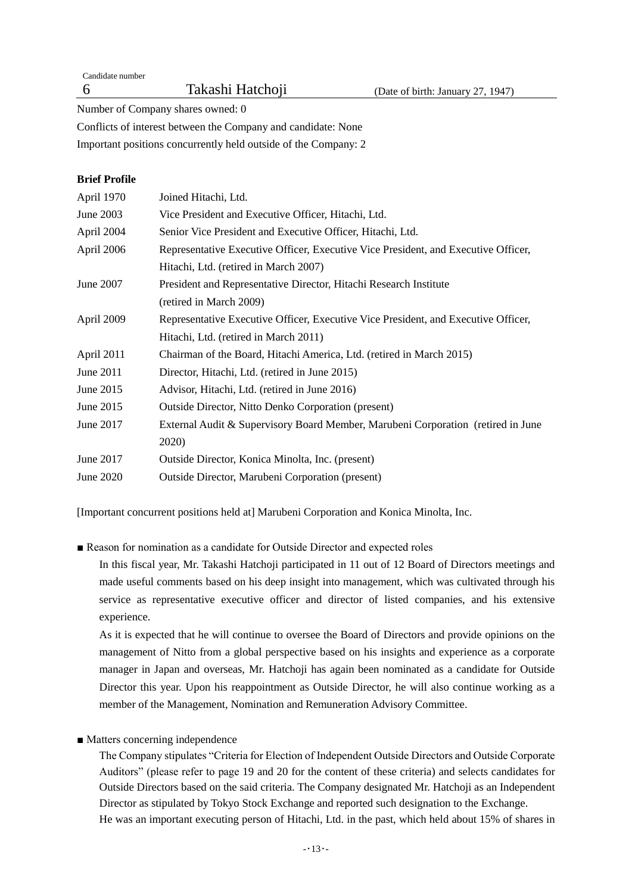Candidate number

Number of Company shares owned: 0

Conflicts of interest between the Company and candidate: None

Important positions concurrently held outside of the Company: 2

# **Brief Profile**

| April 1970 | Joined Hitachi, Ltd.                                                               |
|------------|------------------------------------------------------------------------------------|
| June 2003  | Vice President and Executive Officer, Hitachi, Ltd.                                |
| April 2004 | Senior Vice President and Executive Officer, Hitachi, Ltd.                         |
| April 2006 | Representative Executive Officer, Executive Vice President, and Executive Officer, |
|            | Hitachi, Ltd. (retired in March 2007)                                              |
| June 2007  | President and Representative Director, Hitachi Research Institute                  |
|            | (retired in March 2009)                                                            |
| April 2009 | Representative Executive Officer, Executive Vice President, and Executive Officer, |
|            | Hitachi, Ltd. (retired in March 2011)                                              |
| April 2011 | Chairman of the Board, Hitachi America, Ltd. (retired in March 2015)               |
| June 2011  | Director, Hitachi, Ltd. (retired in June 2015)                                     |
| June 2015  | Advisor, Hitachi, Ltd. (retired in June 2016)                                      |
| June 2015  | <b>Outside Director, Nitto Denko Corporation (present)</b>                         |
| June 2017  | External Audit & Supervisory Board Member, Marubeni Corporation (retired in June   |
|            | 2020)                                                                              |
| June 2017  | Outside Director, Konica Minolta, Inc. (present)                                   |
| June 2020  | <b>Outside Director, Marubeni Corporation (present)</b>                            |
|            |                                                                                    |

[Important concurrent positions held at] Marubeni Corporation and Konica Minolta, Inc.

■ Reason for nomination as a candidate for Outside Director and expected roles

In this fiscal year, Mr. Takashi Hatchoji participated in 11 out of 12 Board of Directors meetings and made useful comments based on his deep insight into management, which was cultivated through his service as representative executive officer and director of listed companies, and his extensive experience.

As it is expected that he will continue to oversee the Board of Directors and provide opinions on the management of Nitto from a global perspective based on his insights and experience as a corporate manager in Japan and overseas, Mr. Hatchoji has again been nominated as a candidate for Outside Director this year. Upon his reappointment as Outside Director, he will also continue working as a member of the Management, Nomination and Remuneration Advisory Committee.

■ Matters concerning independence

The Company stipulates "Criteria for Election of Independent Outside Directors and Outside Corporate Auditors" (please refer to page 19 and 20 for the content of these criteria) and selects candidates for Outside Directors based on the said criteria. The Company designated Mr. Hatchoji as an Independent Director as stipulated by Tokyo Stock Exchange and reported such designation to the Exchange. He was an important executing person of Hitachi, Ltd. in the past, which held about 15% of shares in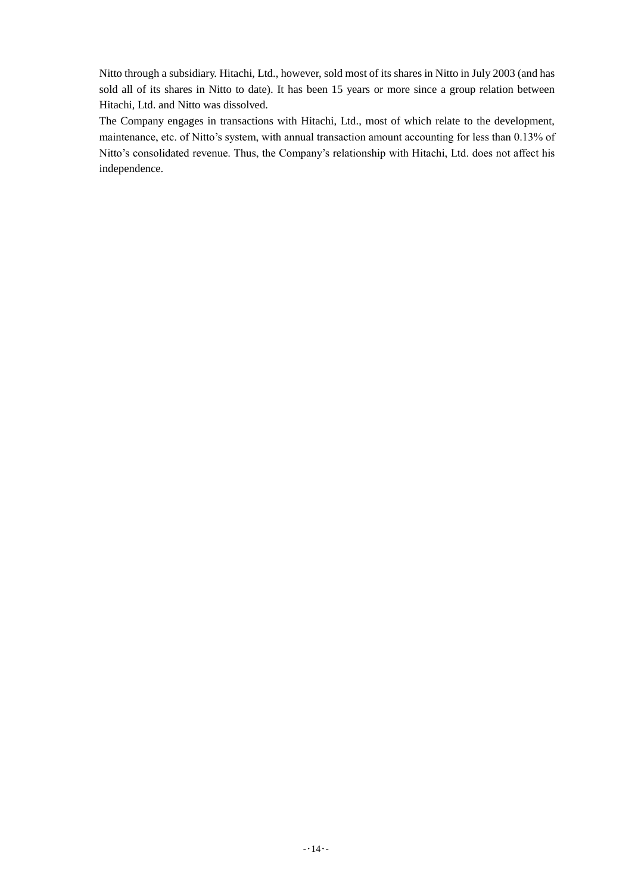Nitto through a subsidiary. Hitachi, Ltd., however, sold most of its shares in Nitto in July 2003 (and has sold all of its shares in Nitto to date). It has been 15 years or more since a group relation between Hitachi, Ltd. and Nitto was dissolved.

The Company engages in transactions with Hitachi, Ltd., most of which relate to the development, maintenance, etc. of Nitto's system, with annual transaction amount accounting for less than 0.13% of Nitto's consolidated revenue. Thus, the Company's relationship with Hitachi, Ltd. does not affect his independence.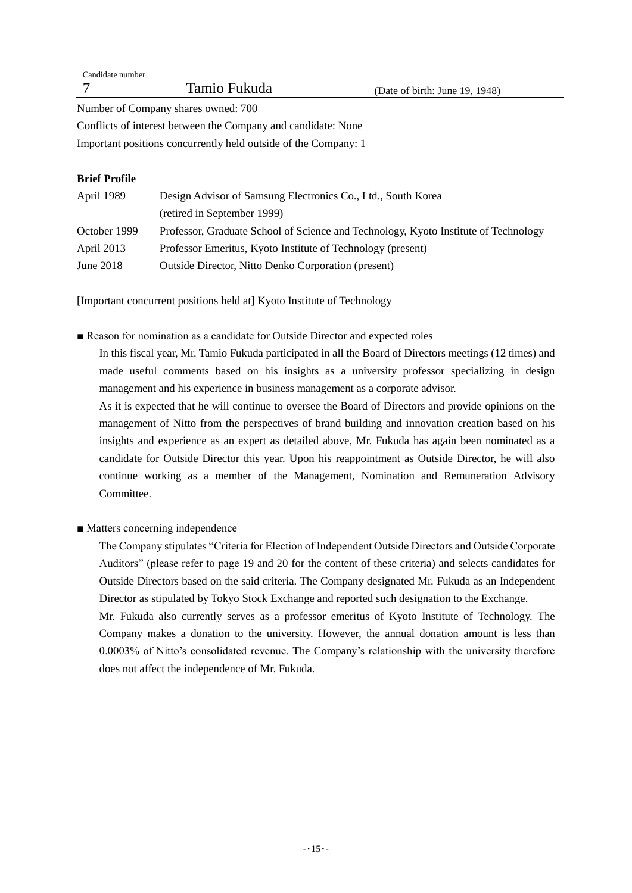| Candidate number |              |                                   |
|------------------|--------------|-----------------------------------|
|                  | Tamio Fukuda | (Date of birth: June $19, 1948$ ) |
|                  |              |                                   |

Number of Company shares owned: 700

Conflicts of interest between the Company and candidate: None

Important positions concurrently held outside of the Company: 1

# **Brief Profile**

| April 1989   | Design Advisor of Samsung Electronics Co., Ltd., South Korea                        |  |  |
|--------------|-------------------------------------------------------------------------------------|--|--|
|              | (retired in September 1999)                                                         |  |  |
| October 1999 | Professor, Graduate School of Science and Technology, Kyoto Institute of Technology |  |  |
| April 2013   | Professor Emeritus, Kyoto Institute of Technology (present)                         |  |  |
| June $2018$  | <b>Outside Director, Nitto Denko Corporation (present)</b>                          |  |  |

[Important concurrent positions held at] Kyoto Institute of Technology

■ Reason for nomination as a candidate for Outside Director and expected roles

In this fiscal year, Mr. Tamio Fukuda participated in all the Board of Directors meetings (12 times) and made useful comments based on his insights as a university professor specializing in design management and his experience in business management as a corporate advisor.

As it is expected that he will continue to oversee the Board of Directors and provide opinions on the management of Nitto from the perspectives of brand building and innovation creation based on his insights and experience as an expert as detailed above, Mr. Fukuda has again been nominated as a candidate for Outside Director this year. Upon his reappointment as Outside Director, he will also continue working as a member of the Management, Nomination and Remuneration Advisory Committee.

■ Matters concerning independence

The Company stipulates "Criteria for Election of Independent Outside Directors and Outside Corporate Auditors" (please refer to page 19 and 20 for the content of these criteria) and selects candidates for Outside Directors based on the said criteria. The Company designated Mr. Fukuda as an Independent Director as stipulated by Tokyo Stock Exchange and reported such designation to the Exchange.

Mr. Fukuda also currently serves as a professor emeritus of Kyoto Institute of Technology. The Company makes a donation to the university. However, the annual donation amount is less than 0.0003% of Nitto's consolidated revenue. The Company's relationship with the university therefore does not affect the independence of Mr. Fukuda.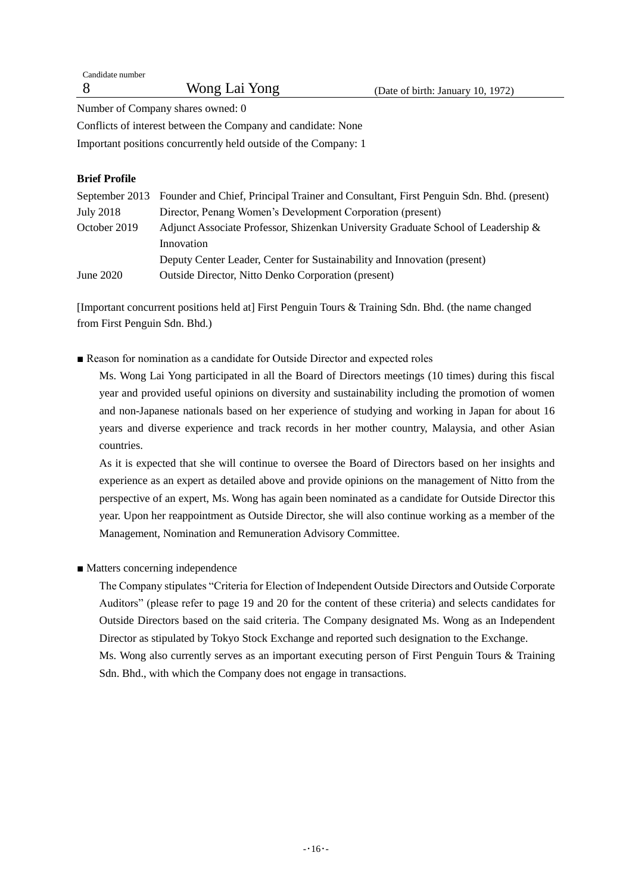| Candidate number |               |                                   |
|------------------|---------------|-----------------------------------|
| -8               | Wong Lai Yong | (Date of birth: January 10, 1972) |
|                  |               |                                   |

Number of Company shares owned: 0

Conflicts of interest between the Company and candidate: None

Important positions concurrently held outside of the Company: 1

# **Brief Profile**

|                  | September 2013 Founder and Chief, Principal Trainer and Consultant, First Penguin Sdn. Bhd. (present) |
|------------------|-------------------------------------------------------------------------------------------------------|
| <b>July 2018</b> | Director, Penang Women's Development Corporation (present)                                            |
| October 2019     | Adjunct Associate Professor, Shizenkan University Graduate School of Leadership &                     |
|                  | Innovation                                                                                            |
|                  | Deputy Center Leader, Center for Sustainability and Innovation (present)                              |
| June 2020        | <b>Outside Director, Nitto Denko Corporation (present)</b>                                            |

[Important concurrent positions held at] First Penguin Tours & Training Sdn. Bhd. (the name changed from First Penguin Sdn. Bhd.)

■ Reason for nomination as a candidate for Outside Director and expected roles

Ms. Wong Lai Yong participated in all the Board of Directors meetings (10 times) during this fiscal year and provided useful opinions on diversity and sustainability including the promotion of women and non-Japanese nationals based on her experience of studying and working in Japan for about 16 years and diverse experience and track records in her mother country, Malaysia, and other Asian countries.

As it is expected that she will continue to oversee the Board of Directors based on her insights and experience as an expert as detailed above and provide opinions on the management of Nitto from the perspective of an expert, Ms. Wong has again been nominated as a candidate for Outside Director this year. Upon her reappointment as Outside Director, she will also continue working as a member of the Management, Nomination and Remuneration Advisory Committee.

# ■ Matters concerning independence

The Company stipulates "Criteria for Election of Independent Outside Directors and Outside Corporate Auditors" (please refer to page 19 and 20 for the content of these criteria) and selects candidates for Outside Directors based on the said criteria. The Company designated Ms. Wong as an Independent Director as stipulated by Tokyo Stock Exchange and reported such designation to the Exchange. Ms. Wong also currently serves as an important executing person of First Penguin Tours & Training Sdn. Bhd., with which the Company does not engage in transactions.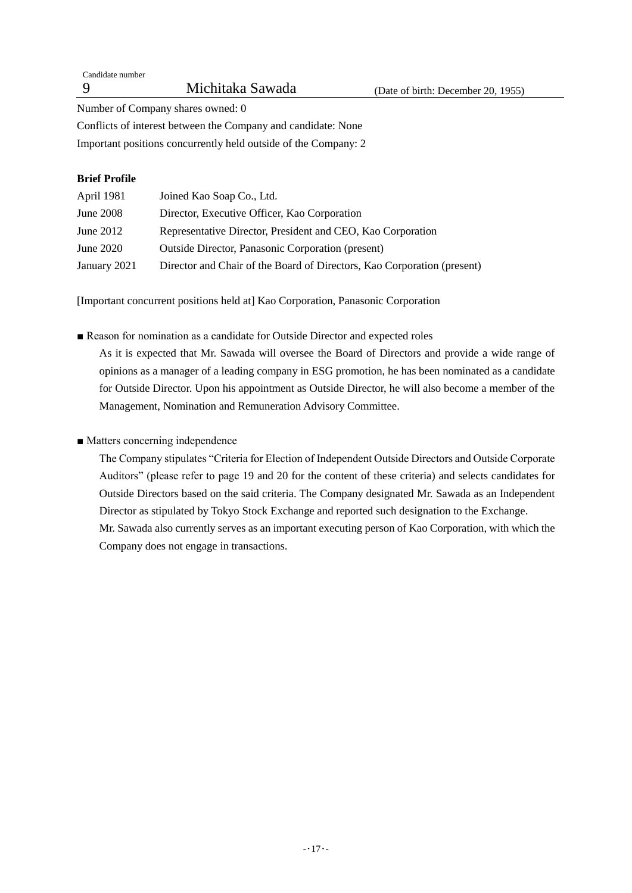Number of Company shares owned: 0

Conflicts of interest between the Company and candidate: None Important positions concurrently held outside of the Company: 2

# **Brief Profile**

| April 1981       | Joined Kao Soap Co., Ltd.                                               |
|------------------|-------------------------------------------------------------------------|
| <b>June 2008</b> | Director, Executive Officer, Kao Corporation                            |
| June $2012$      | Representative Director, President and CEO, Kao Corporation             |
| June 2020        | <b>Outside Director, Panasonic Corporation (present)</b>                |
| January 2021     | Director and Chair of the Board of Directors, Kao Corporation (present) |

[Important concurrent positions held at] Kao Corporation, Panasonic Corporation

■ Reason for nomination as a candidate for Outside Director and expected roles

As it is expected that Mr. Sawada will oversee the Board of Directors and provide a wide range of opinions as a manager of a leading company in ESG promotion, he has been nominated as a candidate for Outside Director. Upon his appointment as Outside Director, he will also become a member of the Management, Nomination and Remuneration Advisory Committee.

# ■ Matters concerning independence

The Company stipulates "Criteria for Election of Independent Outside Directors and Outside Corporate Auditors" (please refer to page 19 and 20 for the content of these criteria) and selects candidates for Outside Directors based on the said criteria. The Company designated Mr. Sawada as an Independent Director as stipulated by Tokyo Stock Exchange and reported such designation to the Exchange. Mr. Sawada also currently serves as an important executing person of Kao Corporation, with which the Company does not engage in transactions.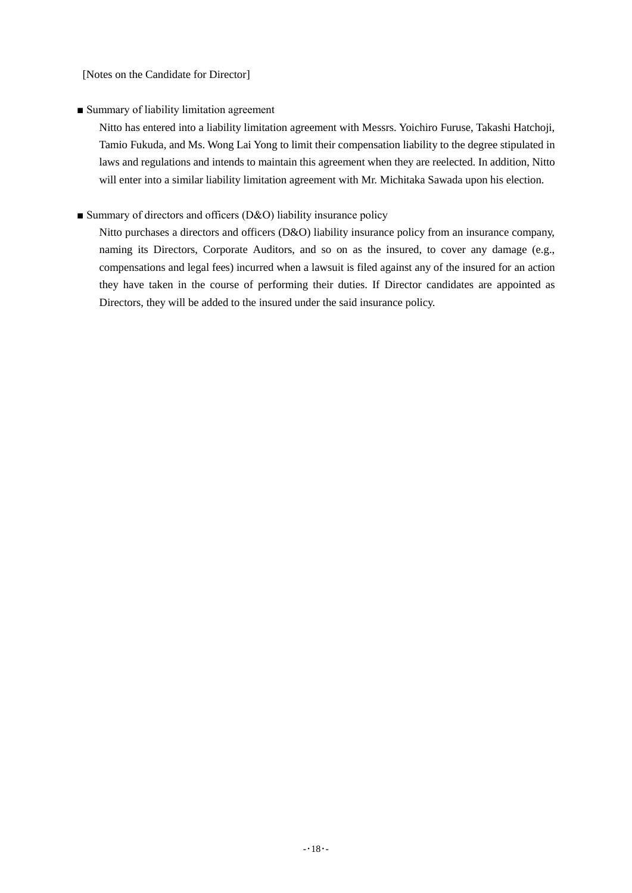[Notes on the Candidate for Director]

## ■ Summary of liability limitation agreement

Nitto has entered into a liability limitation agreement with Messrs. Yoichiro Furuse, Takashi Hatchoji, Tamio Fukuda, and Ms. Wong Lai Yong to limit their compensation liability to the degree stipulated in laws and regulations and intends to maintain this agreement when they are reelected. In addition, Nitto will enter into a similar liability limitation agreement with Mr. Michitaka Sawada upon his election.

## ■ Summary of directors and officers (D&O) liability insurance policy

Nitto purchases a directors and officers (D&O) liability insurance policy from an insurance company, naming its Directors, Corporate Auditors, and so on as the insured, to cover any damage (e.g., compensations and legal fees) incurred when a lawsuit is filed against any of the insured for an action they have taken in the course of performing their duties. If Director candidates are appointed as Directors, they will be added to the insured under the said insurance policy.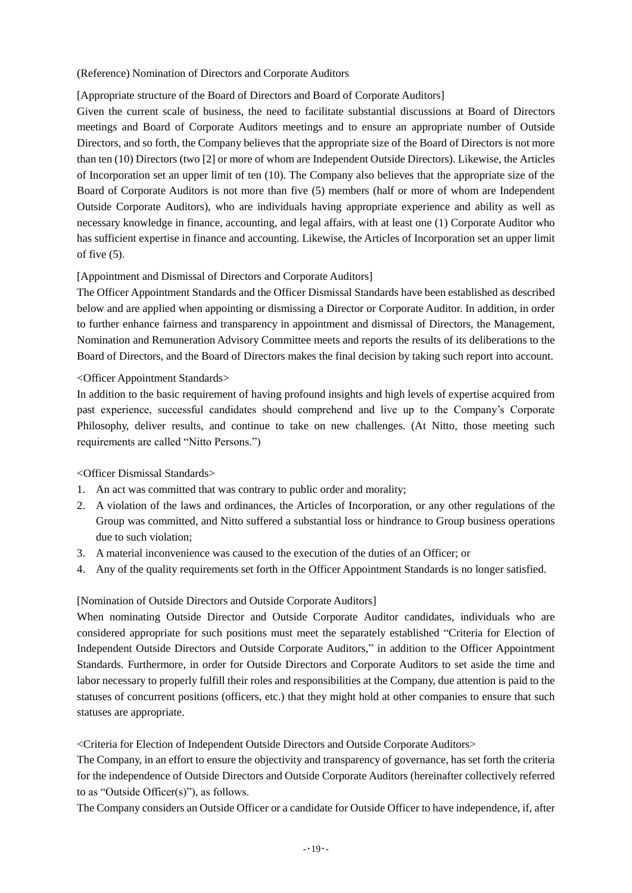(Reference) Nomination of Directors and Corporate Auditors

# [Appropriate structure of the Board of Directors and Board of Corporate Auditors]

Given the current scale of business, the need to facilitate substantial discussions at Board of Directors meetings and Board of Corporate Auditors meetings and to ensure an appropriate number of Outside Directors, and so forth, the Company believes that the appropriate size of the Board of Directors is not more than ten (10) Directors (two [2] or more of whom are Independent Outside Directors). Likewise, the Articles of Incorporation set an upper limit of ten (10). The Company also believes that the appropriate size of the Board of Corporate Auditors is not more than five (5) members (half or more of whom are Independent Outside Corporate Auditors), who are individuals having appropriate experience and ability as well as necessary knowledge in finance, accounting, and legal affairs, with at least one (1) Corporate Auditor who has sufficient expertise in finance and accounting. Likewise, the Articles of Incorporation set an upper limit of five (5).

# [Appointment and Dismissal of Directors and Corporate Auditors]

The Officer Appointment Standards and the Officer Dismissal Standards have been established as described below and are applied when appointing or dismissing a Director or Corporate Auditor. In addition, in order to further enhance fairness and transparency in appointment and dismissal of Directors, the Management, Nomination and Remuneration Advisory Committee meets and reports the results of its deliberations to the Board of Directors, and the Board of Directors makes the final decision by taking such report into account.

# <Officer Appointment Standards>

In addition to the basic requirement of having profound insights and high levels of expertise acquired from past experience, successful candidates should comprehend and live up to the Company's Corporate Philosophy, deliver results, and continue to take on new challenges. (At Nitto, those meeting such requirements are called "Nitto Persons.")

# <Officer Dismissal Standards>

- 1. An act was committed that was contrary to public order and morality;
- 2. A violation of the laws and ordinances, the Articles of Incorporation, or any other regulations of the Group was committed, and Nitto suffered a substantial loss or hindrance to Group business operations due to such violation;
- 3. A material inconvenience was caused to the execution of the duties of an Officer; or
- 4. Any of the quality requirements set forth in the Officer Appointment Standards is no longer satisfied.

# [Nomination of Outside Directors and Outside Corporate Auditors]

When nominating Outside Director and Outside Corporate Auditor candidates, individuals who are considered appropriate for such positions must meet the separately established "Criteria for Election of Independent Outside Directors and Outside Corporate Auditors," in addition to the Officer Appointment Standards. Furthermore, in order for Outside Directors and Corporate Auditors to set aside the time and labor necessary to properly fulfill their roles and responsibilities at the Company, due attention is paid to the statuses of concurrent positions (officers, etc.) that they might hold at other companies to ensure that such statuses are appropriate.

<Criteria for Election of Independent Outside Directors and Outside Corporate Auditors>

The Company, in an effort to ensure the objectivity and transparency of governance, has set forth the criteria for the independence of Outside Directors and Outside Corporate Auditors (hereinafter collectively referred to as "Outside Officer(s)"), as follows.

The Company considers an Outside Officer or a candidate for Outside Officer to have independence, if, after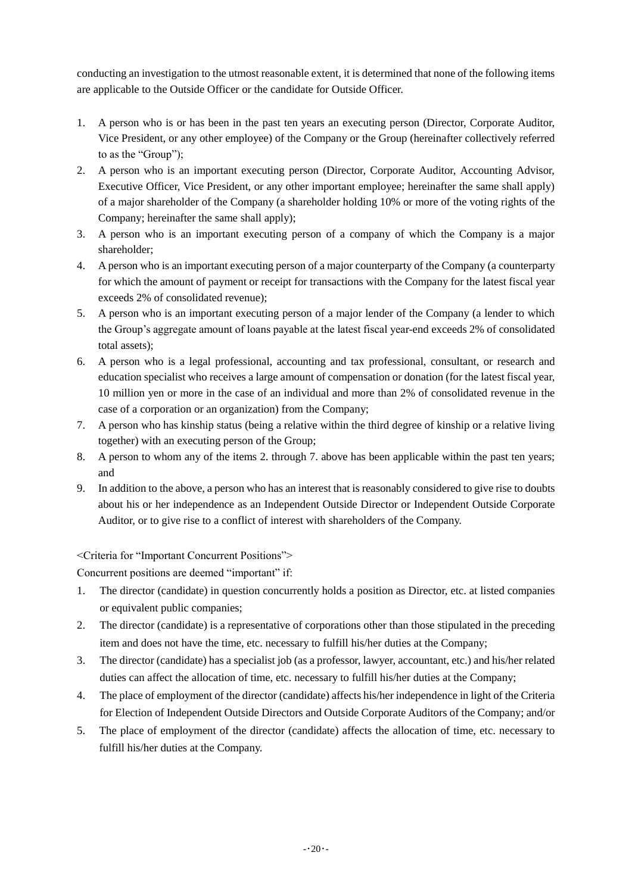conducting an investigation to the utmost reasonable extent, it is determined that none of the following items are applicable to the Outside Officer or the candidate for Outside Officer.

- 1. A person who is or has been in the past ten years an executing person (Director, Corporate Auditor, Vice President, or any other employee) of the Company or the Group (hereinafter collectively referred to as the "Group");
- 2. A person who is an important executing person (Director, Corporate Auditor, Accounting Advisor, Executive Officer, Vice President, or any other important employee; hereinafter the same shall apply) of a major shareholder of the Company (a shareholder holding 10% or more of the voting rights of the Company; hereinafter the same shall apply);
- 3. A person who is an important executing person of a company of which the Company is a major shareholder;
- 4. A person who is an important executing person of a major counterparty of the Company (a counterparty for which the amount of payment or receipt for transactions with the Company for the latest fiscal year exceeds 2% of consolidated revenue);
- 5. A person who is an important executing person of a major lender of the Company (a lender to which the Group's aggregate amount of loans payable at the latest fiscal year-end exceeds 2% of consolidated total assets);
- 6. A person who is a legal professional, accounting and tax professional, consultant, or research and education specialist who receives a large amount of compensation or donation (for the latest fiscal year, 10 million yen or more in the case of an individual and more than 2% of consolidated revenue in the case of a corporation or an organization) from the Company;
- 7. A person who has kinship status (being a relative within the third degree of kinship or a relative living together) with an executing person of the Group;
- 8. A person to whom any of the items 2. through 7. above has been applicable within the past ten years; and
- 9. In addition to the above, a person who has an interest that is reasonably considered to give rise to doubts about his or her independence as an Independent Outside Director or Independent Outside Corporate Auditor, or to give rise to a conflict of interest with shareholders of the Company.

<Criteria for "Important Concurrent Positions">

Concurrent positions are deemed "important" if:

- 1. The director (candidate) in question concurrently holds a position as Director, etc. at listed companies or equivalent public companies;
- 2. The director (candidate) is a representative of corporations other than those stipulated in the preceding item and does not have the time, etc. necessary to fulfill his/her duties at the Company;
- 3. The director (candidate) has a specialist job (as a professor, lawyer, accountant, etc.) and his/her related duties can affect the allocation of time, etc. necessary to fulfill his/her duties at the Company;
- 4. The place of employment of the director (candidate) affects his/her independence in light of the Criteria for Election of Independent Outside Directors and Outside Corporate Auditors of the Company; and/or
- 5. The place of employment of the director (candidate) affects the allocation of time, etc. necessary to fulfill his/her duties at the Company.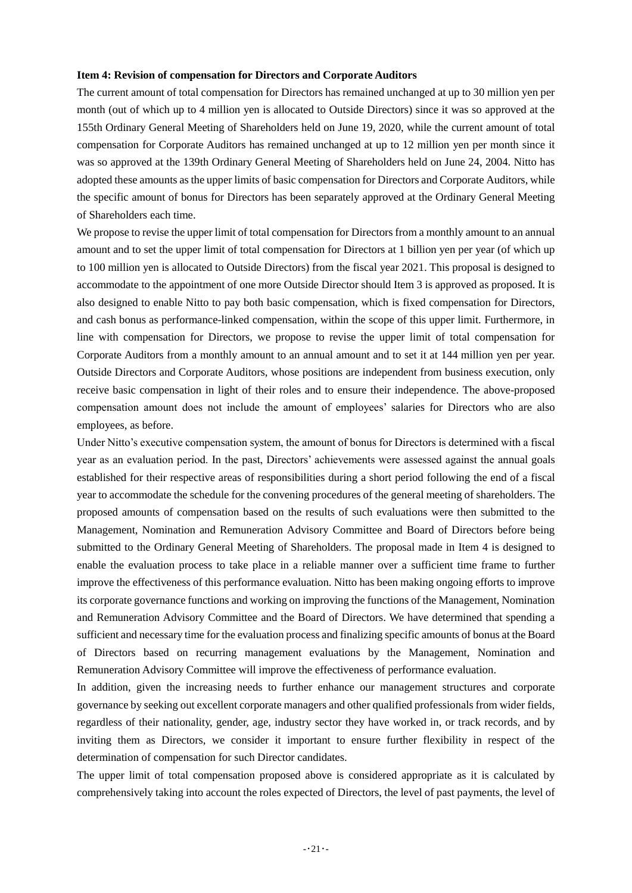### **Item 4: Revision of compensation for Directors and Corporate Auditors**

The current amount of total compensation for Directors has remained unchanged at up to 30 million yen per month (out of which up to 4 million yen is allocated to Outside Directors) since it was so approved at the 155th Ordinary General Meeting of Shareholders held on June 19, 2020, while the current amount of total compensation for Corporate Auditors has remained unchanged at up to 12 million yen per month since it was so approved at the 139th Ordinary General Meeting of Shareholders held on June 24, 2004. Nitto has adopted these amounts as the upper limits of basic compensation for Directors and Corporate Auditors, while the specific amount of bonus for Directors has been separately approved at the Ordinary General Meeting of Shareholders each time.

We propose to revise the upper limit of total compensation for Directors from a monthly amount to an annual amount and to set the upper limit of total compensation for Directors at 1 billion yen per year (of which up to 100 million yen is allocated to Outside Directors) from the fiscal year 2021. This proposal is designed to accommodate to the appointment of one more Outside Director should Item 3 is approved as proposed. It is also designed to enable Nitto to pay both basic compensation, which is fixed compensation for Directors, and cash bonus as performance-linked compensation, within the scope of this upper limit. Furthermore, in line with compensation for Directors, we propose to revise the upper limit of total compensation for Corporate Auditors from a monthly amount to an annual amount and to set it at 144 million yen per year. Outside Directors and Corporate Auditors, whose positions are independent from business execution, only receive basic compensation in light of their roles and to ensure their independence. The above-proposed compensation amount does not include the amount of employees' salaries for Directors who are also employees, as before.

Under Nitto's executive compensation system, the amount of bonus for Directors is determined with a fiscal year as an evaluation period. In the past, Directors' achievements were assessed against the annual goals established for their respective areas of responsibilities during a short period following the end of a fiscal year to accommodate the schedule for the convening procedures of the general meeting of shareholders. The proposed amounts of compensation based on the results of such evaluations were then submitted to the Management, Nomination and Remuneration Advisory Committee and Board of Directors before being submitted to the Ordinary General Meeting of Shareholders. The proposal made in Item 4 is designed to enable the evaluation process to take place in a reliable manner over a sufficient time frame to further improve the effectiveness of this performance evaluation. Nitto has been making ongoing efforts to improve its corporate governance functions and working on improving the functions of the Management, Nomination and Remuneration Advisory Committee and the Board of Directors. We have determined that spending a sufficient and necessary time for the evaluation process and finalizing specific amounts of bonus at the Board of Directors based on recurring management evaluations by the Management, Nomination and Remuneration Advisory Committee will improve the effectiveness of performance evaluation.

In addition, given the increasing needs to further enhance our management structures and corporate governance by seeking out excellent corporate managers and other qualified professionals from wider fields, regardless of their nationality, gender, age, industry sector they have worked in, or track records, and by inviting them as Directors, we consider it important to ensure further flexibility in respect of the determination of compensation for such Director candidates.

The upper limit of total compensation proposed above is considered appropriate as it is calculated by comprehensively taking into account the roles expected of Directors, the level of past payments, the level of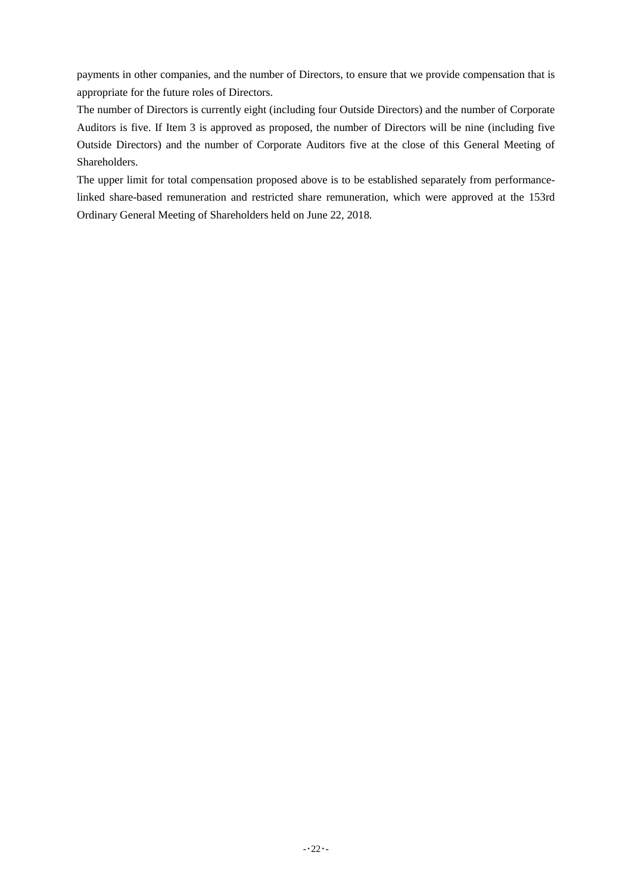payments in other companies, and the number of Directors, to ensure that we provide compensation that is appropriate for the future roles of Directors.

The number of Directors is currently eight (including four Outside Directors) and the number of Corporate Auditors is five. If Item 3 is approved as proposed, the number of Directors will be nine (including five Outside Directors) and the number of Corporate Auditors five at the close of this General Meeting of Shareholders.

The upper limit for total compensation proposed above is to be established separately from performancelinked share-based remuneration and restricted share remuneration, which were approved at the 153rd Ordinary General Meeting of Shareholders held on June 22, 2018.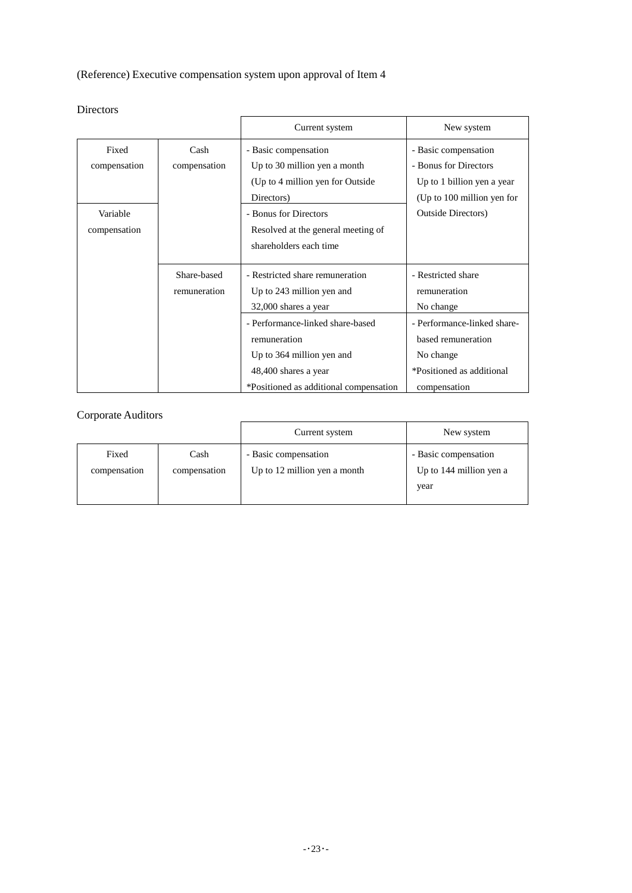(Reference) Executive compensation system upon approval of Item 4

|              |              | Current system                         | New system                  |
|--------------|--------------|----------------------------------------|-----------------------------|
| Fixed        | Cash         | - Basic compensation                   | - Basic compensation        |
| compensation | compensation | Up to 30 million yen a month           | - Bonus for Directors       |
|              |              | (Up to 4 million yen for Outside)      | Up to 1 billion yen a year  |
|              |              | Directors)                             | (Up to 100 million yen for  |
| Variable     |              | - Bonus for Directors                  | <b>Outside Directors</b> )  |
| compensation |              | Resolved at the general meeting of     |                             |
|              |              | shareholders each time                 |                             |
|              |              |                                        |                             |
|              | Share-based  | - Restricted share remuneration        | - Restricted share          |
|              | remuneration | Up to 243 million yen and              | remuneration                |
|              |              | 32,000 shares a year                   | No change                   |
|              |              | - Performance-linked share-based       | - Performance-linked share- |
|              |              | remuneration                           | based remuneration          |
|              |              | Up to 364 million yen and              | No change                   |
|              |              | 48,400 shares a year                   | *Positioned as additional   |
|              |              | *Positioned as additional compensation | compensation                |

# Directors

# Corporate Auditors

|              |              | Current system               | New system              |
|--------------|--------------|------------------------------|-------------------------|
| Fixed        | Cash         | - Basic compensation         | - Basic compensation    |
| compensation | compensation | Up to 12 million yen a month | Up to 144 million yen a |
|              |              |                              | year                    |
|              |              |                              |                         |

 $\overline{a}$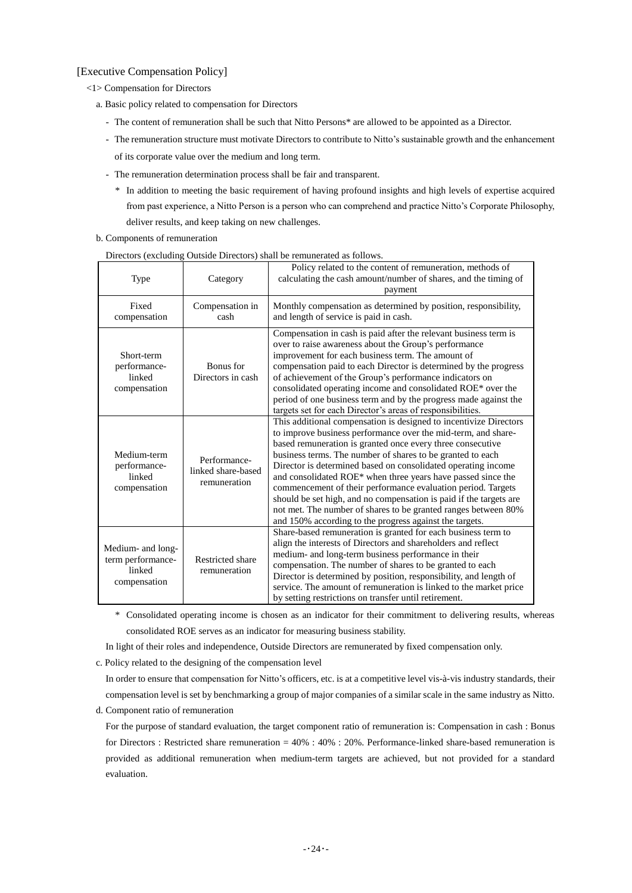## [Executive Compensation Policy]

- <1> Compensation for Directors
	- a. Basic policy related to compensation for Directors
		- The content of remuneration shall be such that Nitto Persons\* are allowed to be appointed as a Director.
		- The remuneration structure must motivate Directors to contribute to Nitto's sustainable growth and the enhancement of its corporate value over the medium and long term.
		- The remuneration determination process shall be fair and transparent.
			- \* In addition to meeting the basic requirement of having profound insights and high levels of expertise acquired from past experience, a Nitto Person is a person who can comprehend and practice Nitto's Corporate Philosophy, deliver results, and keep taking on new challenges.
	- b. Components of remuneration

| $D$ II CCLOID (CACIGAIN                                          |                                                    | Outsitue Directors) shah be remained as follows.                                                                                                                                                                                                                                                                                                                                                                                                                                                                                                                                                                                                                   |
|------------------------------------------------------------------|----------------------------------------------------|--------------------------------------------------------------------------------------------------------------------------------------------------------------------------------------------------------------------------------------------------------------------------------------------------------------------------------------------------------------------------------------------------------------------------------------------------------------------------------------------------------------------------------------------------------------------------------------------------------------------------------------------------------------------|
| Type                                                             | Category                                           | Policy related to the content of remuneration, methods of<br>calculating the cash amount/number of shares, and the timing of<br>payment                                                                                                                                                                                                                                                                                                                                                                                                                                                                                                                            |
| Fixed<br>compensation                                            | Compensation in<br>cash                            | Monthly compensation as determined by position, responsibility,<br>and length of service is paid in cash.                                                                                                                                                                                                                                                                                                                                                                                                                                                                                                                                                          |
| Short-term<br>performance-<br>linked<br>compensation             | Bonus for<br>Directors in cash                     | Compensation in cash is paid after the relevant business term is<br>over to raise awareness about the Group's performance<br>improvement for each business term. The amount of<br>compensation paid to each Director is determined by the progress<br>of achievement of the Group's performance indicators on<br>consolidated operating income and consolidated ROE* over the<br>period of one business term and by the progress made against the<br>targets set for each Director's areas of responsibilities.                                                                                                                                                    |
| Medium-term<br>performance-<br>linked<br>compensation            | Performance-<br>linked share-based<br>remuneration | This additional compensation is designed to incentivize Directors<br>to improve business performance over the mid-term, and share-<br>based remuneration is granted once every three consecutive<br>business terms. The number of shares to be granted to each<br>Director is determined based on consolidated operating income<br>and consolidated ROE* when three years have passed since the<br>commencement of their performance evaluation period. Targets<br>should be set high, and no compensation is paid if the targets are<br>not met. The number of shares to be granted ranges between 80%<br>and 150% according to the progress against the targets. |
| Medium- and long-<br>term performance-<br>linked<br>compensation | <b>Restricted share</b><br>remuneration            | Share-based remuneration is granted for each business term to<br>align the interests of Directors and shareholders and reflect<br>medium- and long-term business performance in their<br>compensation. The number of shares to be granted to each<br>Director is determined by position, responsibility, and length of<br>service. The amount of remuneration is linked to the market price<br>by setting restrictions on transfer until retirement.                                                                                                                                                                                                               |

Directors (excluding Outside Directors) shall be remunerated as follows.

\* Consolidated operating income is chosen as an indicator for their commitment to delivering results, whereas consolidated ROE serves as an indicator for measuring business stability.

In light of their roles and independence, Outside Directors are remunerated by fixed compensation only.

c. Policy related to the designing of the compensation level

In order to ensure that compensation for Nitto's officers, etc. is at a competitive level vis-à-vis industry standards, their compensation level is set by benchmarking a group of major companies of a similar scale in the same industry as Nitto.

d. Component ratio of remuneration

For the purpose of standard evaluation, the target component ratio of remuneration is: Compensation in cash : Bonus for Directors : Restricted share remuneration = 40% : 40% : 20%. Performance-linked share-based remuneration is provided as additional remuneration when medium-term targets are achieved, but not provided for a standard evaluation.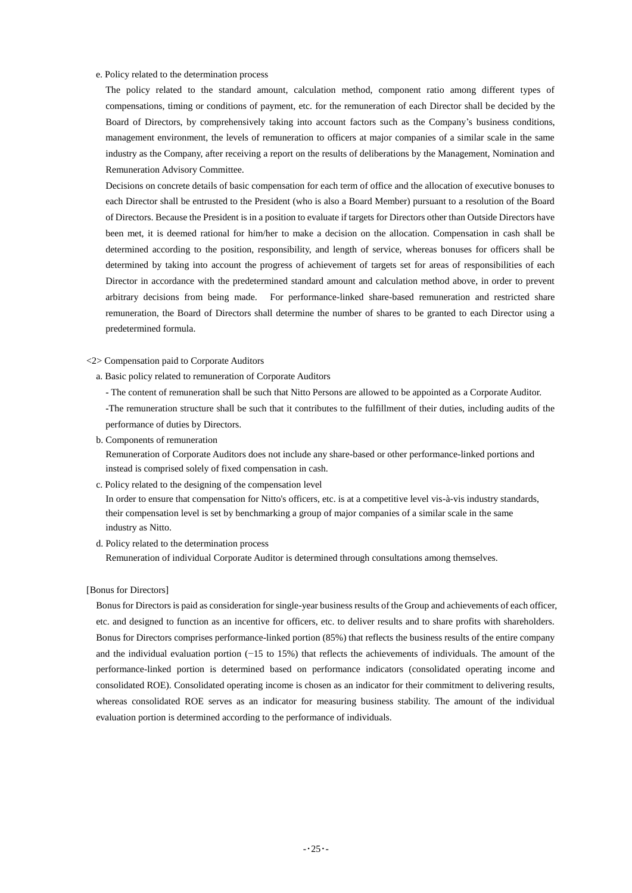#### e. Policy related to the determination process

The policy related to the standard amount, calculation method, component ratio among different types of compensations, timing or conditions of payment, etc. for the remuneration of each Director shall be decided by the Board of Directors, by comprehensively taking into account factors such as the Company's business conditions, management environment, the levels of remuneration to officers at major companies of a similar scale in the same industry as the Company, after receiving a report on the results of deliberations by the Management, Nomination and Remuneration Advisory Committee.

Decisions on concrete details of basic compensation for each term of office and the allocation of executive bonuses to each Director shall be entrusted to the President (who is also a Board Member) pursuant to a resolution of the Board of Directors. Because the President is in a position to evaluate if targets for Directors other than Outside Directors have been met, it is deemed rational for him/her to make a decision on the allocation. Compensation in cash shall be determined according to the position, responsibility, and length of service, whereas bonuses for officers shall be determined by taking into account the progress of achievement of targets set for areas of responsibilities of each Director in accordance with the predetermined standard amount and calculation method above, in order to prevent arbitrary decisions from being made. For performance-linked share-based remuneration and restricted share remuneration, the Board of Directors shall determine the number of shares to be granted to each Director using a predetermined formula.

<2> Compensation paid to Corporate Auditors

a. Basic policy related to remuneration of Corporate Auditors

- The content of remuneration shall be such that Nitto Persons are allowed to be appointed as a Corporate Auditor. -The remuneration structure shall be such that it contributes to the fulfillment of their duties, including audits of the performance of duties by Directors.

b. Components of remuneration

Remuneration of Corporate Auditors does not include any share-based or other performance-linked portions and instead is comprised solely of fixed compensation in cash.

c. Policy related to the designing of the compensation level

In order to ensure that compensation for Nitto's officers, etc. is at a competitive level vis-à-vis industry standards, their compensation level is set by benchmarking a group of major companies of a similar scale in the same industry as Nitto.

d. Policy related to the determination process Remuneration of individual Corporate Auditor is determined through consultations among themselves.

#### [Bonus for Directors]

Bonus for Directors is paid as consideration for single-year business results of the Group and achievements of each officer, etc. and designed to function as an incentive for officers, etc. to deliver results and to share profits with shareholders. Bonus for Directors comprises performance-linked portion (85%) that reflects the business results of the entire company and the individual evaluation portion (−15 to 15%) that reflects the achievements of individuals. The amount of the performance-linked portion is determined based on performance indicators (consolidated operating income and consolidated ROE). Consolidated operating income is chosen as an indicator for their commitment to delivering results, whereas consolidated ROE serves as an indicator for measuring business stability. The amount of the individual evaluation portion is determined according to the performance of individuals.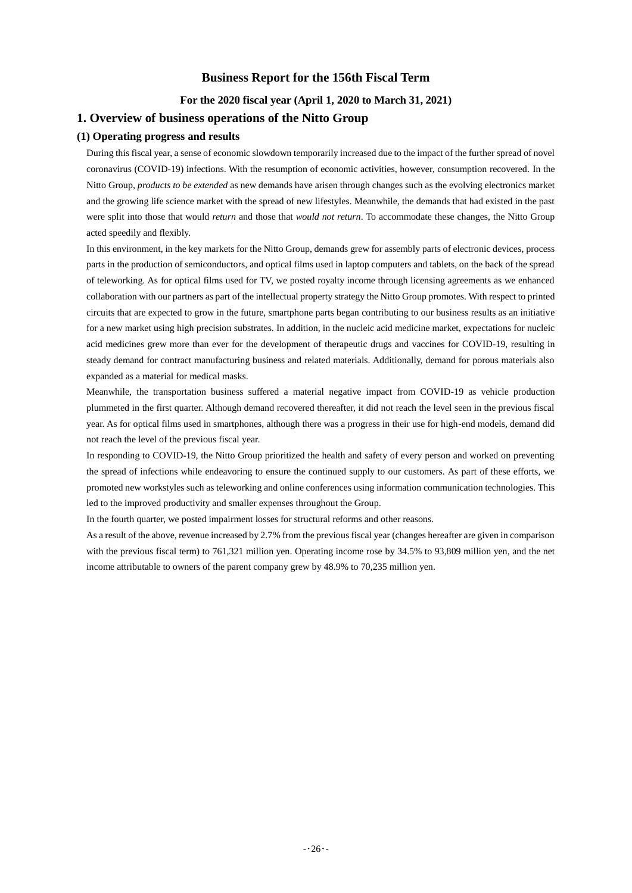### **Business Report for the 156th Fiscal Term**

**For the 2020 fiscal year (April 1, 2020 to March 31, 2021)**

### **1. Overview of business operations of the Nitto Group**

### **(1) Operating progress and results**

During this fiscal year, a sense of economic slowdown temporarily increased due to the impact of the further spread of novel coronavirus (COVID-19) infections. With the resumption of economic activities, however, consumption recovered. In the Nitto Group, *products to be extended* as new demands have arisen through changes such as the evolving electronics market and the growing life science market with the spread of new lifestyles. Meanwhile, the demands that had existed in the past were split into those that would *return* and those that *would not return*. To accommodate these changes, the Nitto Group acted speedily and flexibly.

In this environment, in the key markets for the Nitto Group, demands grew for assembly parts of electronic devices, process parts in the production of semiconductors, and optical films used in laptop computers and tablets, on the back of the spread of teleworking. As for optical films used for TV, we posted royalty income through licensing agreements as we enhanced collaboration with our partners as part of the intellectual property strategy the Nitto Group promotes. With respect to printed circuits that are expected to grow in the future, smartphone parts began contributing to our business results as an initiative for a new market using high precision substrates. In addition, in the nucleic acid medicine market, expectations for nucleic acid medicines grew more than ever for the development of therapeutic drugs and vaccines for COVID-19, resulting in steady demand for contract manufacturing business and related materials. Additionally, demand for porous materials also expanded as a material for medical masks.

Meanwhile, the transportation business suffered a material negative impact from COVID-19 as vehicle production plummeted in the first quarter. Although demand recovered thereafter, it did not reach the level seen in the previous fiscal year. As for optical films used in smartphones, although there was a progress in their use for high-end models, demand did not reach the level of the previous fiscal year.

In responding to COVID-19, the Nitto Group prioritized the health and safety of every person and worked on preventing the spread of infections while endeavoring to ensure the continued supply to our customers. As part of these efforts, we promoted new workstyles such as teleworking and online conferences using information communication technologies. This led to the improved productivity and smaller expenses throughout the Group.

In the fourth quarter, we posted impairment losses for structural reforms and other reasons.

As a result of the above, revenue increased by 2.7% from the previous fiscal year (changes hereafter are given in comparison with the previous fiscal term) to 761,321 million yen. Operating income rose by 34.5% to 93,809 million yen, and the net income attributable to owners of the parent company grew by 48.9% to 70,235 million yen.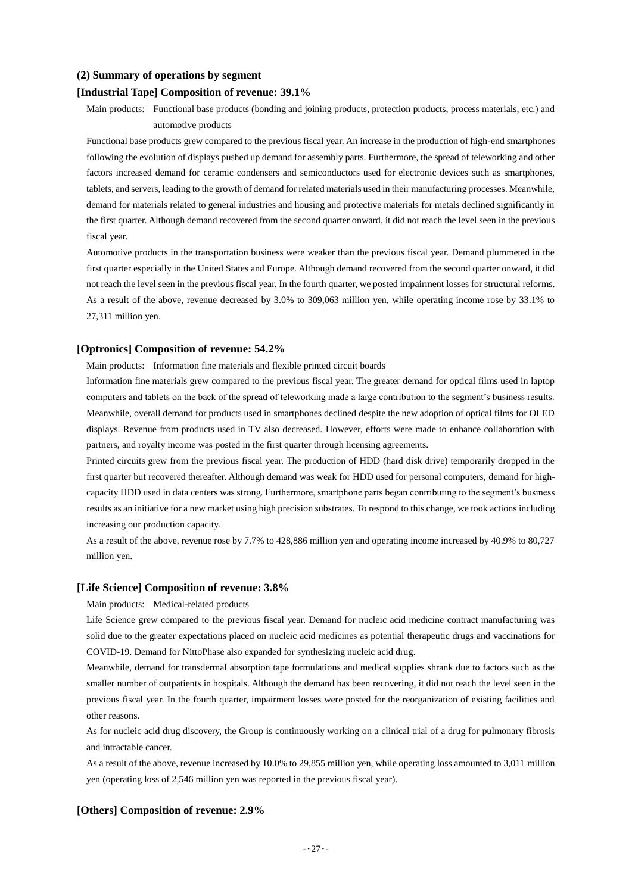### **(2) Summary of operations by segment**

### **[Industrial Tape] Composition of revenue: 39.1%**

Main products: Functional base products (bonding and joining products, protection products, process materials, etc.) and automotive products

Functional base products grew compared to the previous fiscal year. An increase in the production of high-end smartphones following the evolution of displays pushed up demand for assembly parts. Furthermore, the spread of teleworking and other factors increased demand for ceramic condensers and semiconductors used for electronic devices such as smartphones, tablets, and servers, leading to the growth of demand for related materials used in their manufacturing processes. Meanwhile, demand for materials related to general industries and housing and protective materials for metals declined significantly in the first quarter. Although demand recovered from the second quarter onward, it did not reach the level seen in the previous fiscal year.

Automotive products in the transportation business were weaker than the previous fiscal year. Demand plummeted in the first quarter especially in the United States and Europe. Although demand recovered from the second quarter onward, it did not reach the level seen in the previous fiscal year. In the fourth quarter, we posted impairment losses for structural reforms. As a result of the above, revenue decreased by 3.0% to 309,063 million yen, while operating income rose by 33.1% to 27,311 million yen.

### **[Optronics] Composition of revenue: 54.2%**

Main products: Information fine materials and flexible printed circuit boards

Information fine materials grew compared to the previous fiscal year. The greater demand for optical films used in laptop computers and tablets on the back of the spread of teleworking made a large contribution to the segment's business results. Meanwhile, overall demand for products used in smartphones declined despite the new adoption of optical films for OLED displays. Revenue from products used in TV also decreased. However, efforts were made to enhance collaboration with partners, and royalty income was posted in the first quarter through licensing agreements.

Printed circuits grew from the previous fiscal year. The production of HDD (hard disk drive) temporarily dropped in the first quarter but recovered thereafter. Although demand was weak for HDD used for personal computers, demand for highcapacity HDD used in data centers was strong. Furthermore, smartphone parts began contributing to the segment's business results as an initiative for a new market using high precision substrates. To respond to this change, we took actions including increasing our production capacity.

As a result of the above, revenue rose by 7.7% to 428,886 million yen and operating income increased by 40.9% to 80,727 million yen.

### **[Life Science] Composition of revenue: 3.8%**

Main products: Medical-related products

Life Science grew compared to the previous fiscal year. Demand for nucleic acid medicine contract manufacturing was solid due to the greater expectations placed on nucleic acid medicines as potential therapeutic drugs and vaccinations for COVID-19. Demand for NittoPhase also expanded for synthesizing nucleic acid drug.

Meanwhile, demand for transdermal absorption tape formulations and medical supplies shrank due to factors such as the smaller number of outpatients in hospitals. Although the demand has been recovering, it did not reach the level seen in the previous fiscal year. In the fourth quarter, impairment losses were posted for the reorganization of existing facilities and other reasons.

As for nucleic acid drug discovery, the Group is continuously working on a clinical trial of a drug for pulmonary fibrosis and intractable cancer.

As a result of the above, revenue increased by 10.0% to 29,855 million yen, while operating loss amounted to 3,011 million yen (operating loss of 2,546 million yen was reported in the previous fiscal year).

### **[Others] Composition of revenue: 2.9%**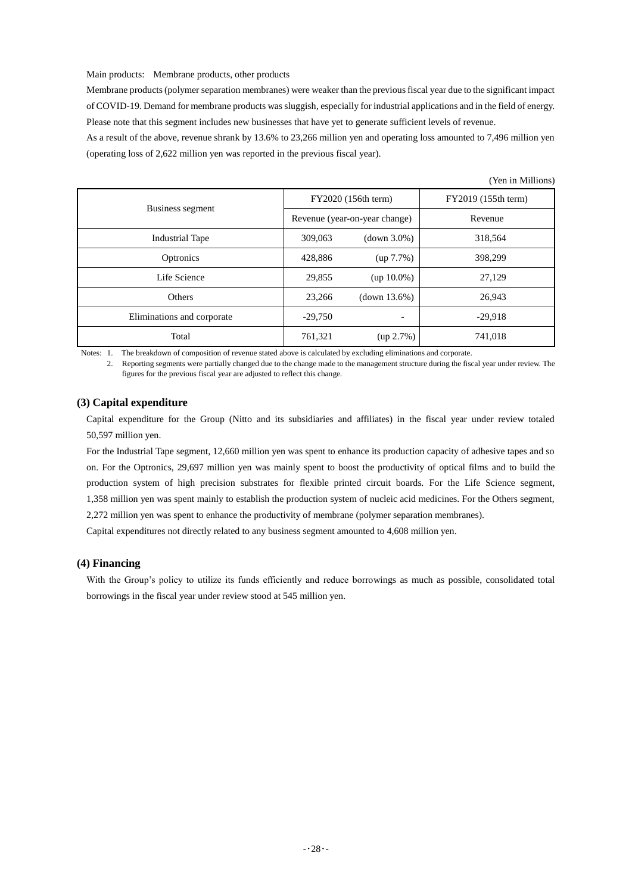Main products: Membrane products, other products

Membrane products (polymer separation membranes) were weaker than the previous fiscal year due to the significant impact of COVID-19. Demand for membrane products was sluggish, especially for industrial applications and in the field of energy. Please note that this segment includes new businesses that have yet to generate sufficient levels of revenue.

As a result of the above, revenue shrank by 13.6% to 23,266 million yen and operating loss amounted to 7,496 million yen (operating loss of 2,622 million yen was reported in the previous fiscal year).

|                            |                     |                               | (Yen in Millions)   |
|----------------------------|---------------------|-------------------------------|---------------------|
|                            | FY2020 (156th term) |                               | FY2019 (155th term) |
| Business segment           |                     | Revenue (year-on-year change) | Revenue             |
| <b>Industrial Tape</b>     | 309,063             | $(down 3.0\%)$                | 318,564             |
| Optronics                  | 428,886             | $(up 7.7\%)$                  | 398,299             |
| Life Science               | 29,855              | $(up 10.0\%)$                 | 27,129              |
| Others                     | 23,266              | (down 13.6%)                  | 26,943              |
| Eliminations and corporate | $-29,750$           | $\overline{\phantom{0}}$      | $-29,918$           |
| Total                      | 761,321             | $(up 2.7\%)$                  | 741,018             |

Notes: 1. The breakdown of composition of revenue stated above is calculated by excluding eliminations and corporate.

2. Reporting segments were partially changed due to the change made to the management structure during the fiscal year under review. The figures for the previous fiscal year are adjusted to reflect this change.

### **(3) Capital expenditure**

Capital expenditure for the Group (Nitto and its subsidiaries and affiliates) in the fiscal year under review totaled 50,597 million yen.

For the Industrial Tape segment, 12,660 million yen was spent to enhance its production capacity of adhesive tapes and so on. For the Optronics, 29,697 million yen was mainly spent to boost the productivity of optical films and to build the production system of high precision substrates for flexible printed circuit boards. For the Life Science segment, 1,358 million yen was spent mainly to establish the production system of nucleic acid medicines. For the Others segment, 2,272 million yen was spent to enhance the productivity of membrane (polymer separation membranes).

Capital expenditures not directly related to any business segment amounted to 4,608 million yen.

### **(4) Financing**

With the Group's policy to utilize its funds efficiently and reduce borrowings as much as possible, consolidated total borrowings in the fiscal year under review stood at 545 million yen.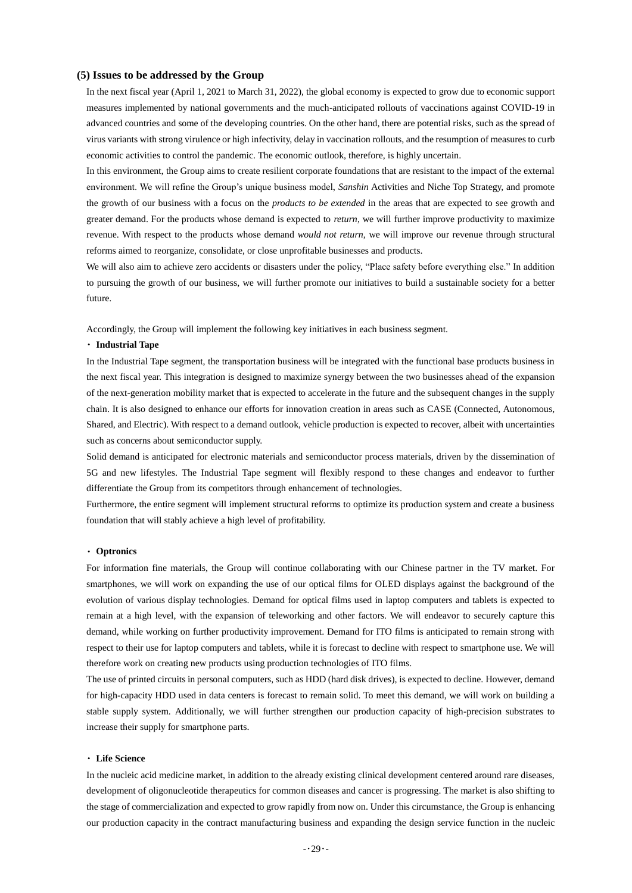### **(5) Issues to be addressed by the Group**

In the next fiscal year (April 1, 2021 to March 31, 2022), the global economy is expected to grow due to economic support measures implemented by national governments and the much-anticipated rollouts of vaccinations against COVID-19 in advanced countries and some of the developing countries. On the other hand, there are potential risks, such as the spread of virus variants with strong virulence or high infectivity, delay in vaccination rollouts, and the resumption of measures to curb economic activities to control the pandemic. The economic outlook, therefore, is highly uncertain.

In this environment, the Group aims to create resilient corporate foundations that are resistant to the impact of the external environment. We will refine the Group's unique business model, *Sanshin* Activities and Niche Top Strategy, and promote the growth of our business with a focus on the *products to be extended* in the areas that are expected to see growth and greater demand. For the products whose demand is expected to *return*, we will further improve productivity to maximize revenue. With respect to the products whose demand *would not return*, we will improve our revenue through structural reforms aimed to reorganize, consolidate, or close unprofitable businesses and products.

We will also aim to achieve zero accidents or disasters under the policy, "Place safety before everything else." In addition to pursuing the growth of our business, we will further promote our initiatives to build a sustainable society for a better future.

Accordingly, the Group will implement the following key initiatives in each business segment.

#### ・ **Industrial Tape**

In the Industrial Tape segment, the transportation business will be integrated with the functional base products business in the next fiscal year. This integration is designed to maximize synergy between the two businesses ahead of the expansion of the next-generation mobility market that is expected to accelerate in the future and the subsequent changes in the supply chain. It is also designed to enhance our efforts for innovation creation in areas such as CASE (Connected, Autonomous, Shared, and Electric). With respect to a demand outlook, vehicle production is expected to recover, albeit with uncertainties such as concerns about semiconductor supply.

Solid demand is anticipated for electronic materials and semiconductor process materials, driven by the dissemination of 5G and new lifestyles. The Industrial Tape segment will flexibly respond to these changes and endeavor to further differentiate the Group from its competitors through enhancement of technologies.

Furthermore, the entire segment will implement structural reforms to optimize its production system and create a business foundation that will stably achieve a high level of profitability.

#### ・ **Optronics**

For information fine materials, the Group will continue collaborating with our Chinese partner in the TV market. For smartphones, we will work on expanding the use of our optical films for OLED displays against the background of the evolution of various display technologies. Demand for optical films used in laptop computers and tablets is expected to remain at a high level, with the expansion of teleworking and other factors. We will endeavor to securely capture this demand, while working on further productivity improvement. Demand for ITO films is anticipated to remain strong with respect to their use for laptop computers and tablets, while it is forecast to decline with respect to smartphone use. We will therefore work on creating new products using production technologies of ITO films.

The use of printed circuits in personal computers, such as HDD (hard disk drives), is expected to decline. However, demand for high-capacity HDD used in data centers is forecast to remain solid. To meet this demand, we will work on building a stable supply system. Additionally, we will further strengthen our production capacity of high-precision substrates to increase their supply for smartphone parts.

#### ・ **Life Science**

In the nucleic acid medicine market, in addition to the already existing clinical development centered around rare diseases, development of oligonucleotide therapeutics for common diseases and cancer is progressing. The market is also shifting to the stage of commercialization and expected to grow rapidly from now on. Under this circumstance, the Group is enhancing our production capacity in the contract manufacturing business and expanding the design service function in the nucleic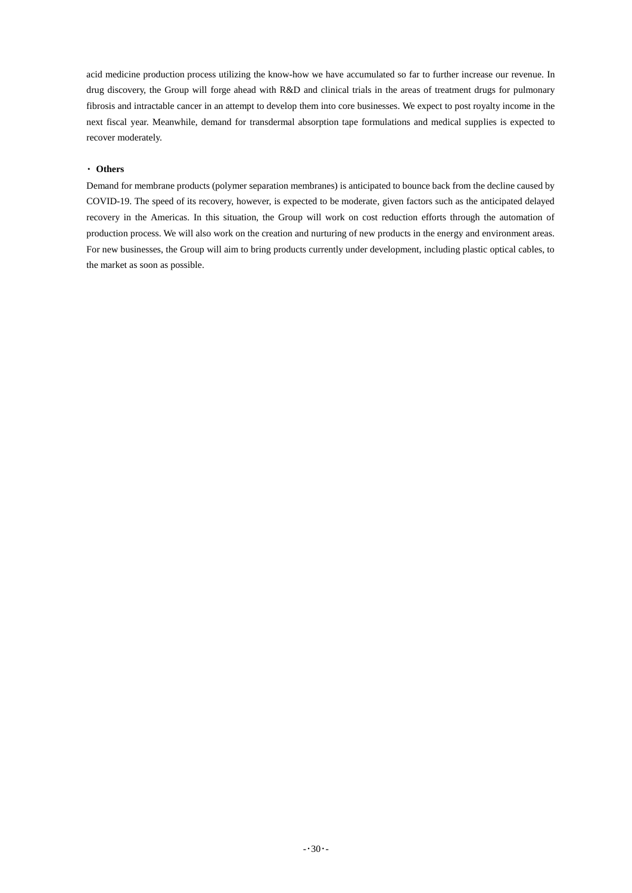acid medicine production process utilizing the know-how we have accumulated so far to further increase our revenue. In drug discovery, the Group will forge ahead with R&D and clinical trials in the areas of treatment drugs for pulmonary fibrosis and intractable cancer in an attempt to develop them into core businesses. We expect to post royalty income in the next fiscal year. Meanwhile, demand for transdermal absorption tape formulations and medical supplies is expected to recover moderately.

### ・ **Others**

Demand for membrane products (polymer separation membranes) is anticipated to bounce back from the decline caused by COVID-19. The speed of its recovery, however, is expected to be moderate, given factors such as the anticipated delayed recovery in the Americas. In this situation, the Group will work on cost reduction efforts through the automation of production process. We will also work on the creation and nurturing of new products in the energy and environment areas. For new businesses, the Group will aim to bring products currently under development, including plastic optical cables, to the market as soon as possible.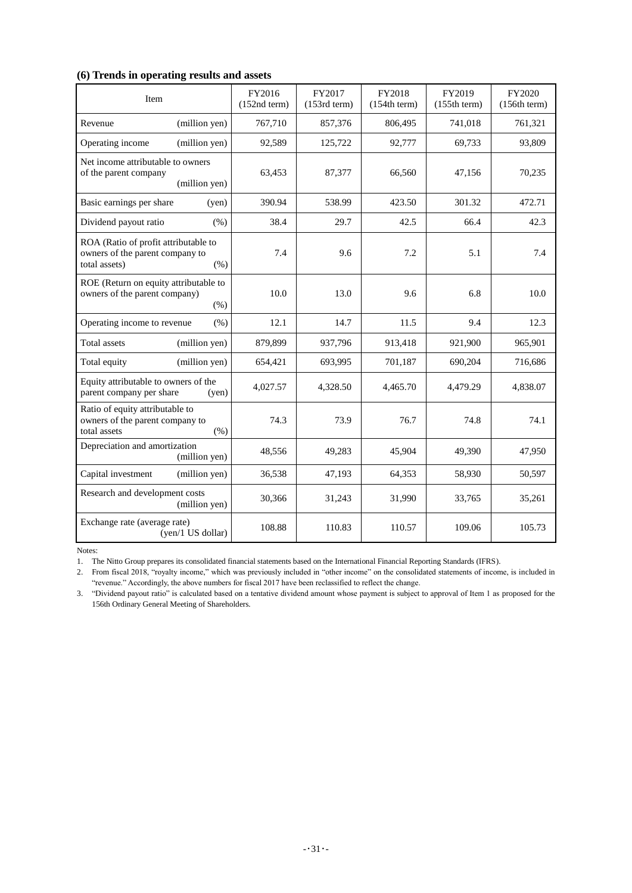## **(6) Trends in operating results and assets**

| Item                                                                                             | FY2016<br>$(152nd$ term $)$ | FY2017<br>$(153rd$ term $)$ | FY2018<br>(154th term) | FY2019<br>(155th term) | FY2020<br>(156th term) |
|--------------------------------------------------------------------------------------------------|-----------------------------|-----------------------------|------------------------|------------------------|------------------------|
| (million yen)<br>Revenue                                                                         | 767,710                     | 857,376                     | 806,495                | 741,018                | 761,321                |
| (million yen)<br>Operating income                                                                | 92,589                      | 125,722                     | 92,777                 | 69,733                 | 93,809                 |
| Net income attributable to owners<br>of the parent company<br>(million yen)                      | 63,453                      | 87,377                      | 66.560                 | 47,156                 | 70,235                 |
| Basic earnings per share<br>(yen)                                                                | 390.94                      | 538.99                      | 423.50                 | 301.32                 | 472.71                 |
| Dividend payout ratio<br>(% )                                                                    | 38.4                        | 29.7                        | 42.5                   | 66.4                   | 42.3                   |
| ROA (Ratio of profit attributable to<br>owners of the parent company to<br>total assets)<br>(% ) | 7.4                         | 9.6                         | 7.2                    | 5.1                    | 7.4                    |
| ROE (Return on equity attributable to<br>owners of the parent company)<br>$(\% )$                | 10.0                        | 13.0                        | 9.6                    | 6.8                    | 10.0                   |
| Operating income to revenue<br>(% )                                                              | 12.1                        | 14.7                        | 11.5                   | 9.4                    | 12.3                   |
| (million yen)<br><b>Total</b> assets                                                             | 879,899                     | 937,796                     | 913,418                | 921,900                | 965,901                |
| Total equity<br>(million yen)                                                                    | 654,421                     | 693,995                     | 701,187                | 690,204                | 716,686                |
| Equity attributable to owners of the<br>parent company per share<br>(yen)                        | 4,027.57                    | 4,328.50                    | 4,465.70               | 4,479.29               | 4,838.07               |
| Ratio of equity attributable to<br>owners of the parent company to<br>total assets<br>(% )       | 74.3                        | 73.9                        | 76.7                   | 74.8                   | 74.1                   |
| Depreciation and amortization<br>(million yen)                                                   | 48,556                      | 49,283                      | 45,904                 | 49,390                 | 47,950                 |
| Capital investment<br>(million yen)                                                              | 36,538                      | 47,193                      | 64,353                 | 58,930                 | 50,597                 |
| Research and development costs<br>(million yen)                                                  | 30,366                      | 31,243                      | 31,990                 | 33,765                 | 35,261                 |
| Exchange rate (average rate)<br>(yen/1 US dollar)                                                | 108.88                      | 110.83                      | 110.57                 | 109.06                 | 105.73                 |

Notes:

1. The Nitto Group prepares its consolidated financial statements based on the International Financial Reporting Standards (IFRS).

2. From fiscal 2018, "royalty income," which was previously included in "other income" on the consolidated statements of income, is included in "revenue." Accordingly, the above numbers for fiscal 2017 have been reclassified to reflect the change.

3. "Dividend payout ratio" is calculated based on a tentative dividend amount whose payment is subject to approval of Item 1 as proposed for the 156th Ordinary General Meeting of Shareholders.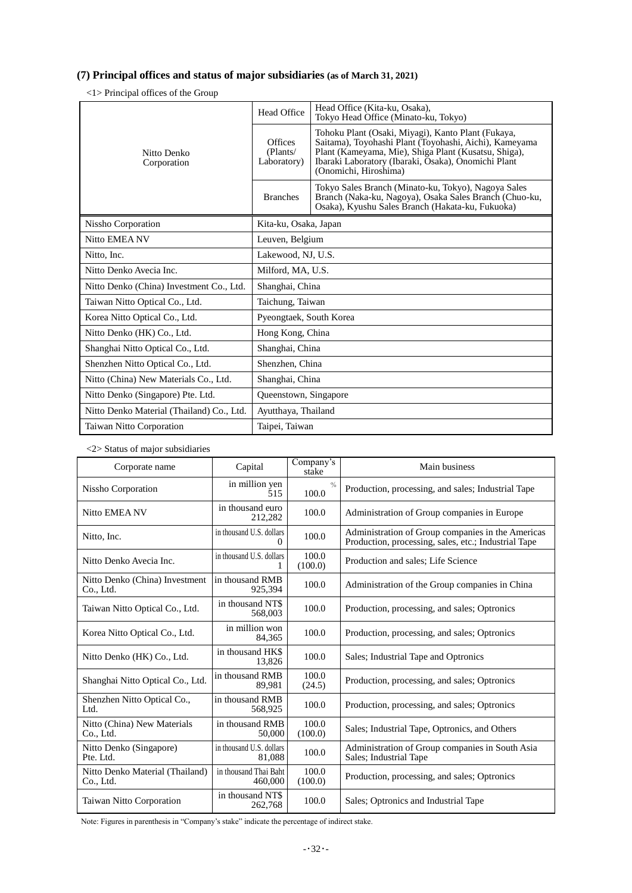## **(7) Principal offices and status of major subsidiaries (as of March 31, 2021)**

<1> Principal offices of the Group

|                                           | Head Office                               | Head Office (Kita-ku, Osaka),<br>Tokvo Head Office (Minato-ku, Tokvo)                                                                                                                                                                                |  |  |
|-------------------------------------------|-------------------------------------------|------------------------------------------------------------------------------------------------------------------------------------------------------------------------------------------------------------------------------------------------------|--|--|
| Nitto Denko<br>Corporation                | <b>Offices</b><br>(Plants/<br>Laboratory) | Tohoku Plant (Osaki, Miyagi), Kanto Plant (Fukaya,<br>Saitama), Toyohashi Plant (Toyohashi, Aichi), Kameyama<br>Plant (Kameyama, Mie), Shiga Plant (Kusatsu, Shiga),<br>Ibaraki Laboratory (Ibaraki, Osaka), Onomichi Plant<br>(Onomichi, Hiroshima) |  |  |
|                                           | <b>Branches</b>                           | Tokyo Sales Branch (Minato-ku, Tokyo), Nagoya Sales<br>Branch (Naka-ku, Nagoya), Osaka Sales Branch (Chuo-ku,<br>Osaka), Kyushu Sales Branch (Hakata-ku, Fukuoka)                                                                                    |  |  |
| Nissho Corporation                        | Kita-ku, Osaka, Japan                     |                                                                                                                                                                                                                                                      |  |  |
| Nitto EMEA NV                             | Leuven, Belgium                           |                                                                                                                                                                                                                                                      |  |  |
| Nitto, Inc.                               | Lakewood, NJ, U.S.                        |                                                                                                                                                                                                                                                      |  |  |
| Nitto Denko Avecia Inc.                   |                                           | Milford, MA, U.S.                                                                                                                                                                                                                                    |  |  |
| Nitto Denko (China) Investment Co., Ltd.  |                                           | Shanghai, China                                                                                                                                                                                                                                      |  |  |
| Taiwan Nitto Optical Co., Ltd.            |                                           | Taichung, Taiwan                                                                                                                                                                                                                                     |  |  |
| Korea Nitto Optical Co., Ltd.             | Pyeongtaek, South Korea                   |                                                                                                                                                                                                                                                      |  |  |
| Nitto Denko (HK) Co., Ltd.                | Hong Kong, China                          |                                                                                                                                                                                                                                                      |  |  |
| Shanghai Nitto Optical Co., Ltd.          | Shanghai, China                           |                                                                                                                                                                                                                                                      |  |  |
| Shenzhen Nitto Optical Co., Ltd.          | Shenzhen, China                           |                                                                                                                                                                                                                                                      |  |  |
| Nitto (China) New Materials Co., Ltd.     | Shanghai, China                           |                                                                                                                                                                                                                                                      |  |  |
| Nitto Denko (Singapore) Pte. Ltd.         | Queenstown, Singapore                     |                                                                                                                                                                                                                                                      |  |  |
| Nitto Denko Material (Thailand) Co., Ltd. | Ayutthaya, Thailand                       |                                                                                                                                                                                                                                                      |  |  |
| Taiwan Nitto Corporation                  | Taipei, Taiwan                            |                                                                                                                                                                                                                                                      |  |  |

<2> Status of major subsidiaries

| Corporate name                               | Capital                              | Company's<br>stake     | Main business                                                                                             |
|----------------------------------------------|--------------------------------------|------------------------|-----------------------------------------------------------------------------------------------------------|
| Nissho Corporation                           | in million yen<br>515                | $\frac{0}{0}$<br>100.0 | Production, processing, and sales; Industrial Tape                                                        |
| Nitto EMEA NV                                | in thousand euro<br>212,282          | 100.0                  | Administration of Group companies in Europe                                                               |
| Nitto, Inc.                                  | in thousand U.S. dollars<br>$\Omega$ | 100.0                  | Administration of Group companies in the Americas<br>Production, processing, sales, etc.; Industrial Tape |
| Nitto Denko Avecia Inc.                      | in thousand U.S. dollars             | 100.0<br>(100.0)       | Production and sales; Life Science                                                                        |
| Nitto Denko (China) Investment<br>Co., Ltd.  | in thousand RMB<br>925.394           | 100.0                  | Administration of the Group companies in China                                                            |
| Taiwan Nitto Optical Co., Ltd.               | in thousand NT\$<br>568,003          | 100.0                  | Production, processing, and sales; Optronics                                                              |
| Korea Nitto Optical Co., Ltd.                | in million won<br>84,365             | 100.0                  | Production, processing, and sales; Optronics                                                              |
| Nitto Denko (HK) Co., Ltd.                   | in thousand HK\$<br>13,826           | 100.0                  | Sales; Industrial Tape and Optronics                                                                      |
| Shanghai Nitto Optical Co., Ltd.             | in thousand RMB<br>89.981            | 100.0<br>(24.5)        | Production, processing, and sales; Optronics                                                              |
| Shenzhen Nitto Optical Co.,<br>Ltd.          | in thousand RMB<br>568,925           | 100.0                  | Production, processing, and sales; Optronics                                                              |
| Nitto (China) New Materials<br>Co., Ltd.     | in thousand RMB<br>50,000            | 100.0<br>(100.0)       | Sales; Industrial Tape, Optronics, and Others                                                             |
| Nitto Denko (Singapore)<br>Pte. Ltd.         | in thousand U.S. dollars<br>81,088   | 100.0                  | Administration of Group companies in South Asia<br>Sales; Industrial Tape                                 |
| Nitto Denko Material (Thailand)<br>Co., Ltd. | in thousand Thai Baht<br>460,000     | 100.0<br>(100.0)       | Production, processing, and sales; Optronics                                                              |
| <b>Taiwan Nitto Corporation</b>              | in thousand NT\$<br>262,768          | 100.0                  | Sales; Optronics and Industrial Tape                                                                      |

Note: Figures in parenthesis in "Company's stake" indicate the percentage of indirect stake.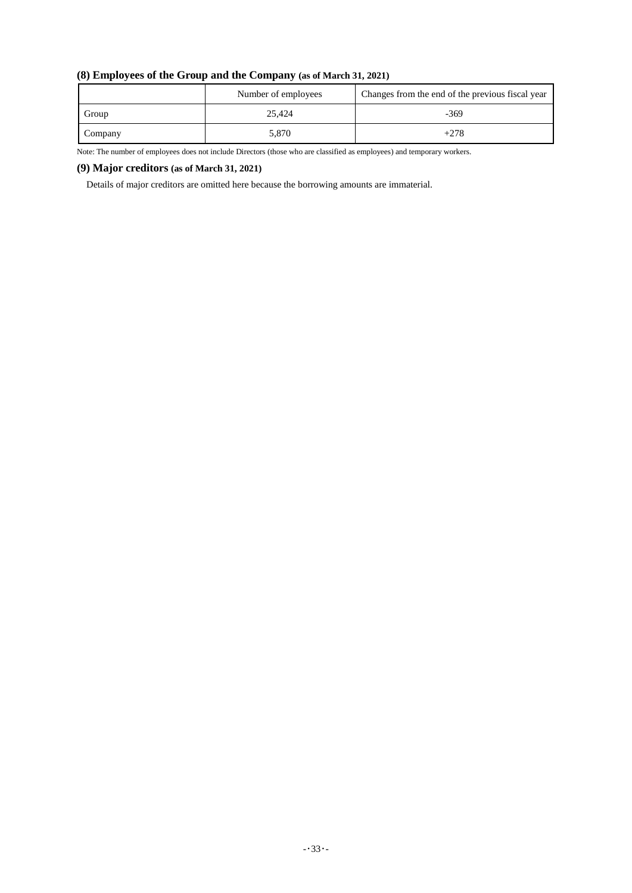| (8) Employees of the Group and the Company (as of March 31, 2021) |                     |                                                  |  |  |
|-------------------------------------------------------------------|---------------------|--------------------------------------------------|--|--|
|                                                                   | Number of employees | Changes from the end of the previous fiscal year |  |  |
| Group                                                             | 25.424              | $-369$                                           |  |  |
| Company                                                           | 5,870               | $+278$                                           |  |  |

## **(8) Employees of the Group and the Company (as of March 31, 2021)**

Note: The number of employees does not include Directors (those who are classified as employees) and temporary workers.

## **(9) Major creditors (as of March 31, 2021)**

Details of major creditors are omitted here because the borrowing amounts are immaterial.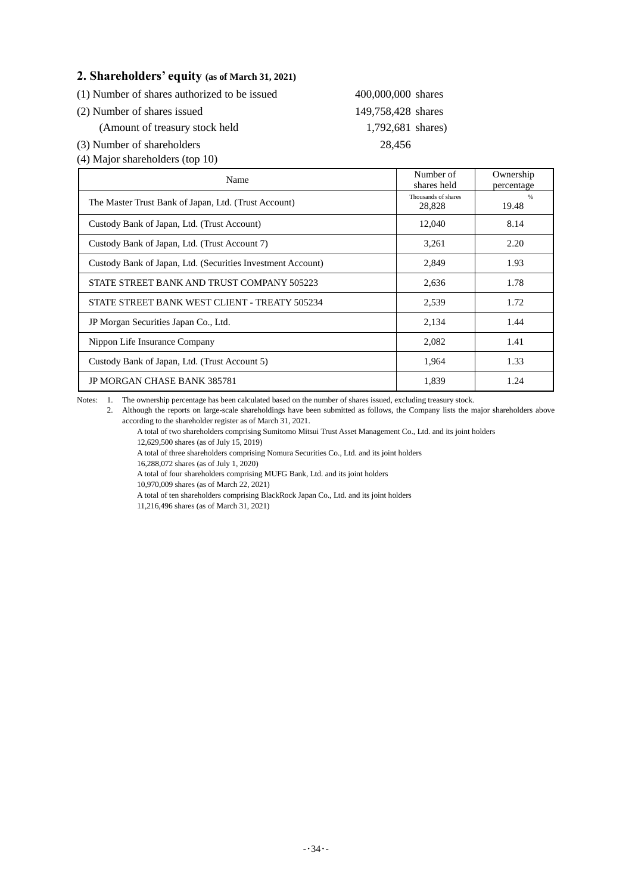# **2. Shareholders' equity (as of March 31, 2021)**

(2) Number of shares issued 149,758,428 shares

(Amount of treasury stock held 1,792,681 shares)

(3) Number of shareholders 28,456

(4) Major shareholders (top 10)

| Name                                                        | Number of<br>shares held      | Ownership<br>percentage |
|-------------------------------------------------------------|-------------------------------|-------------------------|
| The Master Trust Bank of Japan, Ltd. (Trust Account)        | Thousands of shares<br>28,828 | $\%$<br>19.48           |
| Custody Bank of Japan, Ltd. (Trust Account)                 | 12,040                        | 8.14                    |
| Custody Bank of Japan, Ltd. (Trust Account 7)               | 3,261                         | 2.20                    |
| Custody Bank of Japan, Ltd. (Securities Investment Account) | 2,849                         | 1.93                    |
| STATE STREET BANK AND TRUST COMPANY 505223                  | 2,636                         | 1.78                    |
| STATE STREET BANK WEST CLIENT - TREATY 505234               | 2,539                         | 1.72                    |
| JP Morgan Securities Japan Co., Ltd.                        | 2,134                         | 1.44                    |
| Nippon Life Insurance Company                               | 2,082                         | 1.41                    |
| Custody Bank of Japan, Ltd. (Trust Account 5)               | 1,964                         | 1.33                    |
| <b>JP MORGAN CHASE BANK 385781</b>                          | 1.839                         | 1.24                    |

400,000,000 shares

Notes: 1. The ownership percentage has been calculated based on the number of shares issued, excluding treasury stock.

2. Although the reports on large-scale shareholdings have been submitted as follows, the Company lists the major shareholders above according to the shareholder register as of March 31, 2021.

A total of two shareholders comprising Sumitomo Mitsui Trust Asset Management Co., Ltd. and its joint holders 12,629,500 shares (as of July 15, 2019)

A total of three shareholders comprising Nomura Securities Co., Ltd. and its joint holders

16,288,072 shares (as of July 1, 2020)

A total of four shareholders comprising MUFG Bank, Ltd. and its joint holders

10,970,009 shares (as of March 22, 2021)

A total of ten shareholders comprising BlackRock Japan Co., Ltd. and its joint holders

11,216,496 shares (as of March 31, 2021)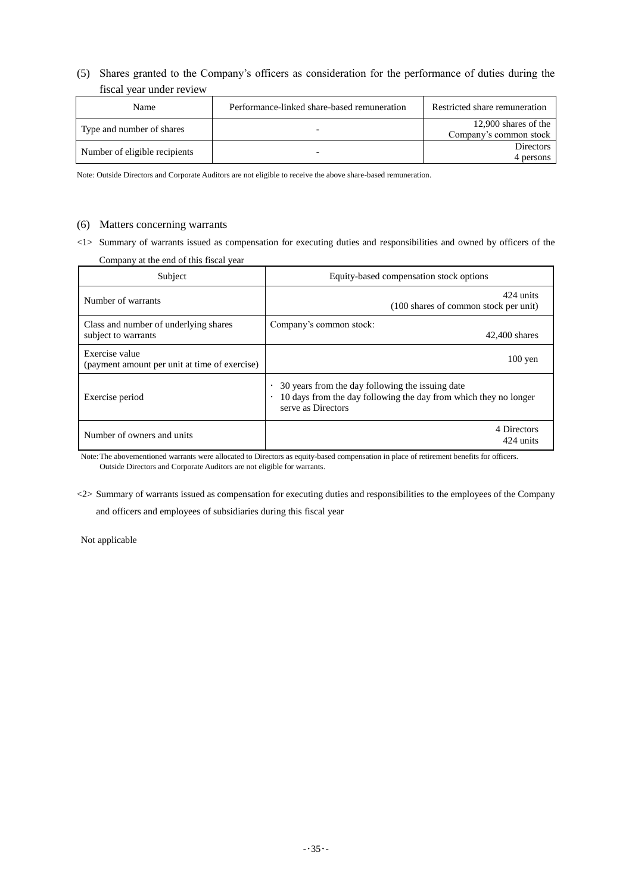(5) Shares granted to the Company's officers as consideration for the performance of duties during the fiscal year under review

| <b>Name</b>                   | Performance-linked share-based remuneration | Restricted share remuneration                  |
|-------------------------------|---------------------------------------------|------------------------------------------------|
| Type and number of shares     |                                             | 12,900 shares of the<br>Company's common stock |
| Number of eligible recipients |                                             | <b>Directors</b><br>4 persons                  |

Note: Outside Directors and Corporate Auditors are not eligible to receive the above share-based remuneration.

### (6) Matters concerning warrants

<1> Summary of warrants issued as compensation for executing duties and responsibilities and owned by officers of the Company at the end of this fiscal year

| Subject                                                         | Equity-based compensation stock options                                                                                                                 |
|-----------------------------------------------------------------|---------------------------------------------------------------------------------------------------------------------------------------------------------|
| Number of warrants                                              | 424 units<br>(100 shares of common stock per unit)                                                                                                      |
| Class and number of underlying shares<br>subject to warrants    | Company's common stock:<br>42,400 shares                                                                                                                |
| Exercise value<br>(payment amount per unit at time of exercise) | $100$ yen                                                                                                                                               |
| Exercise period                                                 | 30 years from the day following the issuing date<br>10 days from the day following the day from which they no longer<br>$\bullet$<br>serve as Directors |
| Number of owners and units                                      | 4 Directors<br>424 units                                                                                                                                |

Note: The abovementioned warrants were allocated to Directors as equity-based compensation in place of retirement benefits for officers. Outside Directors and Corporate Auditors are not eligible for warrants.

<2> Summary of warrants issued as compensation for executing duties and responsibilities to the employees of the Company and officers and employees of subsidiaries during this fiscal year

Not applicable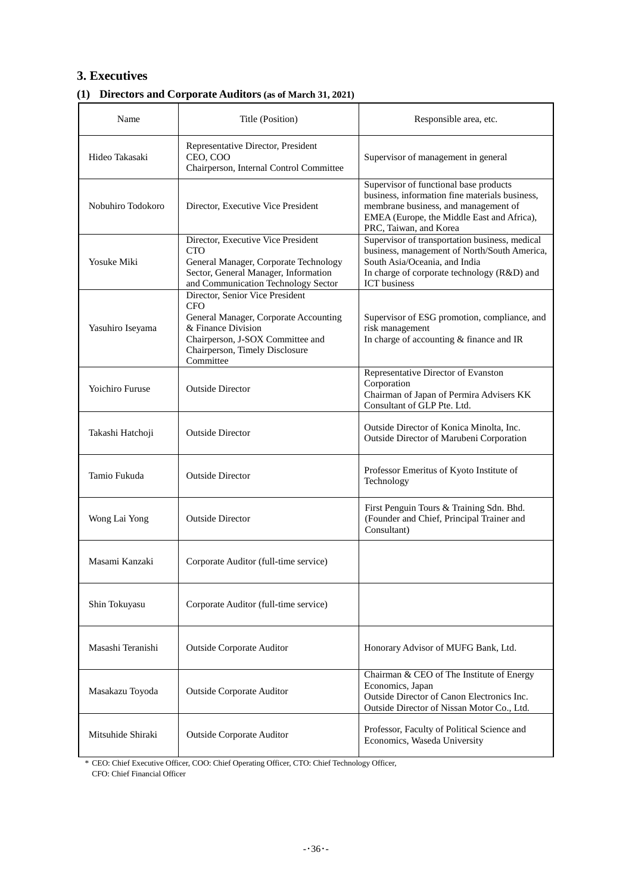# **3. Executives**

# **(1) Directors and Corporate Auditors (as of March 31, 2021)**

| Name                   | Title (Position)                                                                                                                                                                                | Responsible area, etc.                                                                                                                                                                                   |
|------------------------|-------------------------------------------------------------------------------------------------------------------------------------------------------------------------------------------------|----------------------------------------------------------------------------------------------------------------------------------------------------------------------------------------------------------|
| Hideo Takasaki         | Representative Director, President<br>CEO, COO<br>Chairperson, Internal Control Committee                                                                                                       | Supervisor of management in general                                                                                                                                                                      |
| Nobuhiro Todokoro      | Director, Executive Vice President                                                                                                                                                              | Supervisor of functional base products<br>business, information fine materials business,<br>membrane business, and management of<br>EMEA (Europe, the Middle East and Africa),<br>PRC, Taiwan, and Korea |
| Yosuke Miki            | Director, Executive Vice President<br><b>CTO</b><br>General Manager, Corporate Technology<br>Sector, General Manager, Information<br>and Communication Technology Sector                        | Supervisor of transportation business, medical<br>business, management of North/South America,<br>South Asia/Oceania, and India<br>In charge of corporate technology (R&D) and<br><b>ICT</b> business    |
| Yasuhiro Iseyama       | Director, Senior Vice President<br><b>CFO</b><br>General Manager, Corporate Accounting<br>& Finance Division<br>Chairperson, J-SOX Committee and<br>Chairperson, Timely Disclosure<br>Committee | Supervisor of ESG promotion, compliance, and<br>risk management<br>In charge of accounting & finance and IR                                                                                              |
| <b>Yoichiro Furuse</b> | <b>Outside Director</b>                                                                                                                                                                         | Representative Director of Evanston<br>Corporation<br>Chairman of Japan of Permira Advisers KK<br>Consultant of GLP Pte. Ltd.                                                                            |
| Takashi Hatchoji       | <b>Outside Director</b>                                                                                                                                                                         | Outside Director of Konica Minolta, Inc.<br>Outside Director of Marubeni Corporation                                                                                                                     |
| Tamio Fukuda           | <b>Outside Director</b>                                                                                                                                                                         | Professor Emeritus of Kyoto Institute of<br>Technology                                                                                                                                                   |
| Wong Lai Yong          | <b>Outside Director</b>                                                                                                                                                                         | First Penguin Tours & Training Sdn. Bhd.<br>(Founder and Chief, Principal Trainer and<br>Consultant)                                                                                                     |
| Masami Kanzaki         | Corporate Auditor (full-time service)                                                                                                                                                           |                                                                                                                                                                                                          |
| Shin Tokuyasu          | Corporate Auditor (full-time service)                                                                                                                                                           |                                                                                                                                                                                                          |
| Masashi Teranishi      | <b>Outside Corporate Auditor</b>                                                                                                                                                                | Honorary Advisor of MUFG Bank, Ltd.                                                                                                                                                                      |
| Masakazu Toyoda        | <b>Outside Corporate Auditor</b>                                                                                                                                                                | Chairman & CEO of The Institute of Energy<br>Economics, Japan<br>Outside Director of Canon Electronics Inc.<br>Outside Director of Nissan Motor Co., Ltd.                                                |
| Mitsuhide Shiraki      | <b>Outside Corporate Auditor</b>                                                                                                                                                                | Professor, Faculty of Political Science and<br>Economics, Waseda University                                                                                                                              |

\* CEO: Chief Executive Officer, COO: Chief Operating Officer, CTO: Chief Technology Officer,

CFO: Chief Financial Officer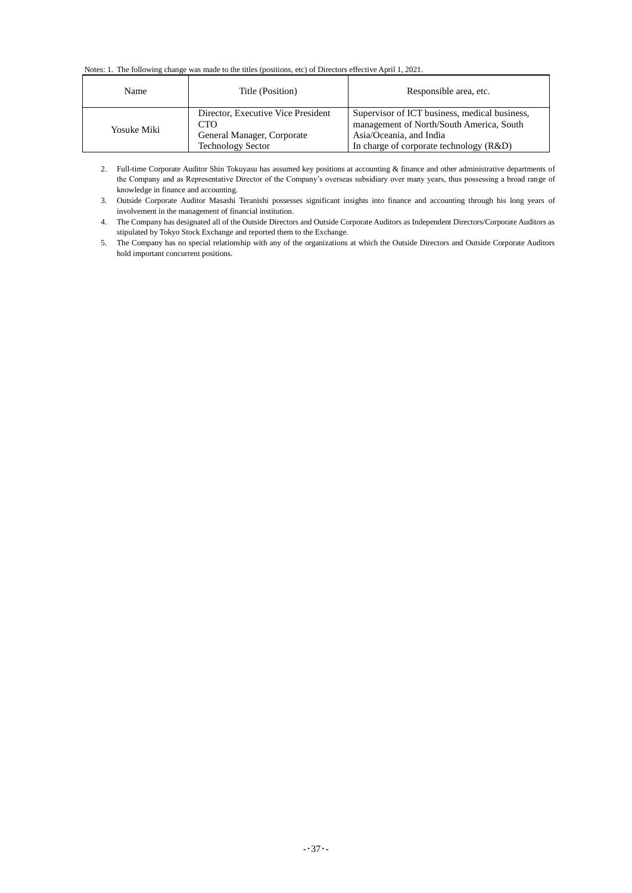#### Notes: 1. The following change was made to the titles (positions, etc) of Directors effective April 1, 2021.

| Name        | Title (Position)                                                                                    | Responsible area, etc.                                                                                                                                          |
|-------------|-----------------------------------------------------------------------------------------------------|-----------------------------------------------------------------------------------------------------------------------------------------------------------------|
| Yosuke Miki | Director, Executive Vice President<br>CTO<br>General Manager, Corporate<br><b>Technology Sector</b> | Supervisor of ICT business, medical business,<br>management of North/South America, South<br>Asia/Oceania, and India<br>In charge of corporate technology (R&D) |

2. Full-time Corporate Auditor Shin Tokuyasu has assumed key positions at accounting & finance and other administrative departments of the Company and as Representative Director of the Company's overseas subsidiary over many years, thus possessing a broad range of knowledge in finance and accounting.

3. Outside Corporate Auditor Masashi Teranishi possesses significant insights into finance and accounting through his long years of involvement in the management of financial institution.

4. The Company has designated all of the Outside Directors and Outside Corporate Auditors as Independent Directors/Corporate Auditors as stipulated by Tokyo Stock Exchange and reported them to the Exchange.

5. The Company has no special relationship with any of the organizations at which the Outside Directors and Outside Corporate Auditors hold important concurrent positions.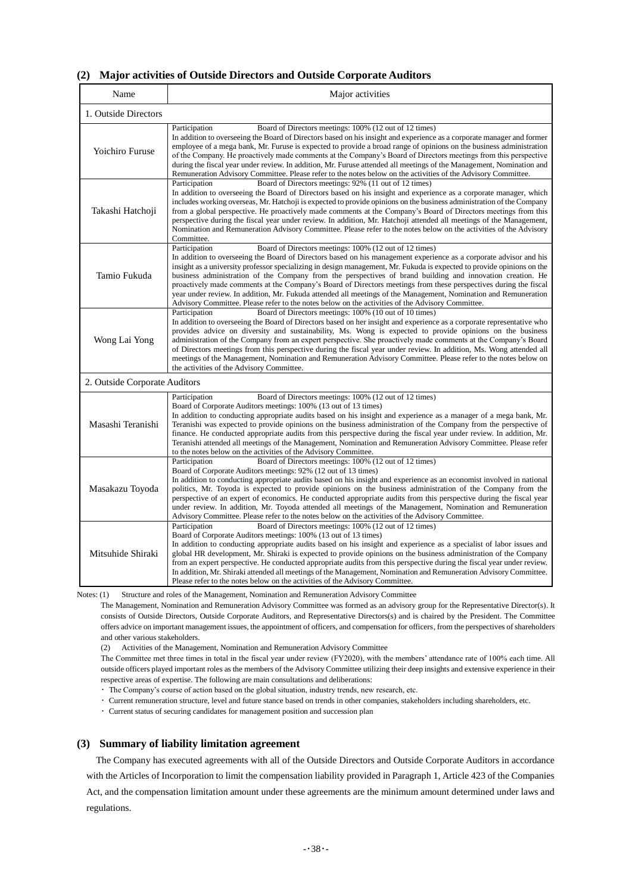### **(2) Major activities of Outside Directors and Outside Corporate Auditors**

| Name                          | Major activities                                                                                                                                                                                                                                                                                                                                                                                                                                                                                                                                                                                                                                                                                                                                                                 |
|-------------------------------|----------------------------------------------------------------------------------------------------------------------------------------------------------------------------------------------------------------------------------------------------------------------------------------------------------------------------------------------------------------------------------------------------------------------------------------------------------------------------------------------------------------------------------------------------------------------------------------------------------------------------------------------------------------------------------------------------------------------------------------------------------------------------------|
| 1. Outside Directors          |                                                                                                                                                                                                                                                                                                                                                                                                                                                                                                                                                                                                                                                                                                                                                                                  |
| Yoichiro Furuse               | Board of Directors meetings: 100% (12 out of 12 times)<br>Participation<br>In addition to overseeing the Board of Directors based on his insight and experience as a corporate manager and former<br>employee of a mega bank, Mr. Furuse is expected to provide a broad range of opinions on the business administration<br>of the Company. He proactively made comments at the Company's Board of Directors meetings from this perspective<br>during the fiscal year under review. In addition, Mr. Furuse attended all meetings of the Management, Nomination and<br>Remuneration Advisory Committee. Please refer to the notes below on the activities of the Advisory Committee.                                                                                             |
| Takashi Hatchoji              | Participation<br>Board of Directors meetings: 92% (11 out of 12 times)<br>In addition to overseeing the Board of Directors based on his insight and experience as a corporate manager, which<br>includes working overseas, Mr. Hatchoji is expected to provide opinions on the business administration of the Company<br>from a global perspective. He proactively made comments at the Company's Board of Directors meetings from this<br>perspective during the fiscal year under review. In addition, Mr. Hatchoji attended all meetings of the Management,<br>Nomination and Remuneration Advisory Committee. Please refer to the notes below on the activities of the Advisory<br>Committee.                                                                                |
| Tamio Fukuda                  | Participation<br>Board of Directors meetings: 100% (12 out of 12 times)<br>In addition to overseeing the Board of Directors based on his management experience as a corporate advisor and his<br>insight as a university professor specializing in design management, Mr. Fukuda is expected to provide opinions on the<br>business administration of the Company from the perspectives of brand building and innovation creation. He<br>proactively made comments at the Company's Board of Directors meetings from these perspectives during the fiscal<br>year under review. In addition, Mr. Fukuda attended all meetings of the Management, Nomination and Remuneration<br>Advisory Committee. Please refer to the notes below on the activities of the Advisory Committee. |
| Wong Lai Yong                 | Board of Directors meetings: 100% (10 out of 10 times)<br>Participation<br>In addition to overseeing the Board of Directors based on her insight and experience as a corporate representative who<br>provides advice on diversity and sustainability, Ms. Wong is expected to provide opinions on the business<br>administration of the Company from an expert perspective. She proactively made comments at the Company's Board<br>of Directors meetings from this perspective during the fiscal year under review. In addition, Ms. Wong attended all<br>meetings of the Management, Nomination and Remuneration Advisory Committee. Please refer to the notes below on<br>the activities of the Advisory Committee.                                                           |
| 2. Outside Corporate Auditors |                                                                                                                                                                                                                                                                                                                                                                                                                                                                                                                                                                                                                                                                                                                                                                                  |
| Masashi Teranishi             | Board of Directors meetings: 100% (12 out of 12 times)<br>Participation<br>Board of Corporate Auditors meetings: 100% (13 out of 13 times)<br>In addition to conducting appropriate audits based on his insight and experience as a manager of a mega bank, Mr.<br>Teranishi was expected to provide opinions on the business administration of the Company from the perspective of<br>finance. He conducted appropriate audits from this perspective during the fiscal year under review. In addition, Mr.<br>Teranishi attended all meetings of the Management, Nomination and Remuneration Advisory Committee. Please refer<br>to the notes below on the activities of the Advisory Committee.                                                                                |
| Masakazu Toyoda               | Board of Directors meetings: 100% (12 out of 12 times)<br>Participation<br>Board of Corporate Auditors meetings: 92% (12 out of 13 times)<br>In addition to conducting appropriate audits based on his insight and experience as an economist involved in national<br>politics, Mr. Toyoda is expected to provide opinions on the business administration of the Company from the<br>perspective of an expert of economics. He conducted appropriate audits from this perspective during the fiscal year<br>under review. In addition, Mr. Toyoda attended all meetings of the Management, Nomination and Remuneration<br>Advisory Committee. Please refer to the notes below on the activities of the Advisory Committee.                                                       |
| Mitsuhide Shiraki             | Participation<br>Board of Directors meetings: 100% (12 out of 12 times)<br>Board of Corporate Auditors meetings: 100% (13 out of 13 times)<br>In addition to conducting appropriate audits based on his insight and experience as a specialist of labor issues and<br>global HR development, Mr. Shiraki is expected to provide opinions on the business administration of the Company<br>from an expert perspective. He conducted appropriate audits from this perspective during the fiscal year under review.<br>In addition, Mr. Shiraki attended all meetings of the Management, Nomination and Remuneration Advisory Committee.<br>Please refer to the notes below on the activities of the Advisory Committee.                                                            |

Notes: (1) Structure and roles of the Management, Nomination and Remuneration Advisory Committee

The Management, Nomination and Remuneration Advisory Committee was formed as an advisory group for the Representative Director(s). It consists of Outside Directors, Outside Corporate Auditors, and Representative Directors(s) and is chaired by the President. The Committee offers advice on important management issues, the appointment of officers, and compensation for officers, from the perspectives of shareholders and other various stakeholders.

(2) Activities of the Management, Nomination and Remuneration Advisory Committee

The Committee met three times in total in the fiscal year under review (FY2020), with the members' attendance rate of 100% each time. All outside officers played important roles as the members of the Advisory Committee utilizing their deep insights and extensive experience in their respective areas of expertise. The following are main consultations and deliberations:

・ The Company's course of action based on the global situation, industry trends, new research, etc.

・ Current remuneration structure, level and future stance based on trends in other companies, stakeholders including shareholders, etc.

・ Current status of securing candidates for management position and succession plan

#### **(3) Summary of liability limitation agreement**

The Company has executed agreements with all of the Outside Directors and Outside Corporate Auditors in accordance with the Articles of Incorporation to limit the compensation liability provided in Paragraph 1, Article 423 of the Companies Act, and the compensation limitation amount under these agreements are the minimum amount determined under laws and regulations.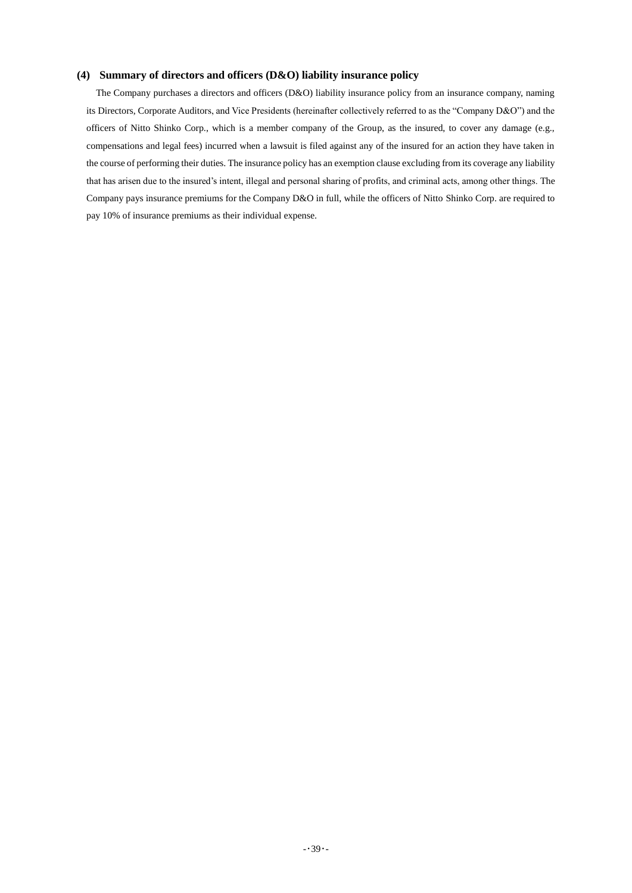## **(4) Summary of directors and officers (D&O) liability insurance policy**

The Company purchases a directors and officers (D&O) liability insurance policy from an insurance company, naming its Directors, Corporate Auditors, and Vice Presidents (hereinafter collectively referred to as the "Company D&O") and the officers of Nitto Shinko Corp., which is a member company of the Group, as the insured, to cover any damage (e.g., compensations and legal fees) incurred when a lawsuit is filed against any of the insured for an action they have taken in the course of performing their duties. The insurance policy has an exemption clause excluding from its coverage any liability that has arisen due to the insured's intent, illegal and personal sharing of profits, and criminal acts, among other things. The Company pays insurance premiums for the Company D&O in full, while the officers of Nitto Shinko Corp. are required to pay 10% of insurance premiums as their individual expense.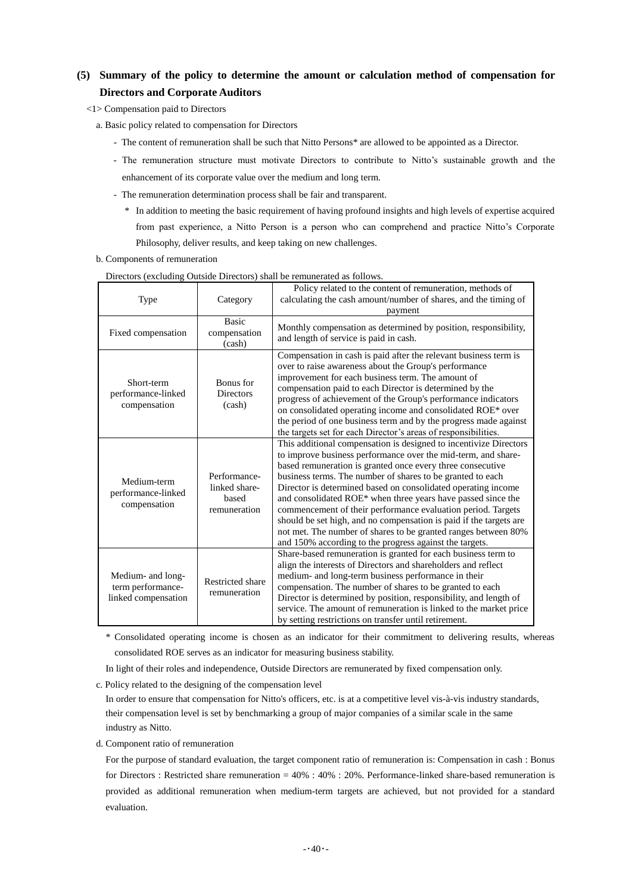# **(5) Summary of the policy to determine the amount or calculation method of compensation for Directors and Corporate Auditors**

- <1> Compensation paid to Directors
	- a. Basic policy related to compensation for Directors
		- The content of remuneration shall be such that Nitto Persons\* are allowed to be appointed as a Director.
		- The remuneration structure must motivate Directors to contribute to Nitto's sustainable growth and the enhancement of its corporate value over the medium and long term.
		- The remuneration determination process shall be fair and transparent.
			- \* In addition to meeting the basic requirement of having profound insights and high levels of expertise acquired from past experience, a Nitto Person is a person who can comprehend and practice Nitto's Corporate Philosophy, deliver results, and keep taking on new challenges.
	- b. Components of remuneration

|                                                               |                                                        | Directors (excluding Outside Directors) shall be relitanciated as follows.<br>Policy related to the content of remuneration, methods of                                                                                                                                                                                                                                                                                                                                                                                                                                                                                                                            |
|---------------------------------------------------------------|--------------------------------------------------------|--------------------------------------------------------------------------------------------------------------------------------------------------------------------------------------------------------------------------------------------------------------------------------------------------------------------------------------------------------------------------------------------------------------------------------------------------------------------------------------------------------------------------------------------------------------------------------------------------------------------------------------------------------------------|
| Type                                                          | Category                                               | calculating the cash amount/number of shares, and the timing of<br>payment                                                                                                                                                                                                                                                                                                                                                                                                                                                                                                                                                                                         |
| Fixed compensation                                            | <b>Basic</b><br>compensation<br>(cash)                 | Monthly compensation as determined by position, responsibility,<br>and length of service is paid in cash.                                                                                                                                                                                                                                                                                                                                                                                                                                                                                                                                                          |
| Short-term<br>performance-linked<br>compensation              | Bonus for<br><b>Directors</b><br>(cash)                | Compensation in cash is paid after the relevant business term is<br>over to raise awareness about the Group's performance<br>improvement for each business term. The amount of<br>compensation paid to each Director is determined by the<br>progress of achievement of the Group's performance indicators<br>on consolidated operating income and consolidated ROE* over<br>the period of one business term and by the progress made against<br>the targets set for each Director's areas of responsibilities.                                                                                                                                                    |
| Medium-term<br>performance-linked<br>compensation             | Performance-<br>linked share-<br>based<br>remuneration | This additional compensation is designed to incentivize Directors<br>to improve business performance over the mid-term, and share-<br>based remuneration is granted once every three consecutive<br>business terms. The number of shares to be granted to each<br>Director is determined based on consolidated operating income<br>and consolidated ROE* when three years have passed since the<br>commencement of their performance evaluation period. Targets<br>should be set high, and no compensation is paid if the targets are<br>not met. The number of shares to be granted ranges between 80%<br>and 150% according to the progress against the targets. |
| Medium- and long-<br>term performance-<br>linked compensation | <b>Restricted share</b><br>remuneration                | Share-based remuneration is granted for each business term to<br>align the interests of Directors and shareholders and reflect<br>medium- and long-term business performance in their<br>compensation. The number of shares to be granted to each<br>Director is determined by position, responsibility, and length of<br>service. The amount of remuneration is linked to the market price<br>by setting restrictions on transfer until retirement.                                                                                                                                                                                                               |

Directors (excluding Outside Directors) shall be remunerated as follows.

\* Consolidated operating income is chosen as an indicator for their commitment to delivering results, whereas consolidated ROE serves as an indicator for measuring business stability.

In light of their roles and independence, Outside Directors are remunerated by fixed compensation only.

c. Policy related to the designing of the compensation level

In order to ensure that compensation for Nitto's officers, etc. is at a competitive level vis-à-vis industry standards, their compensation level is set by benchmarking a group of major companies of a similar scale in the same industry as Nitto.

d. Component ratio of remuneration

For the purpose of standard evaluation, the target component ratio of remuneration is: Compensation in cash : Bonus for Directors : Restricted share remuneration = 40% : 40% : 20%. Performance-linked share-based remuneration is provided as additional remuneration when medium-term targets are achieved, but not provided for a standard evaluation.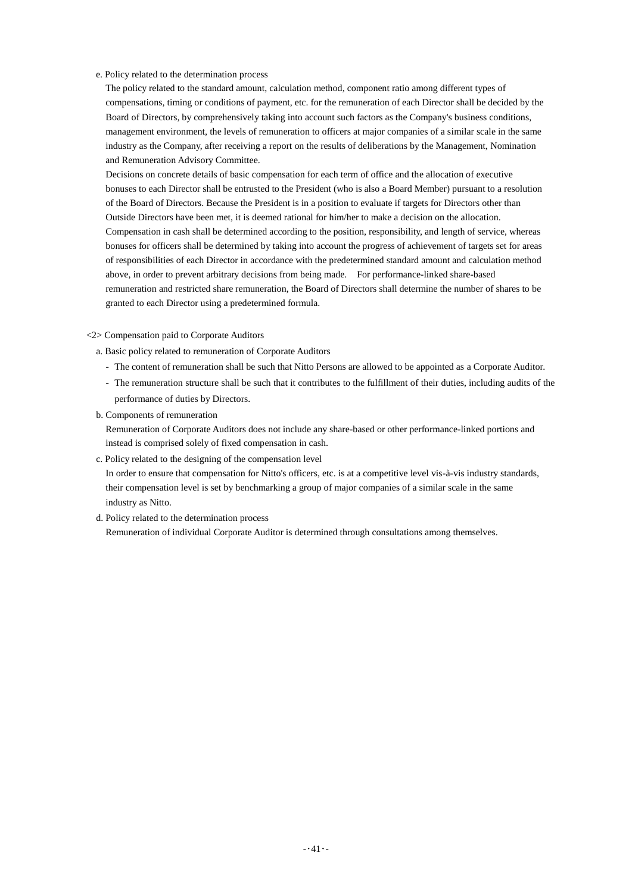e. Policy related to the determination process

The policy related to the standard amount, calculation method, component ratio among different types of compensations, timing or conditions of payment, etc. for the remuneration of each Director shall be decided by the Board of Directors, by comprehensively taking into account such factors as the Company's business conditions, management environment, the levels of remuneration to officers at major companies of a similar scale in the same industry as the Company, after receiving a report on the results of deliberations by the Management, Nomination and Remuneration Advisory Committee.

Decisions on concrete details of basic compensation for each term of office and the allocation of executive bonuses to each Director shall be entrusted to the President (who is also a Board Member) pursuant to a resolution of the Board of Directors. Because the President is in a position to evaluate if targets for Directors other than Outside Directors have been met, it is deemed rational for him/her to make a decision on the allocation. Compensation in cash shall be determined according to the position, responsibility, and length of service, whereas bonuses for officers shall be determined by taking into account the progress of achievement of targets set for areas of responsibilities of each Director in accordance with the predetermined standard amount and calculation method above, in order to prevent arbitrary decisions from being made. For performance-linked share-based remuneration and restricted share remuneration, the Board of Directors shall determine the number of shares to be granted to each Director using a predetermined formula.

<2> Compensation paid to Corporate Auditors

- a. Basic policy related to remuneration of Corporate Auditors
	- The content of remuneration shall be such that Nitto Persons are allowed to be appointed as a Corporate Auditor.
	- The remuneration structure shall be such that it contributes to the fulfillment of their duties, including audits of the performance of duties by Directors.
- b. Components of remuneration

Remuneration of Corporate Auditors does not include any share-based or other performance-linked portions and instead is comprised solely of fixed compensation in cash.

c. Policy related to the designing of the compensation level

In order to ensure that compensation for Nitto's officers, etc. is at a competitive level vis-à-vis industry standards, their compensation level is set by benchmarking a group of major companies of a similar scale in the same industry as Nitto.

d. Policy related to the determination process

Remuneration of individual Corporate Auditor is determined through consultations among themselves.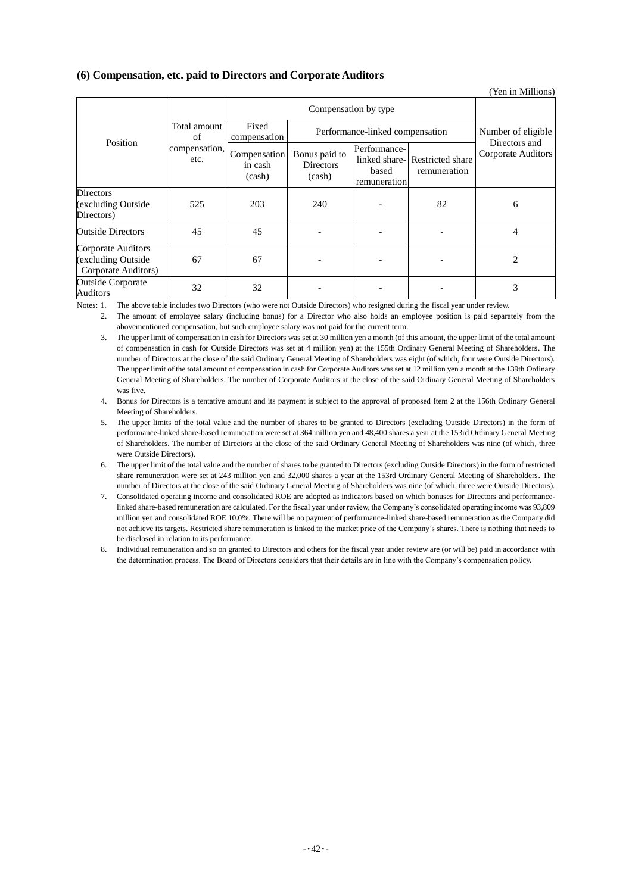## **(6) Compensation, etc. paid to Directors and Corporate Auditors**

(Yen in Millions)

|                                                                 |                                                                          | Compensation by type  |                                      |                                       |                                               |                                            |
|-----------------------------------------------------------------|--------------------------------------------------------------------------|-----------------------|--------------------------------------|---------------------------------------|-----------------------------------------------|--------------------------------------------|
| Position                                                        | Total amount<br>of<br>$\vert$ compensation, $\vert$ Compensation $\vert$ | Fixed<br>compensation | Performance-linked compensation      |                                       | Number of eligible                            |                                            |
|                                                                 |                                                                          | in cash<br>(cash)     | Bonus paid to<br>Directors<br>(cash) | Performance-<br>based<br>remuneration | linked share-Restricted share<br>remuneration | Directors and<br><b>Corporate Auditors</b> |
| <b>Directors</b><br>(excluding Outside<br>Directors)            | 525                                                                      | 203                   | 240                                  |                                       | 82                                            | 6                                          |
| <b>Outside Directors</b>                                        | 45                                                                       | 45                    |                                      |                                       |                                               | $\overline{4}$                             |
| Corporate Auditors<br>(excluding Outside<br>Corporate Auditors) | 67                                                                       | 67                    |                                      |                                       |                                               | 2                                          |
| <b>Outside Corporate</b><br>Auditors                            | 32                                                                       | 32                    |                                      |                                       |                                               | 3                                          |

Notes: 1. The above table includes two Directors (who were not Outside Directors) who resigned during the fiscal year under review.

2. The amount of employee salary (including bonus) for a Director who also holds an employee position is paid separately from the abovementioned compensation, but such employee salary was not paid for the current term.

3. The upper limit of compensation in cash for Directors was set at 30 million yen a month (of this amount, the upper limit of the total amount of compensation in cash for Outside Directors was set at 4 million yen) at the 155th Ordinary General Meeting of Shareholders. The number of Directors at the close of the said Ordinary General Meeting of Shareholders was eight (of which, four were Outside Directors). The upper limit of the total amount of compensation in cash for Corporate Auditors was set at 12 million yen a month at the 139th Ordinary General Meeting of Shareholders. The number of Corporate Auditors at the close of the said Ordinary General Meeting of Shareholders was five.

4. Bonus for Directors is a tentative amount and its payment is subject to the approval of proposed Item 2 at the 156th Ordinary General Meeting of Shareholders.

5. The upper limits of the total value and the number of shares to be granted to Directors (excluding Outside Directors) in the form of performance-linked share-based remuneration were set at 364 million yen and 48,400 shares a year at the 153rd Ordinary General Meeting of Shareholders. The number of Directors at the close of the said Ordinary General Meeting of Shareholders was nine (of which, three were Outside Directors).

6. The upper limit of the total value and the number of shares to be granted to Directors (excluding Outside Directors) in the form of restricted share remuneration were set at 243 million yen and 32,000 shares a year at the 153rd Ordinary General Meeting of Shareholders. The number of Directors at the close of the said Ordinary General Meeting of Shareholders was nine (of which, three were Outside Directors).

7. Consolidated operating income and consolidated ROE are adopted as indicators based on which bonuses for Directors and performancelinked share-based remuneration are calculated. For the fiscal year under review, the Company's consolidated operating income was 93,809 million yen and consolidated ROE 10.0%. There will be no payment of performance-linked share-based remuneration as the Company did not achieve its targets. Restricted share remuneration is linked to the market price of the Company's shares. There is nothing that needs to be disclosed in relation to its performance.

8. Individual remuneration and so on granted to Directors and others for the fiscal year under review are (or will be) paid in accordance with the determination process. The Board of Directors considers that their details are in line with the Company's compensation policy.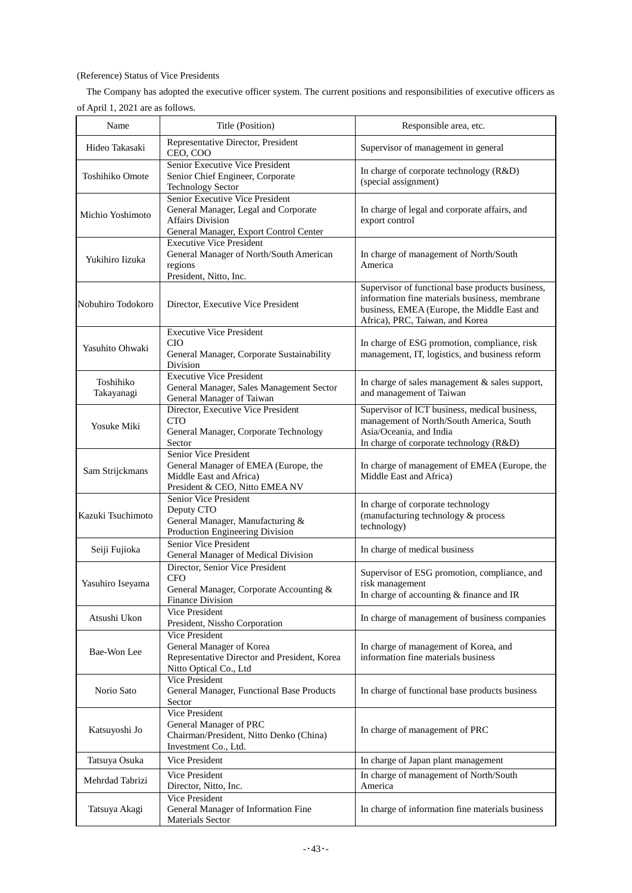# (Reference) Status of Vice Presidents

The Company has adopted the executive officer system. The current positions and responsibilities of executive officers as of April 1, 2021 are as follows.

| Name                    | Title (Position)                                                                                                                             | Responsible area, etc.                                                                                                                                                              |
|-------------------------|----------------------------------------------------------------------------------------------------------------------------------------------|-------------------------------------------------------------------------------------------------------------------------------------------------------------------------------------|
| Hideo Takasaki          | Representative Director, President<br>CEO, COO                                                                                               | Supervisor of management in general                                                                                                                                                 |
| <b>Toshihiko Omote</b>  | Senior Executive Vice President<br>Senior Chief Engineer, Corporate<br><b>Technology Sector</b>                                              | In charge of corporate technology (R&D)<br>(special assignment)                                                                                                                     |
| Michio Yoshimoto        | Senior Executive Vice President<br>General Manager, Legal and Corporate<br><b>Affairs Division</b><br>General Manager, Export Control Center | In charge of legal and corporate affairs, and<br>export control                                                                                                                     |
| Yukihiro Iizuka         | <b>Executive Vice President</b><br>General Manager of North/South American<br>regions<br>President, Nitto, Inc.                              | In charge of management of North/South<br>America                                                                                                                                   |
| Nobuhiro Todokoro       | Director, Executive Vice President                                                                                                           | Supervisor of functional base products business,<br>information fine materials business, membrane<br>business, EMEA (Europe, the Middle East and<br>Africa), PRC, Taiwan, and Korea |
| Yasuhito Ohwaki         | <b>Executive Vice President</b><br><b>CIO</b><br>General Manager, Corporate Sustainability<br>Division                                       | In charge of ESG promotion, compliance, risk<br>management, IT, logistics, and business reform                                                                                      |
| Toshihiko<br>Takayanagi | <b>Executive Vice President</b><br>General Manager, Sales Management Sector<br>General Manager of Taiwan                                     | In charge of sales management & sales support,<br>and management of Taiwan                                                                                                          |
| Yosuke Miki             | Director, Executive Vice President<br><b>CTO</b><br>General Manager, Corporate Technology<br>Sector                                          | Supervisor of ICT business, medical business,<br>management of North/South America, South<br>Asia/Oceania, and India<br>In charge of corporate technology (R&D)                     |
| Sam Strijckmans         | Senior Vice President<br>General Manager of EMEA (Europe, the<br>Middle East and Africa)<br>President & CEO, Nitto EMEA NV                   | In charge of management of EMEA (Europe, the<br>Middle East and Africa)                                                                                                             |
| Kazuki Tsuchimoto       | Senior Vice President<br>Deputy CTO<br>General Manager, Manufacturing &<br>Production Engineering Division                                   | In charge of corporate technology<br>(manufacturing technology & process<br>technology)                                                                                             |
| Seiji Fujioka           | Senior Vice President<br>General Manager of Medical Division                                                                                 | In charge of medical business                                                                                                                                                       |
| Yasuhiro Iseyama        | Director, Senior Vice President<br><b>CFO</b><br>General Manager, Corporate Accounting &<br>Finance Division                                 | Supervisor of ESG promotion, compliance, and<br>risk management<br>In charge of accounting & finance and IR                                                                         |
| Atsushi Ukon            | <b>Vice President</b><br>President, Nissho Corporation                                                                                       | In charge of management of business companies                                                                                                                                       |
| Bae-Won Lee             | <b>Vice President</b><br>General Manager of Korea<br>Representative Director and President, Korea<br>Nitto Optical Co., Ltd                  | In charge of management of Korea, and<br>information fine materials business                                                                                                        |
| Norio Sato              | Vice President<br>General Manager, Functional Base Products<br>Sector                                                                        | In charge of functional base products business                                                                                                                                      |
| Katsuyoshi Jo           | <b>Vice President</b><br>General Manager of PRC<br>Chairman/President, Nitto Denko (China)<br>Investment Co., Ltd.                           | In charge of management of PRC                                                                                                                                                      |
| Tatsuya Osuka           | Vice President                                                                                                                               | In charge of Japan plant management                                                                                                                                                 |
| Mehrdad Tabrizi         | Vice President<br>Director, Nitto, Inc.                                                                                                      | In charge of management of North/South<br>America                                                                                                                                   |
| Tatsuya Akagi           | Vice President<br>General Manager of Information Fine<br>Materials Sector                                                                    | In charge of information fine materials business                                                                                                                                    |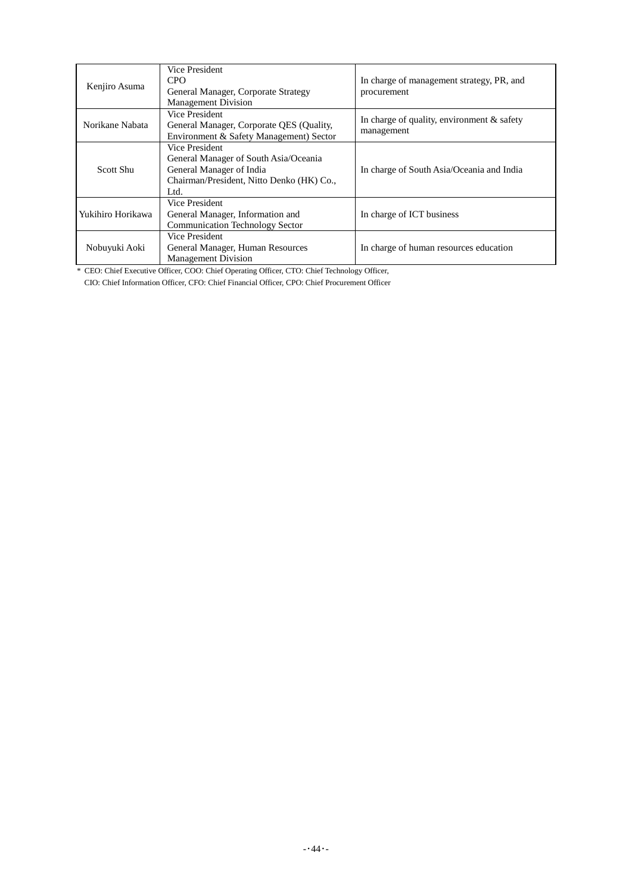| Kenjiro Asuma                                                                                                     | Vice President<br>CPO<br>General Manager, Corporate Strategy<br><b>Management Division</b>                                               | In charge of management strategy, PR, and<br>procurement    |
|-------------------------------------------------------------------------------------------------------------------|------------------------------------------------------------------------------------------------------------------------------------------|-------------------------------------------------------------|
| Norikane Nabata                                                                                                   | Vice President<br>General Manager, Corporate QES (Quality,<br>Environment & Safety Management) Sector                                    | In charge of quality, environment $\&$ safety<br>management |
| Scott Shu                                                                                                         | Vice President<br>General Manager of South Asia/Oceania<br>General Manager of India<br>Chairman/President, Nitto Denko (HK) Co.,<br>Ltd. | In charge of South Asia/Oceania and India                   |
| Vice President<br>Yukihiro Horikawa<br>General Manager, Information and<br><b>Communication Technology Sector</b> |                                                                                                                                          | In charge of ICT business                                   |
| Vice President<br>General Manager, Human Resources<br>Nobuyuki Aoki<br><b>Management Division</b>                 |                                                                                                                                          | In charge of human resources education                      |

\* CEO: Chief Executive Officer, COO: Chief Operating Officer, CTO: Chief Technology Officer,

CIO: Chief Information Officer, CFO: Chief Financial Officer, CPO: Chief Procurement Officer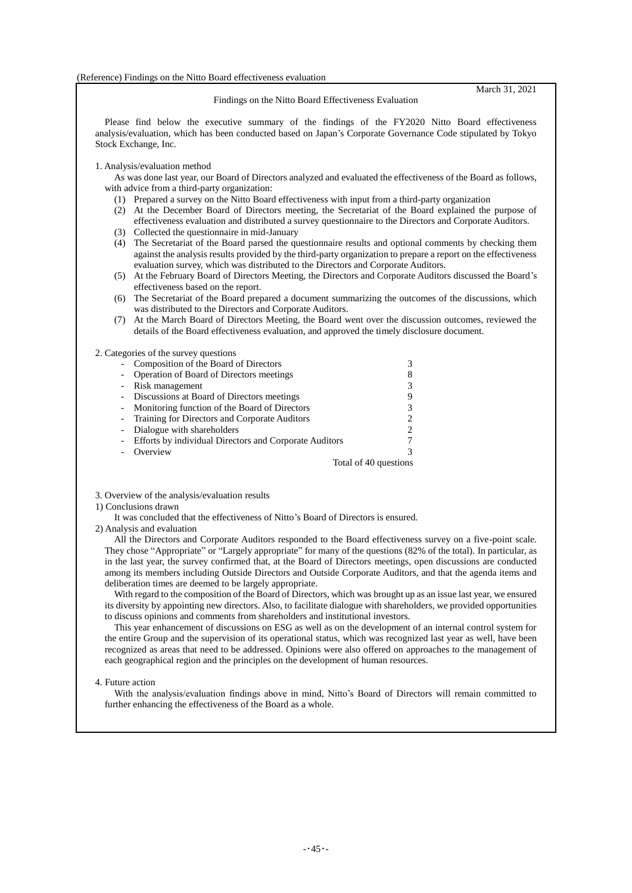March 31, 2021

Findings on the Nitto Board Effectiveness Evaluation

Please find below the executive summary of the findings of the FY2020 Nitto Board effectiveness analysis/evaluation, which has been conducted based on Japan's Corporate Governance Code stipulated by Tokyo Stock Exchange, Inc.

#### 1. Analysis/evaluation method

As was done last year, our Board of Directors analyzed and evaluated the effectiveness of the Board as follows, with advice from a third-party organization:

- (1) Prepared a survey on the Nitto Board effectiveness with input from a third-party organization
- (2) At the December Board of Directors meeting, the Secretariat of the Board explained the purpose of effectiveness evaluation and distributed a survey questionnaire to the Directors and Corporate Auditors.
- (3) Collected the questionnaire in mid-January
- (4) The Secretariat of the Board parsed the questionnaire results and optional comments by checking them against the analysis results provided by the third-party organization to prepare a report on the effectiveness evaluation survey, which was distributed to the Directors and Corporate Auditors.
- (5) At the February Board of Directors Meeting, the Directors and Corporate Auditors discussed the Board's effectiveness based on the report.
- (6) The Secretariat of the Board prepared a document summarizing the outcomes of the discussions, which was distributed to the Directors and Corporate Auditors.
- (7) At the March Board of Directors Meeting, the Board went over the discussion outcomes, reviewed the details of the Board effectiveness evaluation, and approved the timely disclosure document.

#### 2. Categories of the survey questions

| Composition of the Board of Directors                  |   |
|--------------------------------------------------------|---|
| Operation of Board of Directors meetings               | 8 |
| - Risk management                                      |   |
| - Discussions at Board of Directors meetings           |   |
| - Monitoring function of the Board of Directors        |   |
| - Training for Directors and Corporate Auditors        | 2 |
| Dialogue with shareholders                             |   |
| Efforts by individual Directors and Corporate Auditors |   |
| Overview                                               |   |
| Total of 40 questions                                  |   |

3. Overview of the analysis/evaluation results

### 1) Conclusions drawn

It was concluded that the effectiveness of Nitto's Board of Directors is ensured.

2) Analysis and evaluation

All the Directors and Corporate Auditors responded to the Board effectiveness survey on a five-point scale. They chose "Appropriate" or "Largely appropriate" for many of the questions (82% of the total). In particular, as in the last year, the survey confirmed that, at the Board of Directors meetings, open discussions are conducted among its members including Outside Directors and Outside Corporate Auditors, and that the agenda items and deliberation times are deemed to be largely appropriate.

With regard to the composition of the Board of Directors, which was brought up as an issue last year, we ensured its diversity by appointing new directors. Also, to facilitate dialogue with shareholders, we provided opportunities to discuss opinions and comments from shareholders and institutional investors.

This year enhancement of discussions on ESG as well as on the development of an internal control system for the entire Group and the supervision of its operational status, which was recognized last year as well, have been recognized as areas that need to be addressed. Opinions were also offered on approaches to the management of each geographical region and the principles on the development of human resources.

4. Future action

With the analysis/evaluation findings above in mind, Nitto's Board of Directors will remain committed to further enhancing the effectiveness of the Board as a whole.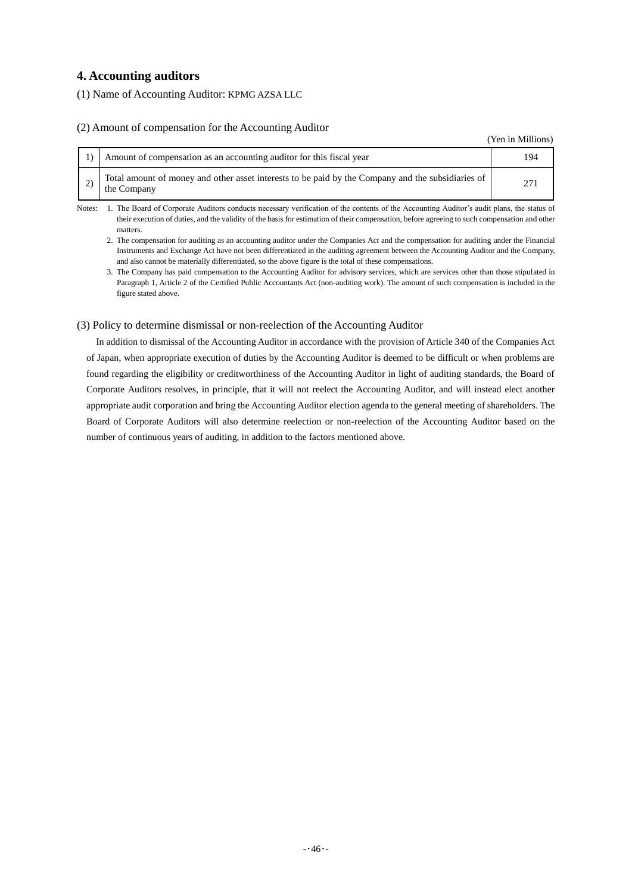# **4. Accounting auditors**

(1) Name of Accounting Auditor: KPMG AZSA LLC

### (2) Amount of compensation for the Accounting Auditor

(Yen in Millions)

| Amount of compensation as an accounting auditor for this fiscal year                                             |  |
|------------------------------------------------------------------------------------------------------------------|--|
| Total amount of money and other asset interests to be paid by the Company and the subsidiaries of<br>the Company |  |

Notes: 1. The Board of Corporate Auditors conducts necessary verification of the contents of the Accounting Auditor's audit plans, the status of their execution of duties, and the validity of the basis for estimation of their compensation, before agreeing to such compensation and other matters.

2. The compensation for auditing as an accounting auditor under the Companies Act and the compensation for auditing under the Financial Instruments and Exchange Act have not been differentiated in the auditing agreement between the Accounting Auditor and the Company, and also cannot be materially differentiated, so the above figure is the total of these compensations.

3. The Company has paid compensation to the Accounting Auditor for advisory services, which are services other than those stipulated in Paragraph 1, Article 2 of the Certified Public Accountants Act (non-auditing work). The amount of such compensation is included in the figure stated above.

### (3) Policy to determine dismissal or non-reelection of the Accounting Auditor

In addition to dismissal of the Accounting Auditor in accordance with the provision of Article 340 of the Companies Act of Japan, when appropriate execution of duties by the Accounting Auditor is deemed to be difficult or when problems are found regarding the eligibility or creditworthiness of the Accounting Auditor in light of auditing standards, the Board of Corporate Auditors resolves, in principle, that it will not reelect the Accounting Auditor, and will instead elect another appropriate audit corporation and bring the Accounting Auditor election agenda to the general meeting of shareholders. The Board of Corporate Auditors will also determine reelection or non-reelection of the Accounting Auditor based on the number of continuous years of auditing, in addition to the factors mentioned above.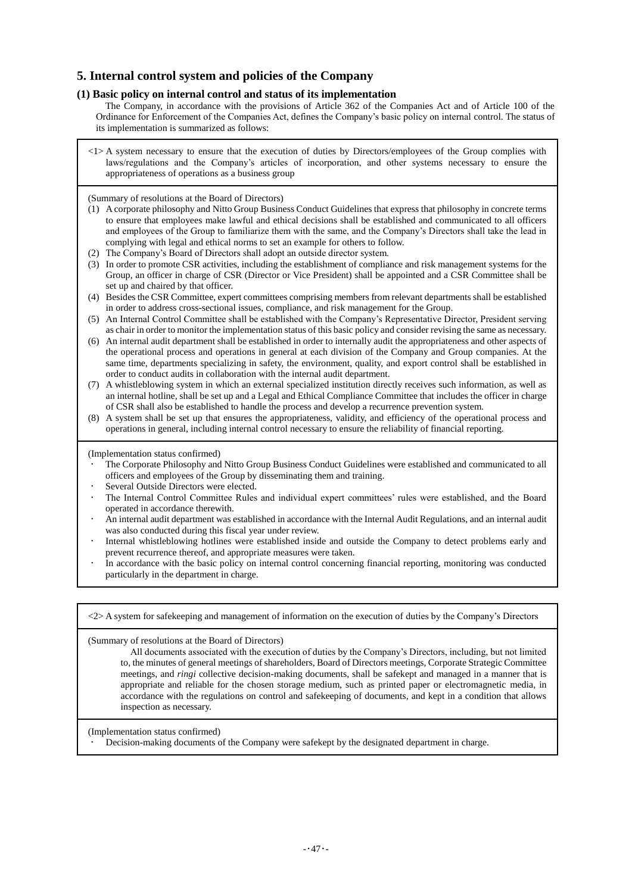# **5. Internal control system and policies of the Company**

### **(1) Basic policy on internal control and status of its implementation**

The Company, in accordance with the provisions of Article 362 of the Companies Act and of Article 100 of the Ordinance for Enforcement of the Companies Act, defines the Company's basic policy on internal control. The status of its implementation is summarized as follows:

<1> A system necessary to ensure that the execution of duties by Directors/employees of the Group complies with laws/regulations and the Company's articles of incorporation, and other systems necessary to ensure the appropriateness of operations as a business group

(Summary of resolutions at the Board of Directors)

- (1) A corporate philosophy and Nitto Group Business Conduct Guidelines that express that philosophy in concrete terms to ensure that employees make lawful and ethical decisions shall be established and communicated to all officers and employees of the Group to familiarize them with the same, and the Company's Directors shall take the lead in complying with legal and ethical norms to set an example for others to follow.
- (2) The Company's Board of Directors shall adopt an outside director system.
- (3) In order to promote CSR activities, including the establishment of compliance and risk management systems for the Group, an officer in charge of CSR (Director or Vice President) shall be appointed and a CSR Committee shall be set up and chaired by that officer.
- (4) Besides the CSR Committee, expert committees comprising members from relevant departments shall be established in order to address cross-sectional issues, compliance, and risk management for the Group.
- (5) An Internal Control Committee shall be established with the Company's Representative Director, President serving as chair in order to monitor the implementation status of this basic policy and consider revising the same as necessary.
- (6) An internal audit department shall be established in order to internally audit the appropriateness and other aspects of the operational process and operations in general at each division of the Company and Group companies. At the same time, departments specializing in safety, the environment, quality, and export control shall be established in order to conduct audits in collaboration with the internal audit department.
- (7) A whistleblowing system in which an external specialized institution directly receives such information, as well as an internal hotline, shall be set up and a Legal and Ethical Compliance Committee that includes the officer in charge of CSR shall also be established to handle the process and develop a recurrence prevention system.
- (8) A system shall be set up that ensures the appropriateness, validity, and efficiency of the operational process and operations in general, including internal control necessary to ensure the reliability of financial reporting.

(Implementation status confirmed)

- The Corporate Philosophy and Nitto Group Business Conduct Guidelines were established and communicated to all officers and employees of the Group by disseminating them and training.
- Several Outside Directors were elected.
- The Internal Control Committee Rules and individual expert committees' rules were established, and the Board operated in accordance therewith.
- An internal audit department was established in accordance with the Internal Audit Regulations, and an internal audit was also conducted during this fiscal year under review.
- Internal whistleblowing hotlines were established inside and outside the Company to detect problems early and prevent recurrence thereof, and appropriate measures were taken.
- In accordance with the basic policy on internal control concerning financial reporting, monitoring was conducted particularly in the department in charge.

<2> A system for safekeeping and management of information on the execution of duties by the Company's Directors

(Summary of resolutions at the Board of Directors)

All documents associated with the execution of duties by the Company's Directors, including, but not limited to, the minutes of general meetings of shareholders, Board of Directors meetings, Corporate Strategic Committee meetings, and *ringi* collective decision-making documents, shall be safekept and managed in a manner that is appropriate and reliable for the chosen storage medium, such as printed paper or electromagnetic media, in accordance with the regulations on control and safekeeping of documents, and kept in a condition that allows inspection as necessary.

(Implementation status confirmed)

Decision-making documents of the Company were safekept by the designated department in charge.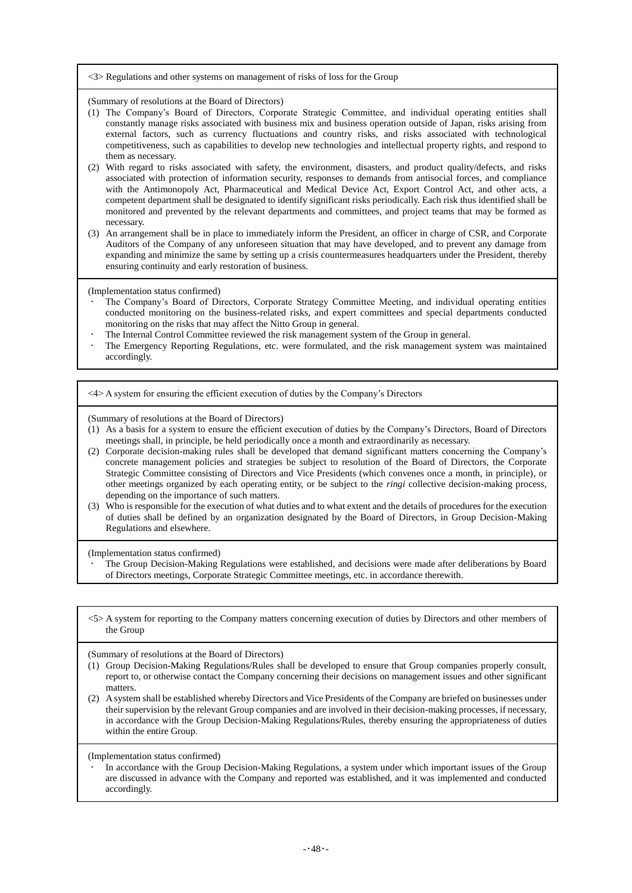#### <3> Regulations and other systems on management of risks of loss for the Group

(Summary of resolutions at the Board of Directors)

- (1) The Company's Board of Directors, Corporate Strategic Committee, and individual operating entities shall constantly manage risks associated with business mix and business operation outside of Japan, risks arising from external factors, such as currency fluctuations and country risks, and risks associated with technological competitiveness, such as capabilities to develop new technologies and intellectual property rights, and respond to them as necessary.
- (2) With regard to risks associated with safety, the environment, disasters, and product quality/defects, and risks associated with protection of information security, responses to demands from antisocial forces, and compliance with the Antimonopoly Act, Pharmaceutical and Medical Device Act, Export Control Act, and other acts, a competent department shall be designated to identify significant risks periodically. Each risk thus identified shall be monitored and prevented by the relevant departments and committees, and project teams that may be formed as necessary.
- (3) An arrangement shall be in place to immediately inform the President, an officer in charge of CSR, and Corporate Auditors of the Company of any unforeseen situation that may have developed, and to prevent any damage from expanding and minimize the same by setting up a crisis countermeasures headquarters under the President, thereby ensuring continuity and early restoration of business.

(Implementation status confirmed)

- The Company's Board of Directors, Corporate Strategy Committee Meeting, and individual operating entities conducted monitoring on the business-related risks, and expert committees and special departments conducted monitoring on the risks that may affect the Nitto Group in general.
- The Internal Control Committee reviewed the risk management system of the Group in general.
- The Emergency Reporting Regulations, etc. were formulated, and the risk management system was maintained accordingly.

<4> A system for ensuring the efficient execution of duties by the Company's Directors

(Summary of resolutions at the Board of Directors)

- (1) As a basis for a system to ensure the efficient execution of duties by the Company's Directors, Board of Directors meetings shall, in principle, be held periodically once a month and extraordinarily as necessary.
- (2) Corporate decision-making rules shall be developed that demand significant matters concerning the Company's concrete management policies and strategies be subject to resolution of the Board of Directors, the Corporate Strategic Committee consisting of Directors and Vice Presidents (which convenes once a month, in principle), or other meetings organized by each operating entity, or be subject to the *ringi* collective decision-making process, depending on the importance of such matters.
- (3) Who is responsible for the execution of what duties and to what extent and the details of procedures for the execution of duties shall be defined by an organization designated by the Board of Directors, in Group Decision-Making Regulations and elsewhere.

(Implementation status confirmed)

- The Group Decision-Making Regulations were established, and decisions were made after deliberations by Board of Directors meetings, Corporate Strategic Committee meetings, etc. in accordance therewith.
- <5> A system for reporting to the Company matters concerning execution of duties by Directors and other members of the Group

(Summary of resolutions at the Board of Directors)

- (1) Group Decision-Making Regulations/Rules shall be developed to ensure that Group companies properly consult, report to, or otherwise contact the Company concerning their decisions on management issues and other significant matters.
- (2) A system shall be established whereby Directors and Vice Presidents of the Company are briefed on businesses under their supervision by the relevant Group companies and are involved in their decision-making processes, if necessary, in accordance with the Group Decision-Making Regulations/Rules, thereby ensuring the appropriateness of duties within the entire Group.

(Implementation status confirmed)

 In accordance with the Group Decision-Making Regulations, a system under which important issues of the Group are discussed in advance with the Company and reported was established, and it was implemented and conducted accordingly.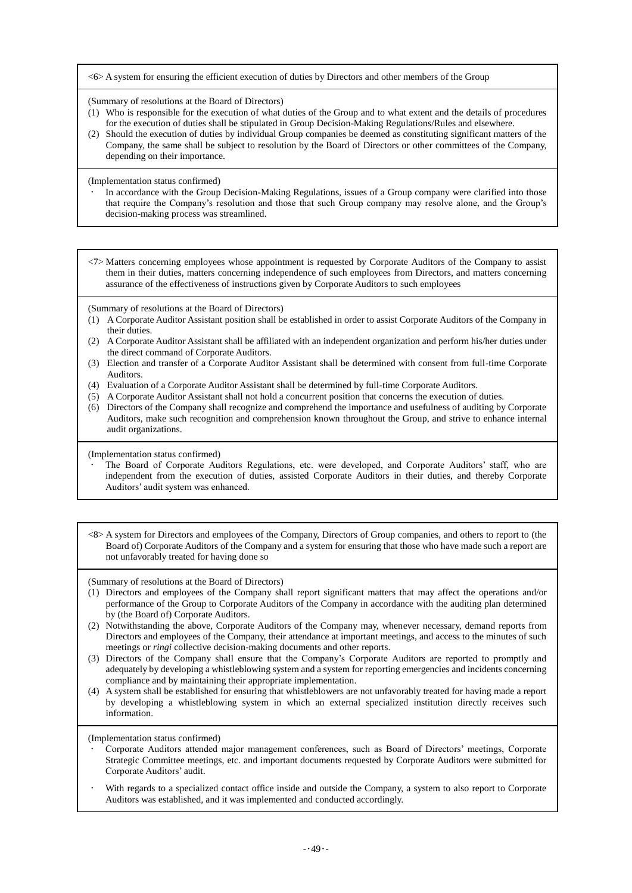<6> A system for ensuring the efficient execution of duties by Directors and other members of the Group

(Summary of resolutions at the Board of Directors)

- (1) Who is responsible for the execution of what duties of the Group and to what extent and the details of procedures for the execution of duties shall be stipulated in Group Decision-Making Regulations/Rules and elsewhere.
- (2) Should the execution of duties by individual Group companies be deemed as constituting significant matters of the Company, the same shall be subject to resolution by the Board of Directors or other committees of the Company, depending on their importance.

(Implementation status confirmed)

 In accordance with the Group Decision-Making Regulations, issues of a Group company were clarified into those that require the Company's resolution and those that such Group company may resolve alone, and the Group's decision-making process was streamlined.

<7> Matters concerning employees whose appointment is requested by Corporate Auditors of the Company to assist them in their duties, matters concerning independence of such employees from Directors, and matters concerning assurance of the effectiveness of instructions given by Corporate Auditors to such employees

(Summary of resolutions at the Board of Directors)

- (1) A Corporate Auditor Assistant position shall be established in order to assist Corporate Auditors of the Company in their duties.
- (2) A Corporate Auditor Assistant shall be affiliated with an independent organization and perform his/her duties under the direct command of Corporate Auditors.
- (3) Election and transfer of a Corporate Auditor Assistant shall be determined with consent from full-time Corporate Auditors.
- (4) Evaluation of a Corporate Auditor Assistant shall be determined by full-time Corporate Auditors.
- (5) A Corporate Auditor Assistant shall not hold a concurrent position that concerns the execution of duties.
- (6) Directors of the Company shall recognize and comprehend the importance and usefulness of auditing by Corporate Auditors, make such recognition and comprehension known throughout the Group, and strive to enhance internal audit organizations.

(Implementation status confirmed)

- The Board of Corporate Auditors Regulations, etc. were developed, and Corporate Auditors' staff, who are independent from the execution of duties, assisted Corporate Auditors in their duties, and thereby Corporate Auditors' audit system was enhanced.
- <8> A system for Directors and employees of the Company, Directors of Group companies, and others to report to (the Board of) Corporate Auditors of the Company and a system for ensuring that those who have made such a report are not unfavorably treated for having done so

(Summary of resolutions at the Board of Directors)

- (1) Directors and employees of the Company shall report significant matters that may affect the operations and/or performance of the Group to Corporate Auditors of the Company in accordance with the auditing plan determined by (the Board of) Corporate Auditors.
- (2) Notwithstanding the above, Corporate Auditors of the Company may, whenever necessary, demand reports from Directors and employees of the Company, their attendance at important meetings, and access to the minutes of such meetings or *ringi* collective decision-making documents and other reports.
- (3) Directors of the Company shall ensure that the Company's Corporate Auditors are reported to promptly and adequately by developing a whistleblowing system and a system for reporting emergencies and incidents concerning compliance and by maintaining their appropriate implementation.
- (4) A system shall be established for ensuring that whistleblowers are not unfavorably treated for having made a report by developing a whistleblowing system in which an external specialized institution directly receives such information.

(Implementation status confirmed)

- Corporate Auditors attended major management conferences, such as Board of Directors' meetings, Corporate Strategic Committee meetings, etc. and important documents requested by Corporate Auditors were submitted for Corporate Auditors' audit.
- With regards to a specialized contact office inside and outside the Company, a system to also report to Corporate Auditors was established, and it was implemented and conducted accordingly.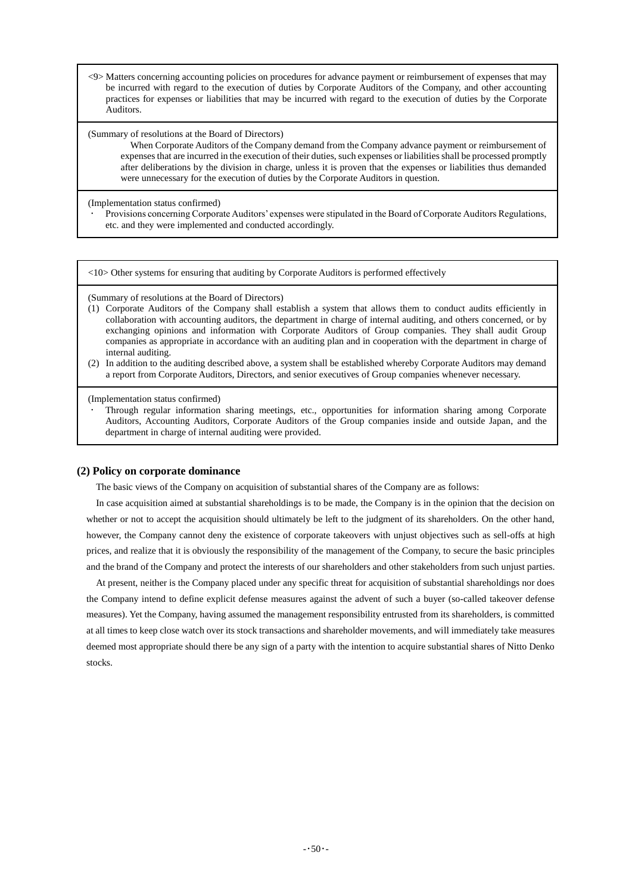<9> Matters concerning accounting policies on procedures for advance payment or reimbursement of expenses that may be incurred with regard to the execution of duties by Corporate Auditors of the Company, and other accounting practices for expenses or liabilities that may be incurred with regard to the execution of duties by the Corporate Auditors.

### (Summary of resolutions at the Board of Directors)

When Corporate Auditors of the Company demand from the Company advance payment or reimbursement of expenses that are incurred in the execution of their duties, such expenses or liabilities shall be processed promptly after deliberations by the division in charge, unless it is proven that the expenses or liabilities thus demanded were unnecessary for the execution of duties by the Corporate Auditors in question.

(Implementation status confirmed)

 Provisions concerning Corporate Auditors' expenses were stipulated in the Board of Corporate Auditors Regulations, etc. and they were implemented and conducted accordingly.

<10> Other systems for ensuring that auditing by Corporate Auditors is performed effectively

(Summary of resolutions at the Board of Directors)

- (1) Corporate Auditors of the Company shall establish a system that allows them to conduct audits efficiently in collaboration with accounting auditors, the department in charge of internal auditing, and others concerned, or by exchanging opinions and information with Corporate Auditors of Group companies. They shall audit Group companies as appropriate in accordance with an auditing plan and in cooperation with the department in charge of internal auditing.
- (2) In addition to the auditing described above, a system shall be established whereby Corporate Auditors may demand a report from Corporate Auditors, Directors, and senior executives of Group companies whenever necessary.

(Implementation status confirmed)

 Through regular information sharing meetings, etc., opportunities for information sharing among Corporate Auditors, Accounting Auditors, Corporate Auditors of the Group companies inside and outside Japan, and the department in charge of internal auditing were provided.

### **(2) Policy on corporate dominance**

The basic views of the Company on acquisition of substantial shares of the Company are as follows:

In case acquisition aimed at substantial shareholdings is to be made, the Company is in the opinion that the decision on whether or not to accept the acquisition should ultimately be left to the judgment of its shareholders. On the other hand, however, the Company cannot deny the existence of corporate takeovers with unjust objectives such as sell-offs at high prices, and realize that it is obviously the responsibility of the management of the Company, to secure the basic principles and the brand of the Company and protect the interests of our shareholders and other stakeholders from such unjust parties.

At present, neither is the Company placed under any specific threat for acquisition of substantial shareholdings nor does the Company intend to define explicit defense measures against the advent of such a buyer (so-called takeover defense measures). Yet the Company, having assumed the management responsibility entrusted from its shareholders, is committed at all times to keep close watch over its stock transactions and shareholder movements, and will immediately take measures deemed most appropriate should there be any sign of a party with the intention to acquire substantial shares of Nitto Denko stocks.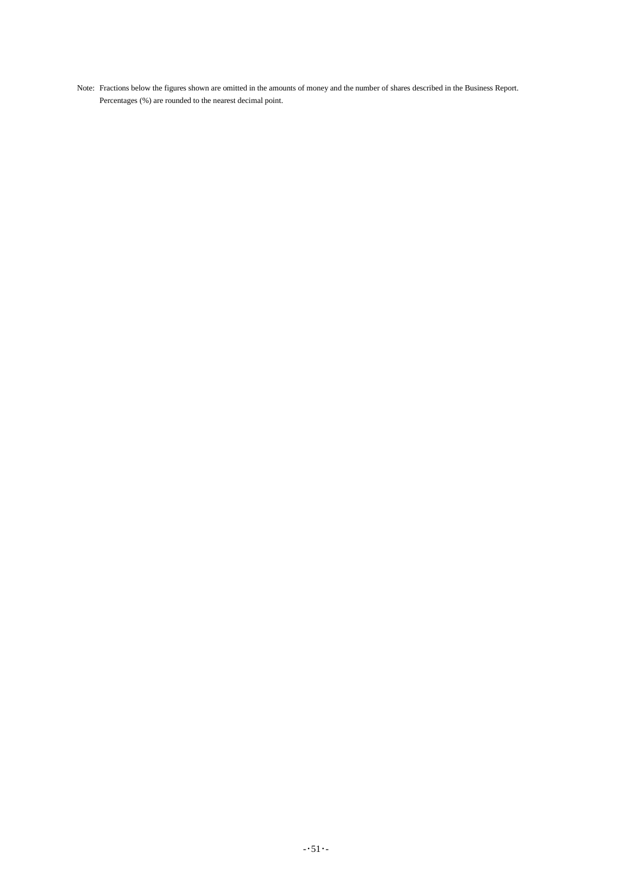Note: Fractions below the figures shown are omitted in the amounts of money and the number of shares described in the Business Report. Percentages (%) are rounded to the nearest decimal point.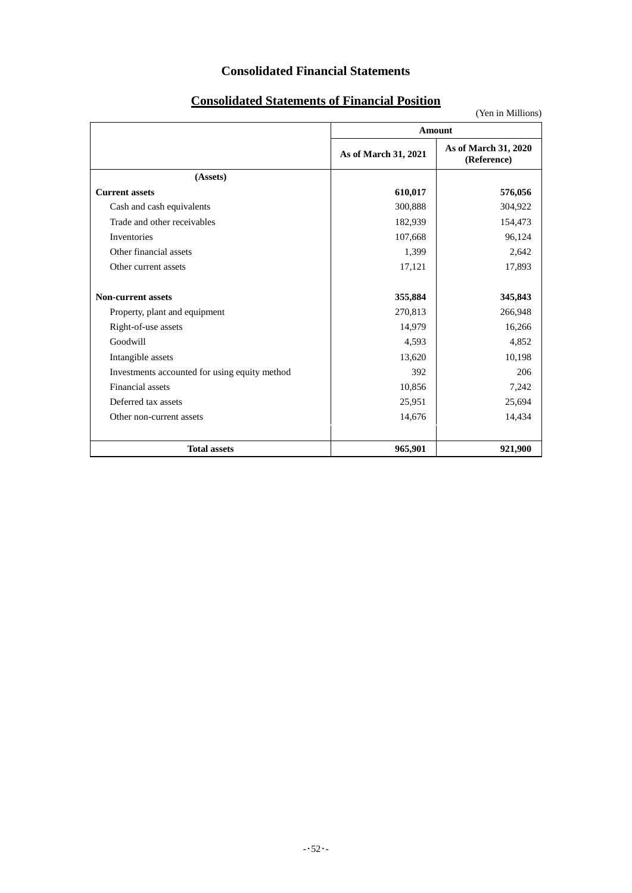# **Consolidated Financial Statements**

# **Consolidated Statements of Financial Position**

|                                               |                      | <b>Amount</b>                       |
|-----------------------------------------------|----------------------|-------------------------------------|
|                                               | As of March 31, 2021 | As of March 31, 2020<br>(Reference) |
| (Assets)                                      |                      |                                     |
| <b>Current assets</b>                         | 610,017              | 576,056                             |
| Cash and cash equivalents                     | 300,888              | 304,922                             |
| Trade and other receivables                   | 182,939              | 154,473                             |
| Inventories                                   | 107,668              | 96,124                              |
| Other financial assets                        | 1,399                | 2,642                               |
| Other current assets                          | 17,121               | 17,893                              |
| <b>Non-current assets</b>                     | 355,884              | 345,843                             |
| Property, plant and equipment                 | 270,813              | 266,948                             |
| Right-of-use assets                           | 14,979               | 16,266                              |
| Goodwill                                      | 4,593                | 4,852                               |
| Intangible assets                             | 13,620               | 10,198                              |
| Investments accounted for using equity method | 392                  | 206                                 |
| Financial assets                              | 10,856               | 7,242                               |
| Deferred tax assets                           | 25,951               | 25,694                              |
| Other non-current assets                      | 14,676               | 14,434                              |
| <b>Total assets</b>                           | 965,901              | 921,900                             |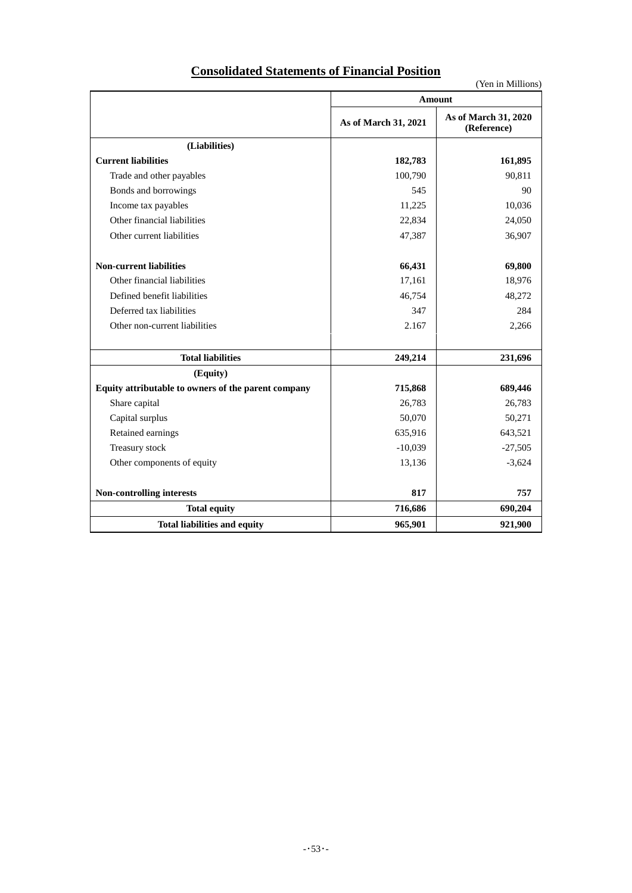| (Yen in Millions)                                   |                      |                                     |  |  |  |  |
|-----------------------------------------------------|----------------------|-------------------------------------|--|--|--|--|
|                                                     |                      | <b>Amount</b>                       |  |  |  |  |
|                                                     | As of March 31, 2021 | As of March 31, 2020<br>(Reference) |  |  |  |  |
| (Liabilities)                                       |                      |                                     |  |  |  |  |
| <b>Current liabilities</b>                          | 182,783              | 161,895                             |  |  |  |  |
| Trade and other payables                            | 100,790              | 90,811                              |  |  |  |  |
| Bonds and borrowings                                | 545                  | 90                                  |  |  |  |  |
| Income tax payables                                 | 11,225               | 10,036                              |  |  |  |  |
| Other financial liabilities                         | 22,834               | 24,050                              |  |  |  |  |
| Other current liabilities                           | 47,387               | 36,907                              |  |  |  |  |
| <b>Non-current liabilities</b>                      | 66,431               | 69,800                              |  |  |  |  |
| Other financial liabilities                         | 17,161               | 18,976                              |  |  |  |  |
| Defined benefit liabilities                         | 46,754               | 48,272                              |  |  |  |  |
| Deferred tax liabilities                            | 347                  | 284                                 |  |  |  |  |
| Other non-current liabilities                       | 2.167                | 2,266                               |  |  |  |  |
| <b>Total liabilities</b>                            | 249,214              | 231,696                             |  |  |  |  |
| (Equity)                                            |                      |                                     |  |  |  |  |
| Equity attributable to owners of the parent company | 715,868              | 689,446                             |  |  |  |  |
| Share capital                                       | 26,783               | 26,783                              |  |  |  |  |
| Capital surplus                                     | 50,070               | 50,271                              |  |  |  |  |
| Retained earnings                                   | 635,916              | 643,521                             |  |  |  |  |
| Treasury stock                                      | $-10,039$            | $-27,505$                           |  |  |  |  |
| Other components of equity                          | 13,136               | $-3,624$                            |  |  |  |  |
| Non-controlling interests                           | 817                  | 757                                 |  |  |  |  |
| <b>Total equity</b>                                 | 716,686              | 690,204                             |  |  |  |  |
| <b>Total liabilities and equity</b>                 | 965,901              | 921,900                             |  |  |  |  |

# **Consolidated Statements of Financial Position**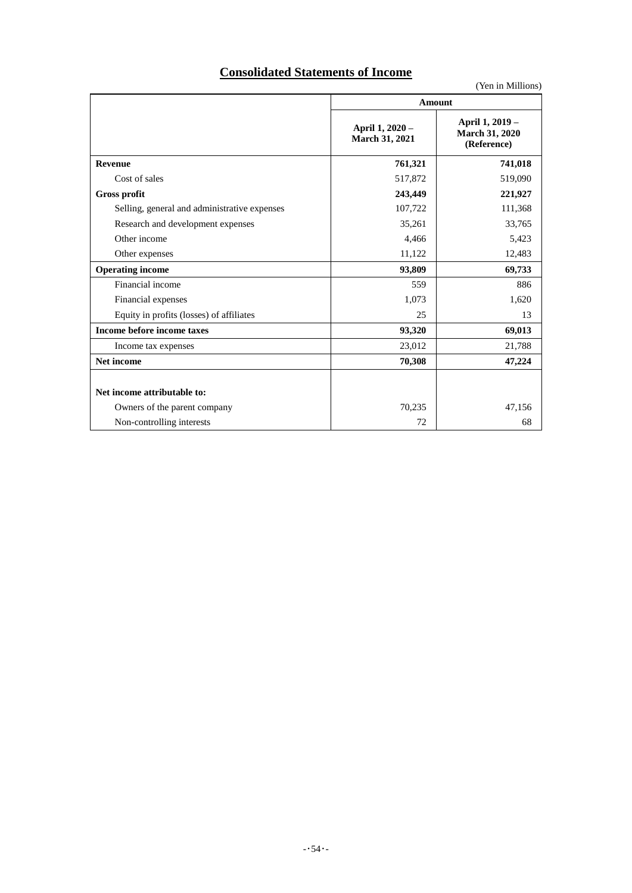# **Consolidated Statements of Income**

| $1 \times 11 \times 111111 \times 1111 \times 1111 \times 1111 \times 1111 \times 1111 \times 1111 \times 1111 \times 1111 \times 1111 \times 1111 \times 1111 \times 1111 \times 1111 \times 1111 \times 1111 \times 1111 \times 1111 \times 1111 \times 1111 \times 1111 \times 1111 \times 1111 \times 1111 \times 1111 \times 1111 \times 1111 \times 1111 \times 1111 \times 1111 \times$ |                                   |                                                         |  |  |  |  |  |
|------------------------------------------------------------------------------------------------------------------------------------------------------------------------------------------------------------------------------------------------------------------------------------------------------------------------------------------------------------------------------------------------|-----------------------------------|---------------------------------------------------------|--|--|--|--|--|
|                                                                                                                                                                                                                                                                                                                                                                                                | Amount                            |                                                         |  |  |  |  |  |
|                                                                                                                                                                                                                                                                                                                                                                                                | April 1, 2020 -<br>March 31, 2021 | April 1, 2019 -<br><b>March 31, 2020</b><br>(Reference) |  |  |  |  |  |
| Revenue                                                                                                                                                                                                                                                                                                                                                                                        | 761,321                           | 741,018                                                 |  |  |  |  |  |
| Cost of sales                                                                                                                                                                                                                                                                                                                                                                                  | 517,872                           | 519,090                                                 |  |  |  |  |  |
| Gross profit                                                                                                                                                                                                                                                                                                                                                                                   | 243,449                           | 221,927                                                 |  |  |  |  |  |
| Selling, general and administrative expenses                                                                                                                                                                                                                                                                                                                                                   | 107,722                           | 111,368                                                 |  |  |  |  |  |
| Research and development expenses                                                                                                                                                                                                                                                                                                                                                              | 35,261                            | 33,765                                                  |  |  |  |  |  |
| Other income                                                                                                                                                                                                                                                                                                                                                                                   | 4,466                             | 5,423                                                   |  |  |  |  |  |
| Other expenses                                                                                                                                                                                                                                                                                                                                                                                 | 11,122                            | 12,483                                                  |  |  |  |  |  |
| <b>Operating income</b>                                                                                                                                                                                                                                                                                                                                                                        | 93,809                            | 69,733                                                  |  |  |  |  |  |
| Financial income                                                                                                                                                                                                                                                                                                                                                                               | 559                               | 886                                                     |  |  |  |  |  |
| Financial expenses                                                                                                                                                                                                                                                                                                                                                                             | 1,073                             | 1,620                                                   |  |  |  |  |  |
| Equity in profits (losses) of affiliates                                                                                                                                                                                                                                                                                                                                                       | 25                                | 13                                                      |  |  |  |  |  |
| Income before income taxes                                                                                                                                                                                                                                                                                                                                                                     | 93,320                            | 69,013                                                  |  |  |  |  |  |
| Income tax expenses                                                                                                                                                                                                                                                                                                                                                                            | 23,012                            | 21,788                                                  |  |  |  |  |  |
| <b>Net income</b>                                                                                                                                                                                                                                                                                                                                                                              | 70,308                            | 47,224                                                  |  |  |  |  |  |
| Net income attributable to:                                                                                                                                                                                                                                                                                                                                                                    |                                   |                                                         |  |  |  |  |  |
| Owners of the parent company                                                                                                                                                                                                                                                                                                                                                                   | 70,235                            | 47,156                                                  |  |  |  |  |  |
| Non-controlling interests                                                                                                                                                                                                                                                                                                                                                                      | 72                                | 68                                                      |  |  |  |  |  |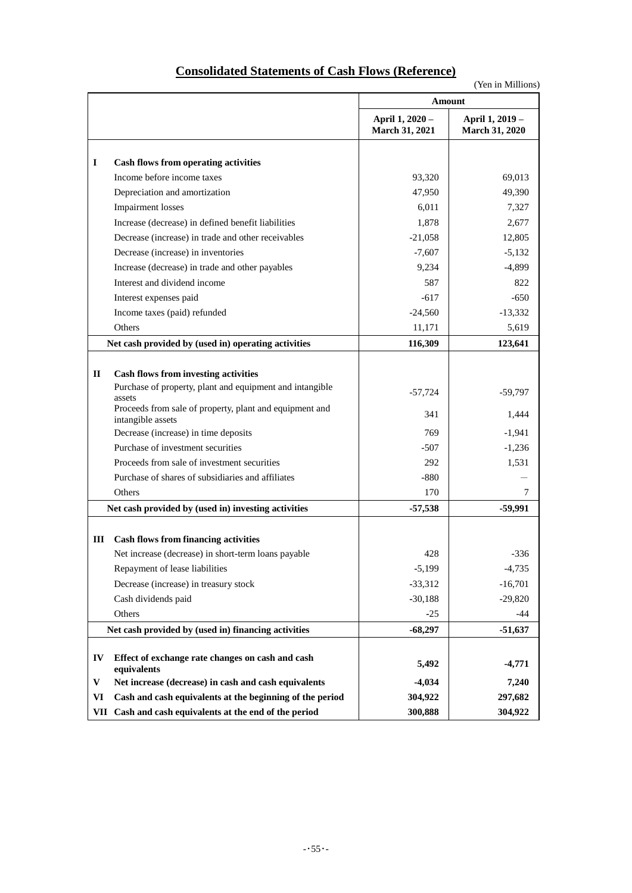| <b>Consolidated Statements of Cash Flows (Reference)</b> |  |  |
|----------------------------------------------------------|--|--|
|                                                          |  |  |

|             |                                                                   |                                   | (Yen in Millions)                        |
|-------------|-------------------------------------------------------------------|-----------------------------------|------------------------------------------|
|             |                                                                   | Amount                            |                                          |
|             |                                                                   | April 1, 2020 -<br>March 31, 2021 | April 1, 2019 -<br><b>March 31, 2020</b> |
|             |                                                                   |                                   |                                          |
| $\bf{I}$    | <b>Cash flows from operating activities</b>                       |                                   |                                          |
|             | Income before income taxes                                        | 93,320                            | 69,013                                   |
|             | Depreciation and amortization                                     | 47,950                            | 49,390                                   |
|             | <b>Impairment</b> losses                                          | 6,011                             | 7,327                                    |
|             | Increase (decrease) in defined benefit liabilities                | 1,878                             | 2,677                                    |
|             | Decrease (increase) in trade and other receivables                | $-21,058$                         | 12,805                                   |
|             | Decrease (increase) in inventories                                | $-7,607$                          | $-5,132$                                 |
|             | Increase (decrease) in trade and other payables                   | 9,234                             | $-4,899$                                 |
|             | Interest and dividend income                                      | 587                               | 822                                      |
|             | Interest expenses paid                                            | $-617$                            | $-650$                                   |
|             | Income taxes (paid) refunded                                      | $-24,560$                         | $-13,332$                                |
|             | Others                                                            | 11,171                            | 5,619                                    |
|             | Net cash provided by (used in) operating activities               | 116,309                           | 123,641                                  |
|             |                                                                   |                                   |                                          |
| $\mathbf H$ | <b>Cash flows from investing activities</b>                       |                                   |                                          |
|             | Purchase of property, plant and equipment and intangible          | $-57,724$                         | $-59,797$                                |
|             | assets<br>Proceeds from sale of property, plant and equipment and |                                   |                                          |
|             | intangible assets                                                 | 341                               | 1,444                                    |
|             | Decrease (increase) in time deposits                              | 769                               | $-1,941$                                 |
|             | Purchase of investment securities                                 | $-507$                            | $-1,236$                                 |
|             | Proceeds from sale of investment securities                       | 292                               | 1,531                                    |
|             | Purchase of shares of subsidiaries and affiliates                 | $-880$                            |                                          |
|             | Others                                                            | 170                               | 7                                        |
|             | Net cash provided by (used in) investing activities               | $-57,538$                         | $-59,991$                                |
|             |                                                                   |                                   |                                          |
| Ш           | <b>Cash flows from financing activities</b>                       |                                   |                                          |
|             | Net increase (decrease) in short-term loans payable               | 428                               | $-336$                                   |
|             | Repayment of lease liabilities                                    | $-5,199$                          | $-4,735$                                 |
|             | Decrease (increase) in treasury stock                             | $-33,312$                         | $-16,701$                                |
|             | Cash dividends paid                                               | $-30,188$                         | $-29,820$                                |
|             | Others                                                            | $-25$                             | -44                                      |
|             | Net cash provided by (used in) financing activities               | $-68,297$                         | $-51,637$                                |
|             |                                                                   |                                   |                                          |
| IV          | Effect of exchange rate changes on cash and cash<br>equivalents   | 5,492                             | $-4,771$                                 |
| V           | Net increase (decrease) in cash and cash equivalents              | $-4,034$                          | 7,240                                    |
| VI          | Cash and cash equivalents at the beginning of the period          | 304,922                           | 297,682                                  |
| VII         | Cash and cash equivalents at the end of the period                | 300,888                           | 304,922                                  |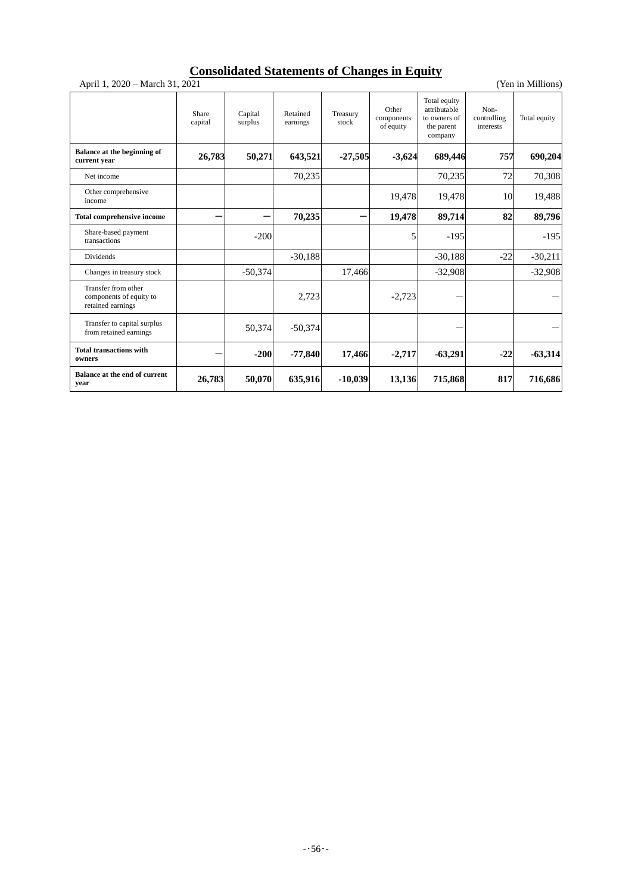# **Consolidated Statements of Changes in Equity**

April 1, 2020 – March 31, 2021 (Yen in Millions)

|                                                                     | Share<br>capital | Capital<br>surplus | Retained<br>earnings | Treasury<br>stock | Other<br>components<br>of equity | Total equity<br>attributable<br>to owners of<br>the parent<br>company | Non-<br>controlling<br>interests | Total equity |
|---------------------------------------------------------------------|------------------|--------------------|----------------------|-------------------|----------------------------------|-----------------------------------------------------------------------|----------------------------------|--------------|
| Balance at the beginning of<br>current year                         | 26,783           | 50,271             | 643,521              | $-27,505$         | $-3,624$                         | 689,446                                                               | 757                              | 690,204      |
| Net income                                                          |                  |                    | 70,235               |                   |                                  | 70,235                                                                | 72                               | 70,308       |
| Other comprehensive<br>income                                       |                  |                    |                      |                   | 19,478                           | 19,478                                                                | 10                               | 19,488       |
| <b>Total comprehensive income</b>                                   |                  |                    | 70,235               |                   | 19,478                           | 89,714                                                                | 82                               | 89,796       |
| Share-based payment<br>transactions                                 |                  | $-200$             |                      |                   | 5                                | $-195$                                                                |                                  | $-195$       |
| Dividends                                                           |                  |                    | $-30,188$            |                   |                                  | $-30,188$                                                             | $-22$                            | $-30,211$    |
| Changes in treasury stock                                           |                  | $-50,374$          |                      | 17,466            |                                  | $-32,908$                                                             |                                  | $-32,908$    |
| Transfer from other<br>components of equity to<br>retained earnings |                  |                    | 2,723                |                   | $-2,723$                         |                                                                       |                                  |              |
| Transfer to capital surplus<br>from retained earnings               |                  | 50,374             | $-50,374$            |                   |                                  |                                                                       |                                  |              |
| <b>Total transactions with</b><br>owners                            |                  | $-200$             | $-77,840$            | 17,466            | $-2,717$                         | $-63,291$                                                             | $-22$                            | $-63,314$    |
| Balance at the end of current<br>year                               | 26,783           | 50,070             | 635,916              | $-10,039$         | 13,136                           | 715,868                                                               | 817                              | 716,686      |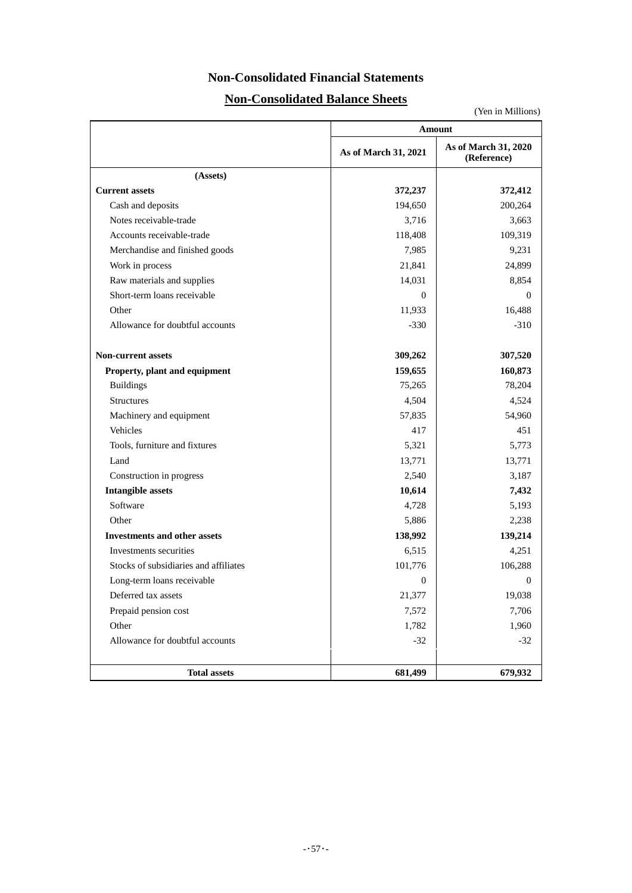# **Non-Consolidated Financial Statements**

# **Non-Consolidated Balance Sheets**

|                                       | <b>Amount</b>        |                                     |  |  |  |
|---------------------------------------|----------------------|-------------------------------------|--|--|--|
|                                       | As of March 31, 2021 | As of March 31, 2020<br>(Reference) |  |  |  |
| (Assets)                              |                      |                                     |  |  |  |
| <b>Current assets</b>                 | 372,237              | 372,412                             |  |  |  |
| Cash and deposits                     | 194,650              | 200,264                             |  |  |  |
| Notes receivable-trade                | 3,716                | 3,663                               |  |  |  |
| Accounts receivable-trade             | 118,408              | 109,319                             |  |  |  |
| Merchandise and finished goods        | 7,985                | 9,231                               |  |  |  |
| Work in process                       | 21,841               | 24,899                              |  |  |  |
| Raw materials and supplies            | 14,031               | 8,854                               |  |  |  |
| Short-term loans receivable           | $\Omega$             | $\theta$                            |  |  |  |
| Other                                 | 11,933               | 16,488                              |  |  |  |
| Allowance for doubtful accounts       | $-330$               | $-310$                              |  |  |  |
| <b>Non-current assets</b>             | 309,262              | 307,520                             |  |  |  |
| Property, plant and equipment         | 159,655              | 160,873                             |  |  |  |
| <b>Buildings</b>                      | 75,265               | 78,204                              |  |  |  |
| <b>Structures</b>                     | 4,504                | 4,524                               |  |  |  |
| Machinery and equipment               | 57,835               | 54,960                              |  |  |  |
| Vehicles                              | 417                  | 451                                 |  |  |  |
| Tools, furniture and fixtures         | 5,321                | 5,773                               |  |  |  |
| Land                                  | 13,771               | 13,771                              |  |  |  |
| Construction in progress              | 2,540                | 3,187                               |  |  |  |
| <b>Intangible assets</b>              | 10,614               | 7,432                               |  |  |  |
| Software                              | 4,728                | 5,193                               |  |  |  |
| Other                                 | 5,886                | 2,238                               |  |  |  |
| <b>Investments and other assets</b>   | 138,992              | 139,214                             |  |  |  |
| Investments securities                | 6,515                | 4,251                               |  |  |  |
| Stocks of subsidiaries and affiliates | 101,776              | 106,288                             |  |  |  |
| Long-term loans receivable            | $\mathbf{0}$         | 0                                   |  |  |  |
| Deferred tax assets                   | 21,377               | 19,038                              |  |  |  |
| Prepaid pension cost                  | 7,572                | 7,706                               |  |  |  |
| Other                                 | 1,782                | 1,960                               |  |  |  |
| Allowance for doubtful accounts       | $-32$                | $-32$                               |  |  |  |
| <b>Total assets</b>                   | 681,499              | 679,932                             |  |  |  |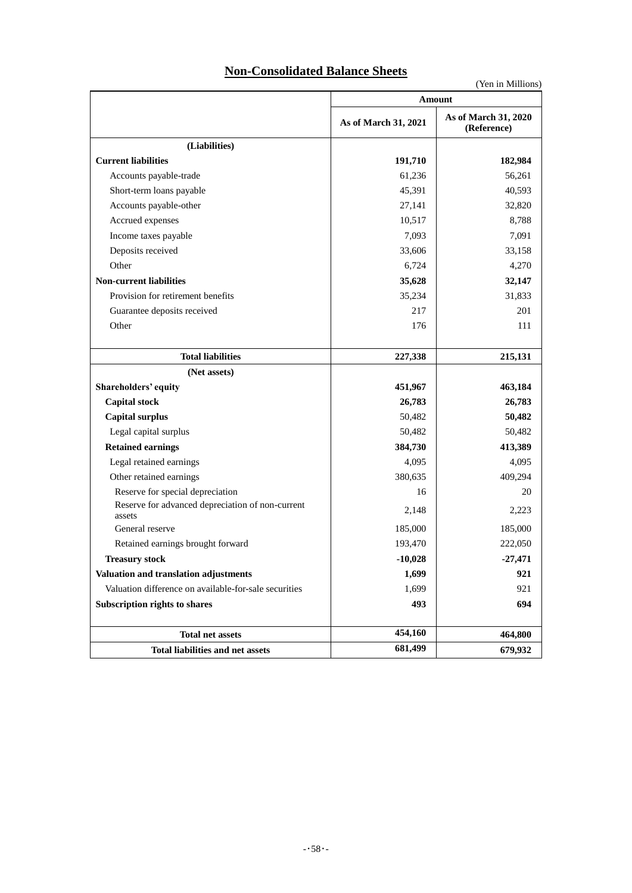# **Non-Consolidated Balance Sheets**

|                                                            | Amount               |                                     |  |  |  |
|------------------------------------------------------------|----------------------|-------------------------------------|--|--|--|
|                                                            | As of March 31, 2021 | As of March 31, 2020<br>(Reference) |  |  |  |
| (Liabilities)                                              |                      |                                     |  |  |  |
| <b>Current liabilities</b>                                 | 191,710              | 182,984                             |  |  |  |
| Accounts payable-trade                                     | 61,236               | 56,261                              |  |  |  |
| Short-term loans payable                                   | 45,391               | 40,593                              |  |  |  |
| Accounts payable-other                                     | 27,141               | 32,820                              |  |  |  |
| Accrued expenses                                           | 10,517               | 8,788                               |  |  |  |
| Income taxes payable                                       | 7,093                | 7,091                               |  |  |  |
| Deposits received                                          | 33,606               | 33,158                              |  |  |  |
| Other                                                      | 6,724                | 4,270                               |  |  |  |
| <b>Non-current liabilities</b>                             | 35,628               | 32,147                              |  |  |  |
| Provision for retirement benefits                          | 35,234               | 31,833                              |  |  |  |
| Guarantee deposits received                                | 217                  | 201                                 |  |  |  |
| Other                                                      | 176                  | 111                                 |  |  |  |
| <b>Total liabilities</b>                                   | 227,338              | 215,131                             |  |  |  |
| (Net assets)                                               |                      |                                     |  |  |  |
| Shareholders' equity                                       | 451,967              | 463,184                             |  |  |  |
| <b>Capital stock</b>                                       | 26,783               | 26,783                              |  |  |  |
| <b>Capital surplus</b>                                     | 50,482               | 50,482                              |  |  |  |
| Legal capital surplus                                      | 50,482               | 50,482                              |  |  |  |
| <b>Retained earnings</b>                                   | 384,730              | 413,389                             |  |  |  |
| Legal retained earnings                                    | 4,095                | 4,095                               |  |  |  |
| Other retained earnings                                    | 380,635              | 409,294                             |  |  |  |
| Reserve for special depreciation                           | 16                   | 20                                  |  |  |  |
| Reserve for advanced depreciation of non-current<br>assets | 2,148                | 2,223                               |  |  |  |
| General reserve                                            | 185,000              | 185,000                             |  |  |  |
| Retained earnings brought forward                          | 193,470              | 222,050                             |  |  |  |
| <b>Treasury stock</b>                                      | $-10,028$            | $-27,471$                           |  |  |  |
| Valuation and translation adjustments                      | 1,699                | 921                                 |  |  |  |
| Valuation difference on available-for-sale securities      | 1,699                | 921                                 |  |  |  |
| Subscription rights to shares                              | 493                  | 694                                 |  |  |  |
| <b>Total net assets</b>                                    | 454,160              | 464,800                             |  |  |  |
| Total liabilities and net assets                           | 681,499              | 679,932                             |  |  |  |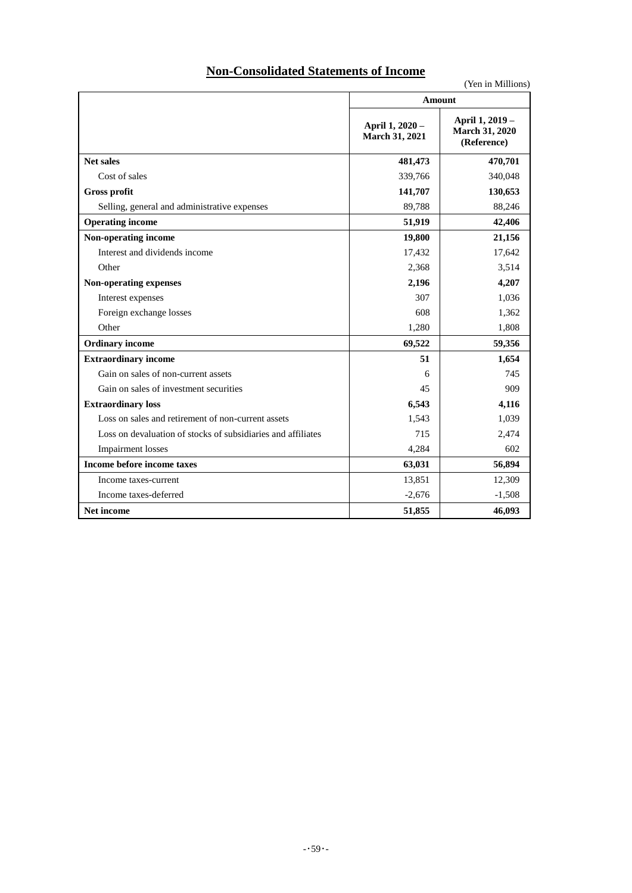# **Non-Consolidated Statements of Income**

|                                                              | Amount                            |                                                         |
|--------------------------------------------------------------|-----------------------------------|---------------------------------------------------------|
|                                                              | April 1, 2020 -<br>March 31, 2021 | April 1, 2019 -<br><b>March 31, 2020</b><br>(Reference) |
| <b>Net sales</b>                                             | 481,473                           | 470,701                                                 |
| Cost of sales                                                | 339,766                           | 340,048                                                 |
| Gross profit                                                 | 141,707                           | 130,653                                                 |
| Selling, general and administrative expenses                 | 89,788                            | 88,246                                                  |
| <b>Operating income</b>                                      | 51,919                            | 42,406                                                  |
| Non-operating income                                         | 19,800                            | 21,156                                                  |
| Interest and dividends income                                | 17,432                            | 17,642                                                  |
| Other                                                        | 2,368                             | 3,514                                                   |
| Non-operating expenses                                       | 2,196                             | 4,207                                                   |
| Interest expenses                                            | 307                               | 1,036                                                   |
| Foreign exchange losses                                      | 608                               | 1,362                                                   |
| Other                                                        | 1,280                             | 1,808                                                   |
| <b>Ordinary income</b>                                       | 69,522                            | 59,356                                                  |
| <b>Extraordinary income</b>                                  | 51                                | 1,654                                                   |
| Gain on sales of non-current assets                          | 6                                 | 745                                                     |
| Gain on sales of investment securities                       | 45                                | 909                                                     |
| <b>Extraordinary loss</b>                                    | 6,543                             | 4,116                                                   |
| Loss on sales and retirement of non-current assets           | 1,543                             | 1,039                                                   |
| Loss on devaluation of stocks of subsidiaries and affiliates | 715                               | 2,474                                                   |
| <b>Impairment</b> losses                                     | 4,284                             | 602                                                     |
| Income before income taxes                                   | 63,031                            | 56,894                                                  |
| Income taxes-current                                         | 13,851                            | 12,309                                                  |
| Income taxes-deferred                                        | $-2,676$                          | $-1,508$                                                |
| Net income                                                   | 51,855                            | 46,093                                                  |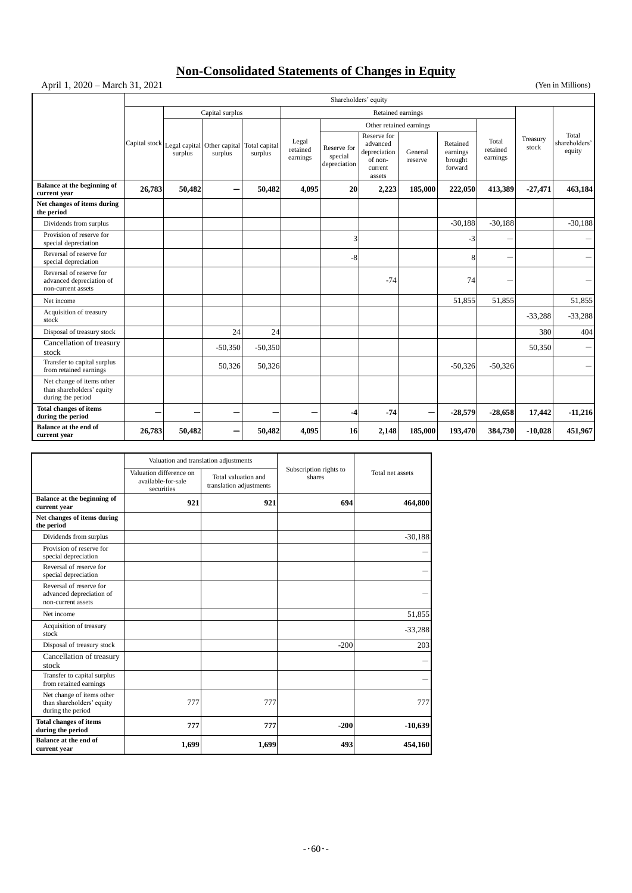# **Non-Consolidated Statements of Changes in Equity**

# April 1, 2020 – March 31, 2021 (Yen in Millions)

|                                                                             | Shareholders' equity |                                                      |                 |                          |                               |                                        |                                                                         |                    |                                            |                               |                   |                                  |
|-----------------------------------------------------------------------------|----------------------|------------------------------------------------------|-----------------|--------------------------|-------------------------------|----------------------------------------|-------------------------------------------------------------------------|--------------------|--------------------------------------------|-------------------------------|-------------------|----------------------------------|
|                                                                             |                      |                                                      | Capital surplus |                          | Retained earnings             |                                        |                                                                         |                    |                                            |                               |                   |                                  |
|                                                                             |                      |                                                      |                 |                          |                               |                                        | Other retained earnings                                                 |                    |                                            |                               |                   |                                  |
|                                                                             |                      | Capital stock Legal capital Other capital<br>surplus | surplus         | Total capital<br>surplus | Legal<br>retained<br>earnings | Reserve for<br>special<br>depreciation | Reserve for<br>advanced<br>depreciation<br>of non-<br>current<br>assets | General<br>reserve | Retained<br>earnings<br>brought<br>forward | Total<br>retained<br>earnings | Treasury<br>stock | Total<br>shareholders'<br>equity |
| Balance at the beginning of<br>current year                                 | 26,783               | 50,482                                               |                 | 50,482                   | 4,095                         | 20                                     | 2,223                                                                   | 185,000            | 222,050                                    | 413,389                       | $-27,471$         | 463,184                          |
| Net changes of items during<br>the period                                   |                      |                                                      |                 |                          |                               |                                        |                                                                         |                    |                                            |                               |                   |                                  |
| Dividends from surplus                                                      |                      |                                                      |                 |                          |                               |                                        |                                                                         |                    | $-30.188$                                  | $-30,188$                     |                   | $-30,188$                        |
| Provision of reserve for<br>special depreciation                            |                      |                                                      |                 |                          |                               | 3                                      |                                                                         |                    | $-3$                                       |                               |                   |                                  |
| Reversal of reserve for<br>special depreciation                             |                      |                                                      |                 |                          |                               | $-8$                                   |                                                                         |                    | 8                                          |                               |                   |                                  |
| Reversal of reserve for<br>advanced depreciation of<br>non-current assets   |                      |                                                      |                 |                          |                               |                                        | $-74$                                                                   |                    | 74                                         |                               |                   |                                  |
| Net income                                                                  |                      |                                                      |                 |                          |                               |                                        |                                                                         |                    | 51,855                                     | 51,855                        |                   | 51,855                           |
| Acquisition of treasury<br>stock                                            |                      |                                                      |                 |                          |                               |                                        |                                                                         |                    |                                            |                               | $-33,288$         | $-33,288$                        |
| Disposal of treasury stock                                                  |                      |                                                      | 24              | 24                       |                               |                                        |                                                                         |                    |                                            |                               | 380               | 404                              |
| Cancellation of treasury<br>stock                                           |                      |                                                      | $-50,350$       | $-50,350$                |                               |                                        |                                                                         |                    |                                            |                               | 50,350            |                                  |
| Transfer to capital surplus<br>from retained earnings                       |                      |                                                      | 50,326          | 50,326                   |                               |                                        |                                                                         |                    | $-50,326$                                  | $-50,326$                     |                   |                                  |
| Net change of items other<br>than shareholders' equity<br>during the period |                      |                                                      |                 |                          |                               |                                        |                                                                         |                    |                                            |                               |                   |                                  |
| <b>Total changes of items</b><br>during the period                          | -                    |                                                      |                 |                          |                               | -4                                     | $-74$                                                                   | -                  | $-28,579$                                  | $-28,658$                     | 17,442            | $-11,216$                        |
| Balance at the end of<br>current year                                       | 26,783               | 50,482                                               |                 | 50,482                   | 4.095                         | 16                                     | 2,148                                                                   | 185,000            | 193,470                                    | 384,730                       | $-10,028$         | 451,967                          |

|                                                                             | Valuation and translation adjustments                       |                                                |                                  |                  |  |
|-----------------------------------------------------------------------------|-------------------------------------------------------------|------------------------------------------------|----------------------------------|------------------|--|
|                                                                             | Valuation difference on<br>available-for-sale<br>securities | Total valuation and<br>translation adjustments | Subscription rights to<br>shares | Total net assets |  |
| Balance at the beginning of<br>current year                                 | 921                                                         | 921                                            | 694                              | 464,800          |  |
| Net changes of items during<br>the period                                   |                                                             |                                                |                                  |                  |  |
| Dividends from surplus                                                      |                                                             |                                                |                                  | $-30,188$        |  |
| Provision of reserve for<br>special depreciation                            |                                                             |                                                |                                  |                  |  |
| Reversal of reserve for<br>special depreciation                             |                                                             |                                                |                                  |                  |  |
| Reversal of reserve for<br>advanced depreciation of<br>non-current assets   |                                                             |                                                |                                  |                  |  |
| Net income                                                                  |                                                             |                                                |                                  | 51,855           |  |
| Acquisition of treasury<br>stock                                            |                                                             |                                                |                                  | $-33,288$        |  |
| Disposal of treasury stock                                                  |                                                             |                                                | $-200$                           | 203              |  |
| Cancellation of treasury<br>stock                                           |                                                             |                                                |                                  |                  |  |
| Transfer to capital surplus<br>from retained earnings                       |                                                             |                                                |                                  |                  |  |
| Net change of items other<br>than shareholders' equity<br>during the period | 777                                                         | 777                                            |                                  | 777              |  |
| <b>Total changes of items</b><br>during the period                          | 777                                                         | 777                                            | $-200$                           | $-10,639$        |  |
| Balance at the end of<br>current year                                       | 1,699                                                       | 1,699                                          | 493                              | 454,160          |  |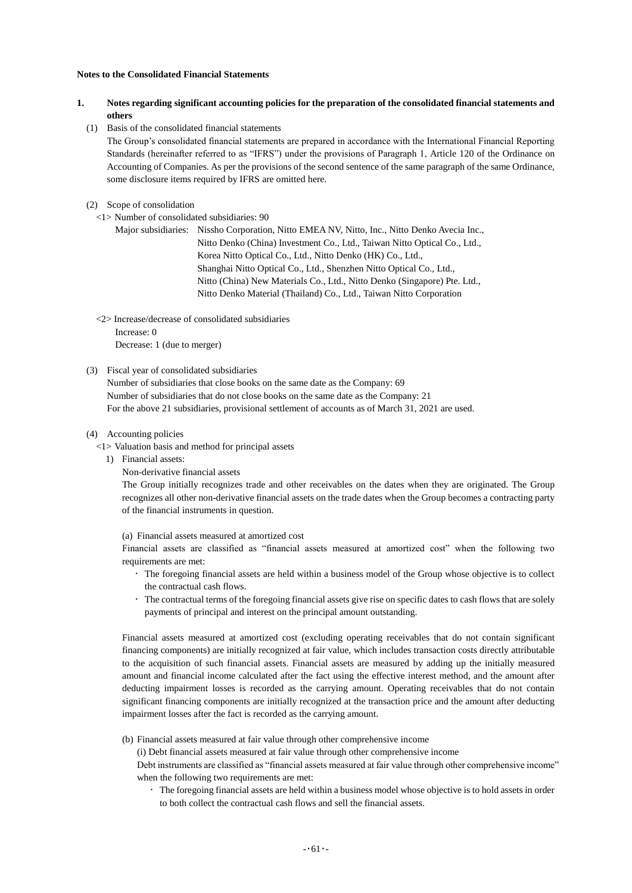#### **Notes to the Consolidated Financial Statements**

- **1. Notes regarding significant accounting policies for the preparation of the consolidated financial statements and others**
	- (1) Basis of the consolidated financial statements

The Group's consolidated financial statements are prepared in accordance with the International Financial Reporting Standards (hereinafter referred to as "IFRS") under the provisions of Paragraph 1, Article 120 of the Ordinance on Accounting of Companies. As per the provisions of the second sentence of the same paragraph of the same Ordinance, some disclosure items required by IFRS are omitted here.

- (2) Scope of consolidation
	- <1> Number of consolidated subsidiaries: 90

Major subsidiaries: Nissho Corporation, Nitto EMEA NV, Nitto, Inc., Nitto Denko Avecia Inc., Nitto Denko (China) Investment Co., Ltd., Taiwan Nitto Optical Co., Ltd., Korea Nitto Optical Co., Ltd., Nitto Denko (HK) Co., Ltd., Shanghai Nitto Optical Co., Ltd., Shenzhen Nitto Optical Co., Ltd., Nitto (China) New Materials Co., Ltd., Nitto Denko (Singapore) Pte. Ltd., Nitto Denko Material (Thailand) Co., Ltd., Taiwan Nitto Corporation

<2> Increase/decrease of consolidated subsidiaries

Increase: 0 Decrease: 1 (due to merger)

(3) Fiscal year of consolidated subsidiaries

Number of subsidiaries that close books on the same date as the Company: 69 Number of subsidiaries that do not close books on the same date as the Company: 21 For the above 21 subsidiaries, provisional settlement of accounts as of March 31, 2021 are used.

- (4) Accounting policies
	- <1> Valuation basis and method for principal assets
		- 1) Financial assets:
			- Non-derivative financial assets

The Group initially recognizes trade and other receivables on the dates when they are originated. The Group recognizes all other non-derivative financial assets on the trade dates when the Group becomes a contracting party of the financial instruments in question.

(a) Financial assets measured at amortized cost

Financial assets are classified as "financial assets measured at amortized cost" when the following two requirements are met:

- The foregoing financial assets are held within a business model of the Group whose objective is to collect the contractual cash flows.
- The contractual terms of the foregoing financial assets give rise on specific dates to cash flows that are solely payments of principal and interest on the principal amount outstanding.

Financial assets measured at amortized cost (excluding operating receivables that do not contain significant financing components) are initially recognized at fair value, which includes transaction costs directly attributable to the acquisition of such financial assets. Financial assets are measured by adding up the initially measured amount and financial income calculated after the fact using the effective interest method, and the amount after deducting impairment losses is recorded as the carrying amount. Operating receivables that do not contain significant financing components are initially recognized at the transaction price and the amount after deducting impairment losses after the fact is recorded as the carrying amount.

(b) Financial assets measured at fair value through other comprehensive income

(i) Debt financial assets measured at fair value through other comprehensive income

Debt instruments are classified as "financial assets measured at fair value through other comprehensive income" when the following two requirements are met:

 The foregoing financial assets are held within a business model whose objective is to hold assets in order to both collect the contractual cash flows and sell the financial assets.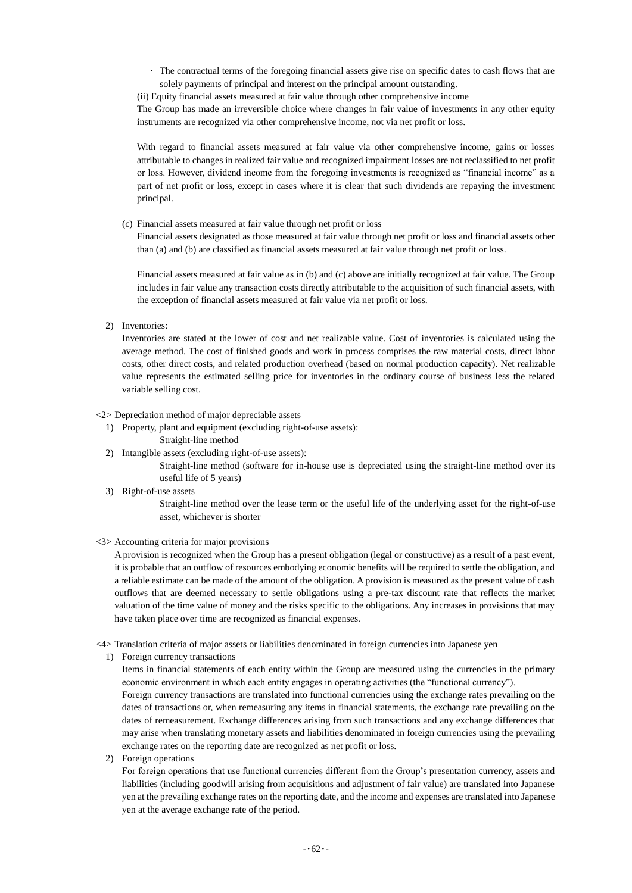The contractual terms of the foregoing financial assets give rise on specific dates to cash flows that are solely payments of principal and interest on the principal amount outstanding.

(ii) Equity financial assets measured at fair value through other comprehensive income

The Group has made an irreversible choice where changes in fair value of investments in any other equity instruments are recognized via other comprehensive income, not via net profit or loss.

With regard to financial assets measured at fair value via other comprehensive income, gains or losses attributable to changes in realized fair value and recognized impairment losses are not reclassified to net profit or loss. However, dividend income from the foregoing investments is recognized as "financial income" as a part of net profit or loss, except in cases where it is clear that such dividends are repaying the investment principal.

(c) Financial assets measured at fair value through net profit or loss

Financial assets designated as those measured at fair value through net profit or loss and financial assets other than (a) and (b) are classified as financial assets measured at fair value through net profit or loss.

Financial assets measured at fair value as in (b) and (c) above are initially recognized at fair value. The Group includes in fair value any transaction costs directly attributable to the acquisition of such financial assets, with the exception of financial assets measured at fair value via net profit or loss.

2) Inventories:

Inventories are stated at the lower of cost and net realizable value. Cost of inventories is calculated using the average method. The cost of finished goods and work in process comprises the raw material costs, direct labor costs, other direct costs, and related production overhead (based on normal production capacity). Net realizable value represents the estimated selling price for inventories in the ordinary course of business less the related variable selling cost.

### <2> Depreciation method of major depreciable assets

1) Property, plant and equipment (excluding right-of-use assets):

- Straight-line method
- 2) Intangible assets (excluding right-of-use assets):

Straight-line method (software for in-house use is depreciated using the straight-line method over its useful life of 5 years)

3) Right-of-use assets

Straight-line method over the lease term or the useful life of the underlying asset for the right-of-use asset, whichever is shorter

#### <3> Accounting criteria for major provisions

A provision is recognized when the Group has a present obligation (legal or constructive) as a result of a past event, it is probable that an outflow of resources embodying economic benefits will be required to settle the obligation, and a reliable estimate can be made of the amount of the obligation. A provision is measured as the present value of cash outflows that are deemed necessary to settle obligations using a pre-tax discount rate that reflects the market valuation of the time value of money and the risks specific to the obligations. Any increases in provisions that may have taken place over time are recognized as financial expenses.

- <4> Translation criteria of major assets or liabilities denominated in foreign currencies into Japanese yen
	- 1) Foreign currency transactions

Items in financial statements of each entity within the Group are measured using the currencies in the primary economic environment in which each entity engages in operating activities (the "functional currency").

Foreign currency transactions are translated into functional currencies using the exchange rates prevailing on the dates of transactions or, when remeasuring any items in financial statements, the exchange rate prevailing on the dates of remeasurement. Exchange differences arising from such transactions and any exchange differences that may arise when translating monetary assets and liabilities denominated in foreign currencies using the prevailing exchange rates on the reporting date are recognized as net profit or loss.

2) Foreign operations

For foreign operations that use functional currencies different from the Group's presentation currency, assets and liabilities (including goodwill arising from acquisitions and adjustment of fair value) are translated into Japanese yen at the prevailing exchange rates on the reporting date, and the income and expenses are translated into Japanese yen at the average exchange rate of the period.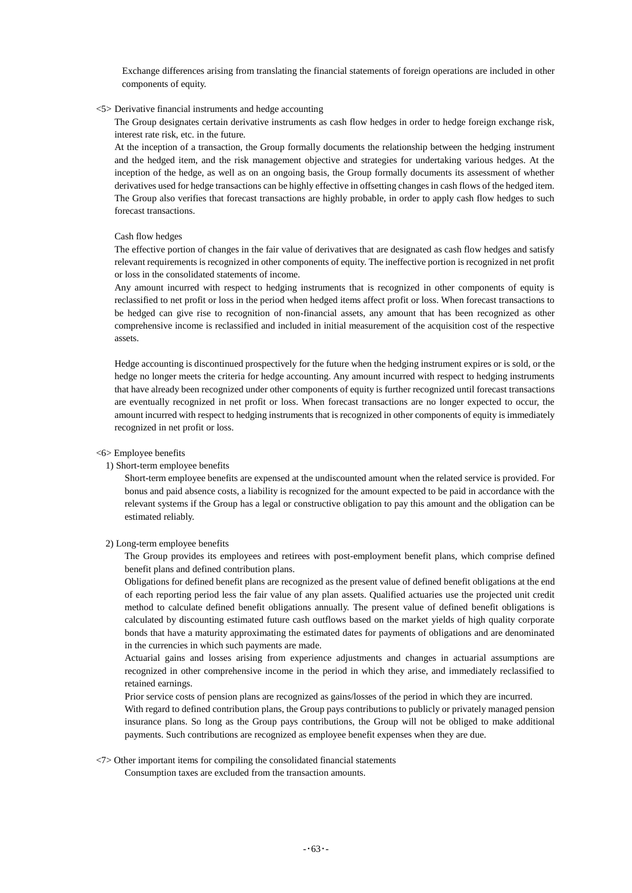Exchange differences arising from translating the financial statements of foreign operations are included in other components of equity.

### <5> Derivative financial instruments and hedge accounting

The Group designates certain derivative instruments as cash flow hedges in order to hedge foreign exchange risk, interest rate risk, etc. in the future.

At the inception of a transaction, the Group formally documents the relationship between the hedging instrument and the hedged item, and the risk management objective and strategies for undertaking various hedges. At the inception of the hedge, as well as on an ongoing basis, the Group formally documents its assessment of whether derivatives used for hedge transactions can be highly effective in offsetting changes in cash flows of the hedged item. The Group also verifies that forecast transactions are highly probable, in order to apply cash flow hedges to such forecast transactions.

#### Cash flow hedges

The effective portion of changes in the fair value of derivatives that are designated as cash flow hedges and satisfy relevant requirements is recognized in other components of equity. The ineffective portion is recognized in net profit or loss in the consolidated statements of income.

Any amount incurred with respect to hedging instruments that is recognized in other components of equity is reclassified to net profit or loss in the period when hedged items affect profit or loss. When forecast transactions to be hedged can give rise to recognition of non-financial assets, any amount that has been recognized as other comprehensive income is reclassified and included in initial measurement of the acquisition cost of the respective assets.

Hedge accounting is discontinued prospectively for the future when the hedging instrument expires or is sold, or the hedge no longer meets the criteria for hedge accounting. Any amount incurred with respect to hedging instruments that have already been recognized under other components of equity is further recognized until forecast transactions are eventually recognized in net profit or loss. When forecast transactions are no longer expected to occur, the amount incurred with respect to hedging instruments that is recognized in other components of equity is immediately recognized in net profit or loss.

#### <6> Employee benefits

#### 1) Short-term employee benefits

Short-term employee benefits are expensed at the undiscounted amount when the related service is provided. For bonus and paid absence costs, a liability is recognized for the amount expected to be paid in accordance with the relevant systems if the Group has a legal or constructive obligation to pay this amount and the obligation can be estimated reliably.

#### 2) Long-term employee benefits

The Group provides its employees and retirees with post-employment benefit plans, which comprise defined benefit plans and defined contribution plans.

Obligations for defined benefit plans are recognized as the present value of defined benefit obligations at the end of each reporting period less the fair value of any plan assets. Qualified actuaries use the projected unit credit method to calculate defined benefit obligations annually. The present value of defined benefit obligations is calculated by discounting estimated future cash outflows based on the market yields of high quality corporate bonds that have a maturity approximating the estimated dates for payments of obligations and are denominated in the currencies in which such payments are made.

Actuarial gains and losses arising from experience adjustments and changes in actuarial assumptions are recognized in other comprehensive income in the period in which they arise, and immediately reclassified to retained earnings.

Prior service costs of pension plans are recognized as gains/losses of the period in which they are incurred.

With regard to defined contribution plans, the Group pays contributions to publicly or privately managed pension insurance plans. So long as the Group pays contributions, the Group will not be obliged to make additional payments. Such contributions are recognized as employee benefit expenses when they are due.

### <7> Other important items for compiling the consolidated financial statements

Consumption taxes are excluded from the transaction amounts.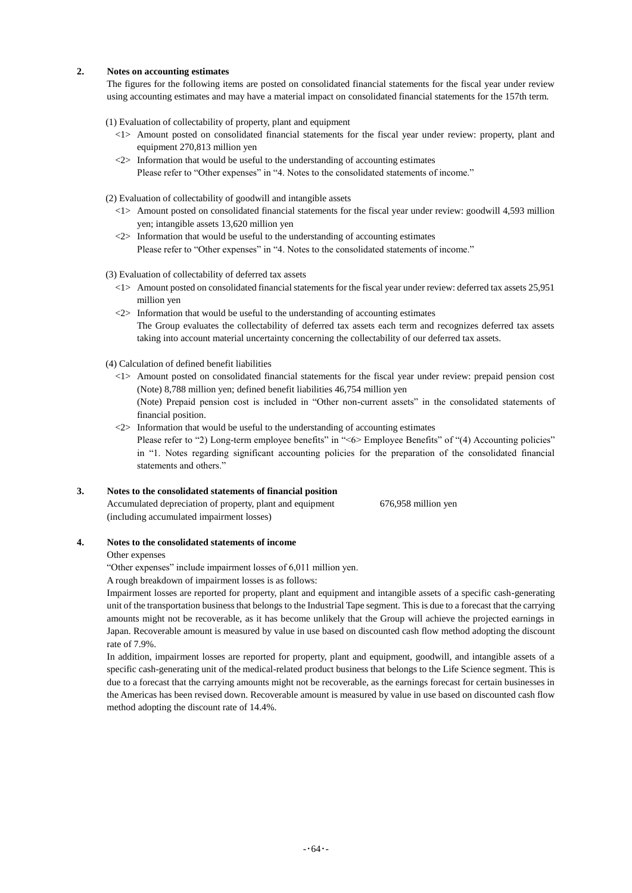### **2. Notes on accounting estimates**

The figures for the following items are posted on consolidated financial statements for the fiscal year under review using accounting estimates and may have a material impact on consolidated financial statements for the 157th term.

(1) Evaluation of collectability of property, plant and equipment

- <1> Amount posted on consolidated financial statements for the fiscal year under review: property, plant and equipment 270,813 million yen
- $\langle 2 \rangle$  Information that would be useful to the understanding of accounting estimates Please refer to "Other expenses" in "4. Notes to the consolidated statements of income."

(2) Evaluation of collectability of goodwill and intangible assets

- <1> Amount posted on consolidated financial statements for the fiscal year under review: goodwill 4,593 million yen; intangible assets 13,620 million yen
- $\langle 2 \rangle$  Information that would be useful to the understanding of accounting estimates Please refer to "Other expenses" in "4. Notes to the consolidated statements of income."

#### (3) Evaluation of collectability of deferred tax assets

- <1> Amount posted on consolidated financial statements for the fiscal year under review: deferred tax assets 25,951 million yen
- $\langle 2 \rangle$  Information that would be useful to the understanding of accounting estimates The Group evaluates the collectability of deferred tax assets each term and recognizes deferred tax assets taking into account material uncertainty concerning the collectability of our deferred tax assets.

#### (4) Calculation of defined benefit liabilities

- <1> Amount posted on consolidated financial statements for the fiscal year under review: prepaid pension cost (Note) 8,788 million yen; defined benefit liabilities 46,754 million yen (Note) Prepaid pension cost is included in "Other non-current assets" in the consolidated statements of financial position.
- $\langle 2 \rangle$  Information that would be useful to the understanding of accounting estimates

Please refer to "2) Long-term employee benefits" in "<6> Employee Benefits" of "(4) Accounting policies" in "1. Notes regarding significant accounting policies for the preparation of the consolidated financial statements and others."

### **3. Notes to the consolidated statements of financial position**

Accumulated depreciation of property, plant and equipment (including accumulated impairment losses) 676,958 million yen

### **4. Notes to the consolidated statements of income**

#### Other expenses

"Other expenses" include impairment losses of 6,011 million yen.

A rough breakdown of impairment losses is as follows:

Impairment losses are reported for property, plant and equipment and intangible assets of a specific cash-generating unit of the transportation business that belongs to the Industrial Tape segment. This is due to a forecast that the carrying amounts might not be recoverable, as it has become unlikely that the Group will achieve the projected earnings in Japan. Recoverable amount is measured by value in use based on discounted cash flow method adopting the discount rate of 7.9%.

In addition, impairment losses are reported for property, plant and equipment, goodwill, and intangible assets of a specific cash-generating unit of the medical-related product business that belongs to the Life Science segment. This is due to a forecast that the carrying amounts might not be recoverable, as the earnings forecast for certain businesses in the Americas has been revised down. Recoverable amount is measured by value in use based on discounted cash flow method adopting the discount rate of 14.4%.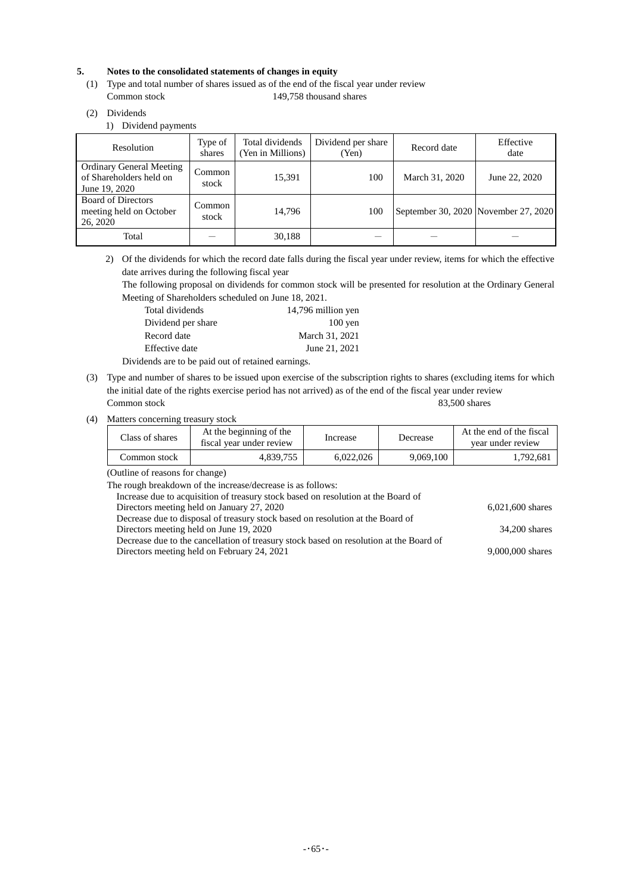### **5. Notes to the consolidated statements of changes in equity**

- (1) Type and total number of shares issued as of the end of the fiscal year under review Common stock 149,758 thousand shares
- (2) Dividends

1) Dividend payments

| Resolution                                                                  | Type of<br>shares | Total dividends<br>(Yen in Millions) | Dividend per share<br>(Yen) | Record date                          | Effective<br>date |
|-----------------------------------------------------------------------------|-------------------|--------------------------------------|-----------------------------|--------------------------------------|-------------------|
| <b>Ordinary General Meeting</b><br>of Shareholders held on<br>June 19, 2020 | Common<br>stock   | 15,391                               | 100                         | March 31, 2020                       | June 22, 2020     |
| <b>Board of Directors</b><br>meeting held on October<br>26, 2020            | Common<br>stock   | 14.796                               | 100                         | September 30, 2020 November 27, 2020 |                   |
| Total                                                                       |                   | 30,188                               |                             |                                      |                   |

2) Of the dividends for which the record date falls during the fiscal year under review, items for which the effective date arrives during the following fiscal year

The following proposal on dividends for common stock will be presented for resolution at the Ordinary General Meeting of Shareholders scheduled on June 18, 2021.

| Total dividends    | 14,796 million yen |
|--------------------|--------------------|
| Dividend per share | $100$ yen          |
| Record date        | March 31, 2021     |
| Effective date     | June 21, 2021      |
|                    |                    |

Dividends are to be paid out of retained earnings.

- (3) Type and number of shares to be issued upon exercise of the subscription rights to shares (excluding items for which the initial date of the rights exercise period has not arrived) as of the end of the fiscal year under review Common stock 83,500 shares
- (4) Matters concerning treasury stock

| Class of shares | At the beginning of the<br>fiscal year under review | Increase  | Decrease  | At the end of the fiscal<br>vear under review |
|-----------------|-----------------------------------------------------|-----------|-----------|-----------------------------------------------|
| Dommon stock:   | 4.839.755                                           | 6.022.026 | 9.069.100 | 1.792.681                                     |

(Outline of reasons for change)

The rough breakdown of the increase/decrease is as follows:

| Increase due to acquisition of treasury stock based on resolution at the Board of      |                    |
|----------------------------------------------------------------------------------------|--------------------|
| Directors meeting held on January 27, 2020                                             | $6,021,600$ shares |
| Decrease due to disposal of treasury stock based on resolution at the Board of         |                    |
| Directors meeting held on June 19, 2020                                                | 34,200 shares      |
| Decrease due to the cancellation of treasury stock based on resolution at the Board of |                    |
| Directors meeting held on February 24, 2021                                            | 9,000,000 shares   |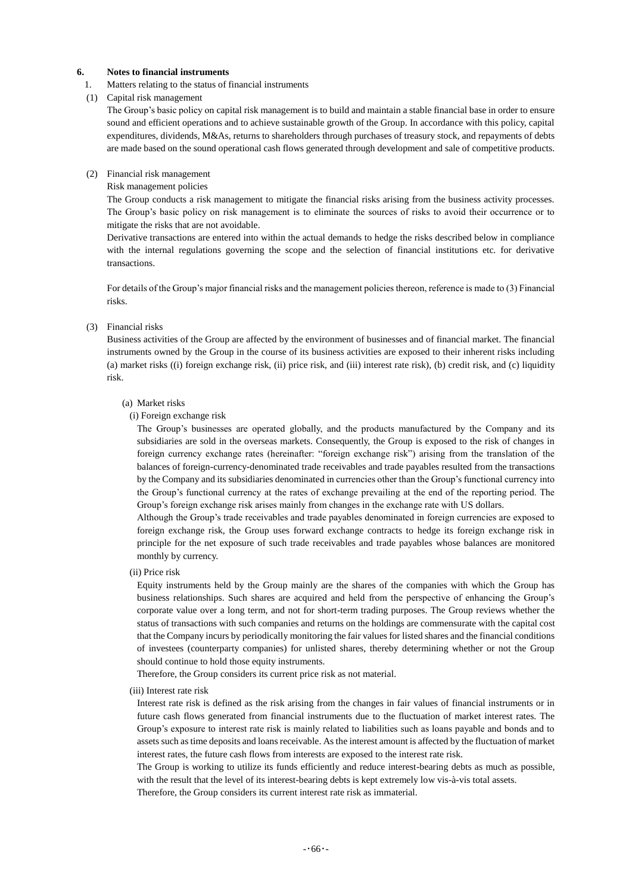### **6. Notes to financial instruments**

1. Matters relating to the status of financial instruments

#### (1) Capital risk management

The Group's basic policy on capital risk management is to build and maintain a stable financial base in order to ensure sound and efficient operations and to achieve sustainable growth of the Group. In accordance with this policy, capital expenditures, dividends, M&As, returns to shareholders through purchases of treasury stock, and repayments of debts are made based on the sound operational cash flows generated through development and sale of competitive products.

#### (2) Financial risk management

#### Risk management policies

The Group conducts a risk management to mitigate the financial risks arising from the business activity processes. The Group's basic policy on risk management is to eliminate the sources of risks to avoid their occurrence or to mitigate the risks that are not avoidable.

Derivative transactions are entered into within the actual demands to hedge the risks described below in compliance with the internal regulations governing the scope and the selection of financial institutions etc. for derivative transactions.

For details of the Group's major financial risks and the management policies thereon, reference is made to (3) Financial risks.

#### (3) Financial risks

Business activities of the Group are affected by the environment of businesses and of financial market. The financial instruments owned by the Group in the course of its business activities are exposed to their inherent risks including (a) market risks ((i) foreign exchange risk, (ii) price risk, and (iii) interest rate risk), (b) credit risk, and (c) liquidity risk.

#### (a) Market risks

#### (i) Foreign exchange risk

The Group's businesses are operated globally, and the products manufactured by the Company and its subsidiaries are sold in the overseas markets. Consequently, the Group is exposed to the risk of changes in foreign currency exchange rates (hereinafter: "foreign exchange risk") arising from the translation of the balances of foreign-currency-denominated trade receivables and trade payables resulted from the transactions by the Company and its subsidiaries denominated in currencies other than the Group's functional currency into the Group's functional currency at the rates of exchange prevailing at the end of the reporting period. The Group's foreign exchange risk arises mainly from changes in the exchange rate with US dollars.

Although the Group's trade receivables and trade payables denominated in foreign currencies are exposed to foreign exchange risk, the Group uses forward exchange contracts to hedge its foreign exchange risk in principle for the net exposure of such trade receivables and trade payables whose balances are monitored monthly by currency.

(ii) Price risk

Equity instruments held by the Group mainly are the shares of the companies with which the Group has business relationships. Such shares are acquired and held from the perspective of enhancing the Group's corporate value over a long term, and not for short-term trading purposes. The Group reviews whether the status of transactions with such companies and returns on the holdings are commensurate with the capital cost that the Company incurs by periodically monitoring the fair values for listed shares and the financial conditions of investees (counterparty companies) for unlisted shares, thereby determining whether or not the Group should continue to hold those equity instruments.

Therefore, the Group considers its current price risk as not material.

(iii) Interest rate risk

Interest rate risk is defined as the risk arising from the changes in fair values of financial instruments or in future cash flows generated from financial instruments due to the fluctuation of market interest rates. The Group's exposure to interest rate risk is mainly related to liabilities such as loans payable and bonds and to assets such as time deposits and loans receivable. As the interest amount is affected by the fluctuation of market interest rates, the future cash flows from interests are exposed to the interest rate risk.

The Group is working to utilize its funds efficiently and reduce interest-bearing debts as much as possible, with the result that the level of its interest-bearing debts is kept extremely low vis-à-vis total assets.

Therefore, the Group considers its current interest rate risk as immaterial.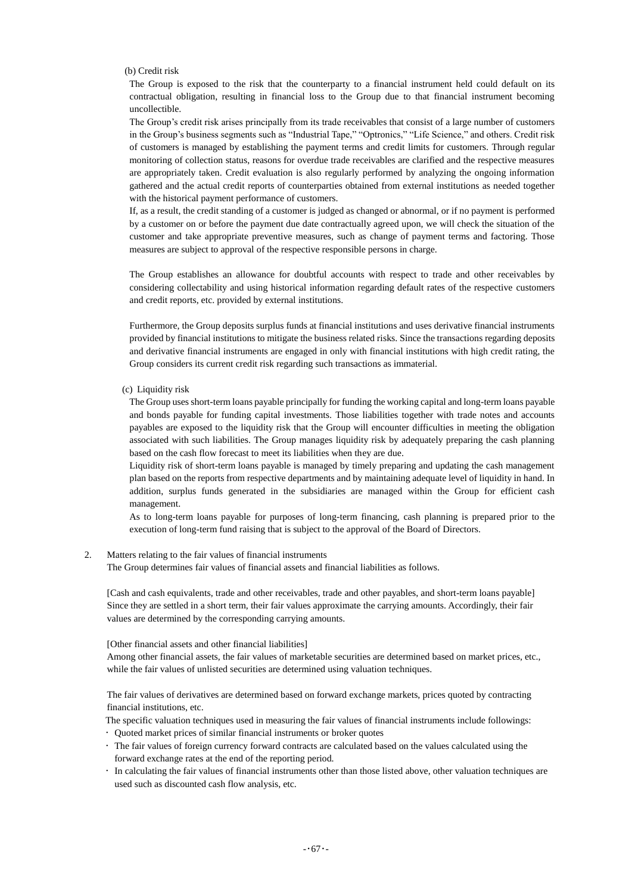(b) Credit risk

The Group is exposed to the risk that the counterparty to a financial instrument held could default on its contractual obligation, resulting in financial loss to the Group due to that financial instrument becoming uncollectible.

The Group's credit risk arises principally from its trade receivables that consist of a large number of customers in the Group's business segments such as "Industrial Tape," "Optronics," "Life Science," and others. Credit risk of customers is managed by establishing the payment terms and credit limits for customers. Through regular monitoring of collection status, reasons for overdue trade receivables are clarified and the respective measures are appropriately taken. Credit evaluation is also regularly performed by analyzing the ongoing information gathered and the actual credit reports of counterparties obtained from external institutions as needed together with the historical payment performance of customers.

If, as a result, the credit standing of a customer is judged as changed or abnormal, or if no payment is performed by a customer on or before the payment due date contractually agreed upon, we will check the situation of the customer and take appropriate preventive measures, such as change of payment terms and factoring. Those measures are subject to approval of the respective responsible persons in charge.

The Group establishes an allowance for doubtful accounts with respect to trade and other receivables by considering collectability and using historical information regarding default rates of the respective customers and credit reports, etc. provided by external institutions.

Furthermore, the Group deposits surplus funds at financial institutions and uses derivative financial instruments provided by financial institutions to mitigate the business related risks. Since the transactions regarding deposits and derivative financial instruments are engaged in only with financial institutions with high credit rating, the Group considers its current credit risk regarding such transactions as immaterial.

(c) Liquidity risk

The Group uses short-term loans payable principally for funding the working capital and long-term loans payable and bonds payable for funding capital investments. Those liabilities together with trade notes and accounts payables are exposed to the liquidity risk that the Group will encounter difficulties in meeting the obligation associated with such liabilities. The Group manages liquidity risk by adequately preparing the cash planning based on the cash flow forecast to meet its liabilities when they are due.

Liquidity risk of short-term loans payable is managed by timely preparing and updating the cash management plan based on the reports from respective departments and by maintaining adequate level of liquidity in hand. In addition, surplus funds generated in the subsidiaries are managed within the Group for efficient cash management.

As to long-term loans payable for purposes of long-term financing, cash planning is prepared prior to the execution of long-term fund raising that is subject to the approval of the Board of Directors.

2. Matters relating to the fair values of financial instruments The Group determines fair values of financial assets and financial liabilities as follows.

[Cash and cash equivalents, trade and other receivables, trade and other payables, and short-term loans payable] Since they are settled in a short term, their fair values approximate the carrying amounts. Accordingly, their fair values are determined by the corresponding carrying amounts.

[Other financial assets and other financial liabilities]

Among other financial assets, the fair values of marketable securities are determined based on market prices, etc., while the fair values of unlisted securities are determined using valuation techniques.

The fair values of derivatives are determined based on forward exchange markets, prices quoted by contracting financial institutions, etc.

The specific valuation techniques used in measuring the fair values of financial instruments include followings:

- Quoted market prices of similar financial instruments or broker quotes
- The fair values of foreign currency forward contracts are calculated based on the values calculated using the forward exchange rates at the end of the reporting period.
- In calculating the fair values of financial instruments other than those listed above, other valuation techniques are used such as discounted cash flow analysis, etc.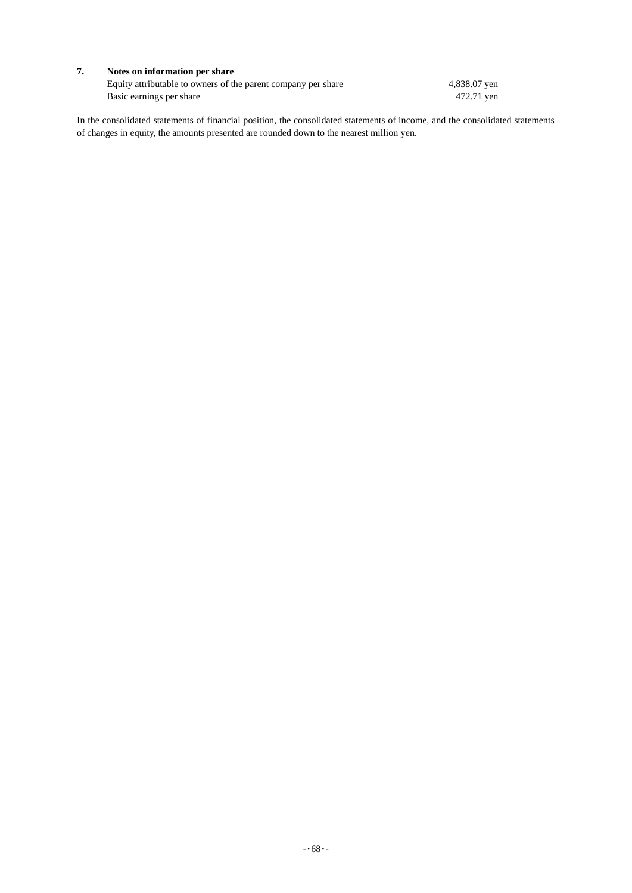### **7. Notes on information per share**

Equity attributable to owners of the parent company per share 4,838.07 yen Basic earnings per share 472.71 yen

In the consolidated statements of financial position, the consolidated statements of income, and the consolidated statements of changes in equity, the amounts presented are rounded down to the nearest million yen.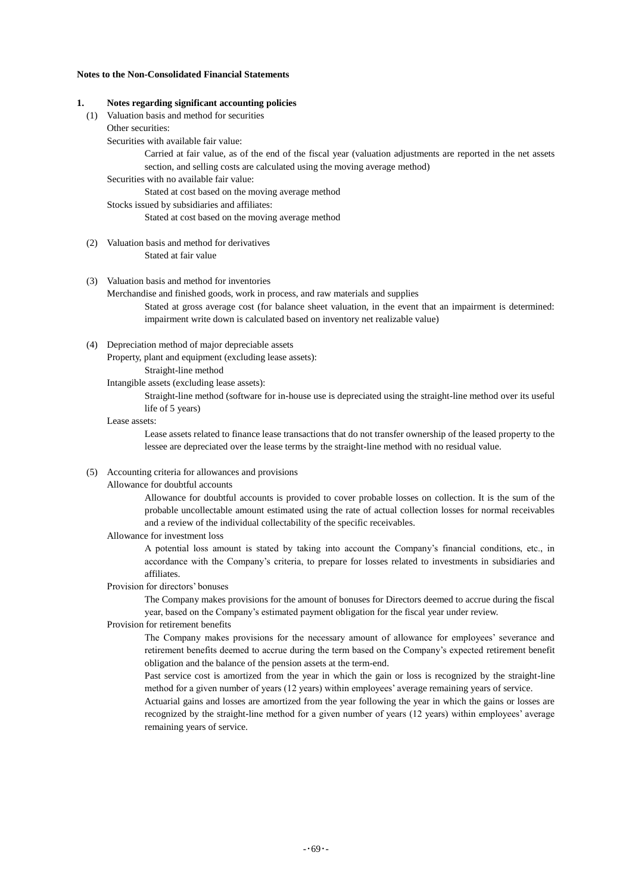### **Notes to the Non-Consolidated Financial Statements**

#### **1. Notes regarding significant accounting policies**

- (1) Valuation basis and method for securities
	- Other securities:

Securities with available fair value:

Carried at fair value, as of the end of the fiscal year (valuation adjustments are reported in the net assets section, and selling costs are calculated using the moving average method)

Securities with no available fair value:

Stated at cost based on the moving average method

Stocks issued by subsidiaries and affiliates:

Stated at cost based on the moving average method

(2) Valuation basis and method for derivatives Stated at fair value

### (3) Valuation basis and method for inventories

Merchandise and finished goods, work in process, and raw materials and supplies

Stated at gross average cost (for balance sheet valuation, in the event that an impairment is determined: impairment write down is calculated based on inventory net realizable value)

(4) Depreciation method of major depreciable assets

Property, plant and equipment (excluding lease assets):

Straight-line method

Intangible assets (excluding lease assets):

Straight-line method (software for in-house use is depreciated using the straight-line method over its useful life of 5 years)

#### Lease assets:

Lease assets related to finance lease transactions that do not transfer ownership of the leased property to the lessee are depreciated over the lease terms by the straight-line method with no residual value.

(5) Accounting criteria for allowances and provisions

### Allowance for doubtful accounts

Allowance for doubtful accounts is provided to cover probable losses on collection. It is the sum of the probable uncollectable amount estimated using the rate of actual collection losses for normal receivables and a review of the individual collectability of the specific receivables.

#### Allowance for investment loss

A potential loss amount is stated by taking into account the Company's financial conditions, etc., in accordance with the Company's criteria, to prepare for losses related to investments in subsidiaries and affiliates.

#### Provision for directors' bonuses

The Company makes provisions for the amount of bonuses for Directors deemed to accrue during the fiscal year, based on the Company's estimated payment obligation for the fiscal year under review.

### Provision for retirement benefits

The Company makes provisions for the necessary amount of allowance for employees' severance and retirement benefits deemed to accrue during the term based on the Company's expected retirement benefit obligation and the balance of the pension assets at the term-end.

Past service cost is amortized from the year in which the gain or loss is recognized by the straight-line method for a given number of years (12 years) within employees' average remaining years of service.

Actuarial gains and losses are amortized from the year following the year in which the gains or losses are recognized by the straight-line method for a given number of years (12 years) within employees' average remaining years of service.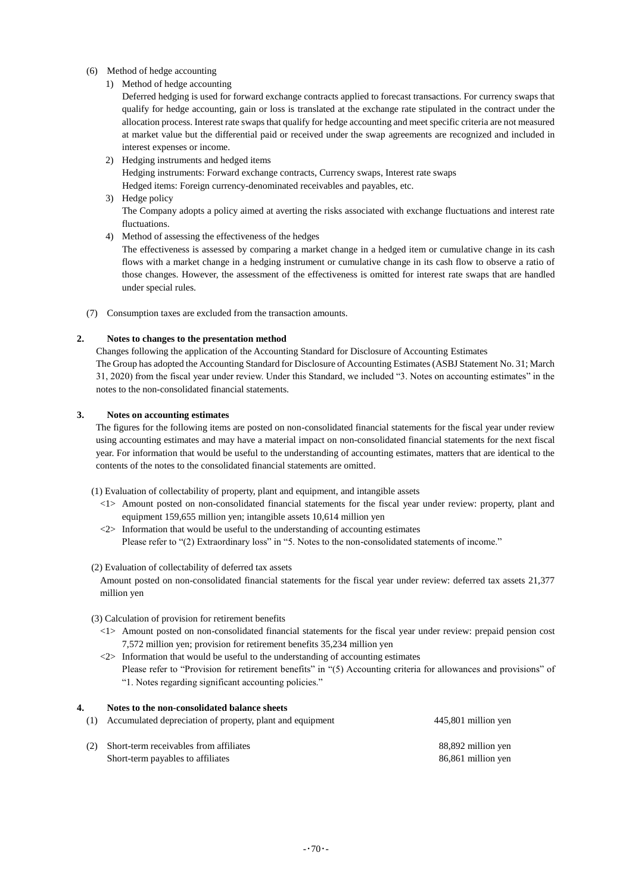### (6) Method of hedge accounting

1) Method of hedge accounting

Deferred hedging is used for forward exchange contracts applied to forecast transactions. For currency swaps that qualify for hedge accounting, gain or loss is translated at the exchange rate stipulated in the contract under the allocation process. Interest rate swaps that qualify for hedge accounting and meet specific criteria are not measured at market value but the differential paid or received under the swap agreements are recognized and included in interest expenses or income.

- 2) Hedging instruments and hedged items Hedging instruments: Forward exchange contracts, Currency swaps, Interest rate swaps Hedged items: Foreign currency-denominated receivables and payables, etc.
- 3) Hedge policy

The Company adopts a policy aimed at averting the risks associated with exchange fluctuations and interest rate fluctuations.

4) Method of assessing the effectiveness of the hedges

The effectiveness is assessed by comparing a market change in a hedged item or cumulative change in its cash flows with a market change in a hedging instrument or cumulative change in its cash flow to observe a ratio of those changes. However, the assessment of the effectiveness is omitted for interest rate swaps that are handled under special rules.

(7) Consumption taxes are excluded from the transaction amounts.

### **2. Notes to changes to the presentation method**

Changes following the application of the Accounting Standard for Disclosure of Accounting Estimates The Group has adopted the Accounting Standard for Disclosure of Accounting Estimates (ASBJ Statement No. 31; March 31, 2020) from the fiscal year under review. Under this Standard, we included "3. Notes on accounting estimates" in the notes to the non-consolidated financial statements.

### **3. Notes on accounting estimates**

The figures for the following items are posted on non-consolidated financial statements for the fiscal year under review using accounting estimates and may have a material impact on non-consolidated financial statements for the next fiscal year. For information that would be useful to the understanding of accounting estimates, matters that are identical to the contents of the notes to the consolidated financial statements are omitted.

(1) Evaluation of collectability of property, plant and equipment, and intangible assets

- <1> Amount posted on non-consolidated financial statements for the fiscal year under review: property, plant and equipment 159,655 million yen; intangible assets 10,614 million yen
- $\langle 2 \rangle$  Information that would be useful to the understanding of accounting estimates Please refer to "(2) Extraordinary loss" in "5. Notes to the non-consolidated statements of income."

#### (2) Evaluation of collectability of deferred tax assets

Amount posted on non-consolidated financial statements for the fiscal year under review: deferred tax assets 21,377 million yen

- (3) Calculation of provision for retirement benefits
	- <1> Amount posted on non-consolidated financial statements for the fiscal year under review: prepaid pension cost 7,572 million yen; provision for retirement benefits 35,234 million yen
	- $\langle 2 \rangle$  Information that would be useful to the understanding of accounting estimates Please refer to "Provision for retirement benefits" in "(5) Accounting criteria for allowances and provisions" of "1. Notes regarding significant accounting policies."

| 4. | Notes to the non-consolidated balance sheets              |                     |
|----|-----------------------------------------------------------|---------------------|
|    | Accumulated depreciation of property, plant and equipment | 445,801 million yen |
|    |                                                           |                     |
|    | Short-term receivables from affiliates                    | 88,892 million yen  |
|    | Short-term payables to affiliates                         | 86,861 million yen  |